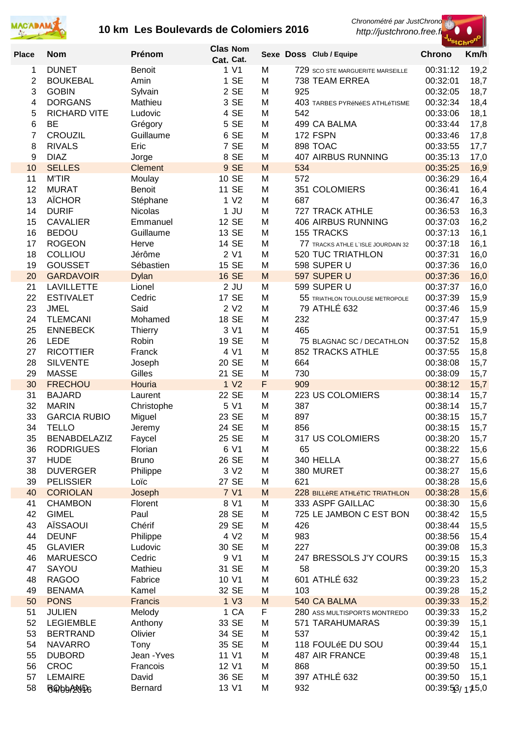

*Chronométré par JustChrono*

 *http://justchrono.free.fr*



| <b>Place</b> | <b>Nom</b>          | Prénom         | <b>Clas Nom</b><br>Cat. Cat. |   |     | Sexe Doss Club / Equipe            | $rac{1}{2}$<br><b>Chrono</b> | Km/h |
|--------------|---------------------|----------------|------------------------------|---|-----|------------------------------------|------------------------------|------|
| 1            | <b>DUNET</b>        | <b>Benoit</b>  | 1 V1                         | M |     | 729 SCO STE MARGUERITE MARSEILLE   | 00:31:12                     | 19,2 |
| 2            | <b>BOUKEBAL</b>     | Amin           | 1 SE                         | M |     | 738 TEAM ERREA                     | 00:32:01                     | 18,7 |
| 3            | <b>GOBIN</b>        | Sylvain        | 2 SE                         | M | 925 |                                    | 00:32:05                     | 18,7 |
| 4            | <b>DORGANS</b>      | Mathieu        | 3 SE                         | M |     | 403 TARBES PYRÉNÉES ATHLÉTISME     | 00:32:34                     | 18,4 |
| 5            | <b>RICHARD VITE</b> | Ludovic        | 4 SE                         | M | 542 |                                    | 00:33:06                     | 18,1 |
| 6            | <b>BE</b>           | Grégory        | 5 SE                         | M |     | 499 CA BALMA                       | 00:33:44                     | 17,8 |
| 7            | <b>CROUZIL</b>      | Guillaume      | 6 SE                         | M |     | 172 FSPN                           | 00:33:46                     | 17,8 |
| 8            | <b>RIVALS</b>       | Eric           | 7 SE                         | M |     | 898 TOAC                           | 00:33:55                     | 17,7 |
| 9            | <b>DIAZ</b>         | Jorge          | 8 SE                         | M |     | <b>407 AIRBUS RUNNING</b>          | 00:35:13                     | 17,0 |
| 10           | <b>SELLES</b>       | <b>Clement</b> | 9 SE                         | M | 534 |                                    | 00:35:25                     | 16,9 |
| 11           | <b>M'TIR</b>        | Moulay         | 10 SE                        | M | 572 |                                    | 00:36:29                     | 16,4 |
| 12           | <b>MURAT</b>        | Benoit         | 11 SE                        | M |     | 351 COLOMIERS                      | 00:36:41                     | 16,4 |
| 13           | <b>AÏCHOR</b>       | Stéphane       | 1 <sub>V2</sub>              | M | 687 |                                    | 00:36:47                     | 16,3 |
| 14           | <b>DURIF</b>        | Nicolas        | $1$ JU                       | M |     | 727 TRACK ATHLE                    | 00:36:53                     | 16,3 |
| 15           | <b>CAVALIER</b>     | Emmanuel       | 12 SE                        | M |     | 406 AIRBUS RUNNING                 | 00:37:03                     | 16,2 |
| 16           | <b>BEDOU</b>        | Guillaume      | 13 SE                        | M |     | 155 TRACKS                         | 00:37:13                     |      |
|              | <b>ROGEON</b>       |                | 14 SE                        | M |     |                                    |                              | 16,1 |
| 17           |                     | Herve          |                              |   |     | 77 TRACKS ATHLE L'ISLE JOURDAIN 32 | 00:37:18                     | 16,1 |
| 18           | COLLIOU             | Jérôme         | 2 V1                         | M |     | 520 TUC TRIATHLON                  | 00:37:31                     | 16,0 |
| 19           | <b>GOUSSET</b>      | Sébastien      | 15 SE                        | M |     | 598 SUPER U                        | 00:37:36                     | 16,0 |
| 20           | <b>GARDAVOIR</b>    | <b>Dylan</b>   | <b>16 SE</b>                 | M |     | 597 SUPER U                        | 00:37:36                     | 16,0 |
| 21           | <b>LAVILLETTE</b>   | Lionel         | $2$ JU                       | M |     | 599 SUPER U                        | 00:37:37                     | 16,0 |
| 22           | <b>ESTIVALET</b>    | Cedric         | 17 SE                        | M |     | 55 TRIATHLON TOULOUSE METROPOLE    | 00:37:39                     | 15,9 |
| 23           | <b>JMEL</b>         | Said           | 2 V <sub>2</sub>             | M |     | 79 ATHLÉ 632                       | 00:37:46                     | 15,9 |
| 24           | <b>TLEMCANI</b>     | Mohamed        | 18 SE                        | M | 232 |                                    | 00:37:47                     | 15,9 |
| 25           | <b>ENNEBECK</b>     | <b>Thierry</b> | 3 V1                         | M | 465 |                                    | 00:37:51                     | 15,9 |
| 26           | <b>LEDE</b>         | Robin          | 19 SE                        | M |     | 75 BLAGNAC SC / DECATHLON          | 00:37:52                     | 15,8 |
| 27           | <b>RICOTTIER</b>    | Franck         | 4 V1                         | M |     | 852 TRACKS ATHLE                   | 00:37:55                     | 15,8 |
| 28           | <b>SILVENTE</b>     | Joseph         | 20 SE                        | M | 664 |                                    | 00:38:08                     | 15,7 |
| 29           | <b>MASSE</b>        | Gilles         | 21 SE                        | M | 730 |                                    | 00:38:09                     | 15,7 |
| 30           | <b>FRECHOU</b>      | Houria         | 1 <sub>V2</sub>              | F | 909 |                                    | 00:38:12                     | 15,7 |
| 31           | <b>BAJARD</b>       | Laurent        | 22 SE                        | M |     | 223 US COLOMIERS                   | 00:38:14                     | 15,7 |
| 32           | <b>MARIN</b>        | Christophe     | 5 V1                         | M | 387 |                                    | 00:38:14                     | 15,7 |
| 33           | <b>GARCIA RUBIO</b> | Miguel         | 23 SE                        | M | 897 |                                    | 00:38:15                     | 15,7 |
| 34           | <b>TELLO</b>        | Jeremy         | 24 SE                        | M | 856 |                                    | 00:38:15                     | 15,7 |
| 35           | <b>BENABDELAZIZ</b> | Faycel         | 25 SE                        | M |     | 317 US COLOMIERS                   | 00:38:20                     | 15,7 |
| 36           | <b>RODRIGUES</b>    | Florian        | 6 V1                         | M | 65  |                                    | 00:38:22                     | 15,6 |
| 37           | <b>HUDE</b>         | <b>Bruno</b>   | 26 SE                        | M |     | 340 HELLA                          | 00:38:27                     | 15,6 |
| 38           | <b>DUVERGER</b>     | Philippe       | 3 V <sub>2</sub>             | M |     | 380 MURET                          | 00:38:27                     | 15,6 |
| 39           | <b>PELISSIER</b>    | Loïc           | 27 SE                        | M | 621 |                                    | 00:38:28                     | 15,6 |
| 40           | <b>CORIOLAN</b>     | Joseph         | 7 V1                         | M |     | 228 BILLÈRE ATHLÉTIC TRIATHLON     | 00:38:28                     | 15,6 |
| 41           | <b>CHAMBON</b>      | Florent        | 8 V1                         | M |     | 333 ASPF GAILLAC                   | 00:38:30                     | 15,6 |
| 42           | <b>GIMEL</b>        | Paul           | 28 SE                        | M |     | 725 LE JAMBON C EST BON            | 00:38:42                     | 15,5 |
| 43           | AÏSSAOUI            | Chérif         | 29 SE                        | M | 426 |                                    | 00:38:44                     | 15,5 |
| 44           | <b>DEUNF</b>        | Philippe       | 4 V <sub>2</sub>             | M | 983 |                                    | 00:38:56                     | 15,4 |
| 45           | <b>GLAVIER</b>      | Ludovic        | 30 SE                        | M | 227 |                                    | 00:39:08                     | 15,3 |
| 46           | <b>MARUESCO</b>     | Cedric         | 9 V1                         | M |     | 247 BRESSOLS J'Y COURS             | 00:39:15                     | 15,3 |
| 47           | SAYOU               | Mathieu        | 31 SE                        | M | 58  |                                    | 00:39:20                     | 15,3 |
| 48           | <b>RAGOO</b>        | Fabrice        | 10 V1                        | M |     | 601 ATHLÉ 632                      | 00:39:23                     | 15,2 |
| 49           | <b>BENAMA</b>       | Kamel          | 32 SE                        | M | 103 |                                    | 00:39:28                     | 15,2 |
| 50           | <b>PONS</b>         | <b>Francis</b> | 1 <sub>V3</sub>              | M |     | 540 CA BALMA                       | 00:39:33                     | 15,2 |
| 51           | <b>JULIEN</b>       | Melody         | 1 CA                         | F |     | 280 ASS MULTISPORTS MONTREDO       | 00:39:33                     | 15,2 |
| 52           | <b>LEGIEMBLE</b>    | Anthony        | 33 SE                        | M |     | 571 TARAHUMARAS                    | 00:39:39                     | 15,1 |
| 53           | <b>BERTRAND</b>     | Olivier        | 34 SE                        |   | 537 |                                    | 00:39:42                     |      |
| 54           |                     |                |                              | M |     |                                    |                              | 15,1 |
|              | <b>NAVARRO</b>      | Tony           | 35 SE                        | M |     | 118 FOULéE DU SOU                  | 00:39:44                     | 15,1 |
| 55           | <b>DUBORD</b>       | Jean - Yves    | 11 V1                        | M |     | 487 AIR FRANCE                     | 00:39:48                     | 15,1 |
| 56           | CROC                | Francois       | 12 V1                        | M | 868 |                                    | 00:39:50                     | 15,1 |
| 57           | <b>LEMAIRE</b>      | David          | 36 SE                        | M |     | 397 ATHLÉ 632                      | 00:39:50                     | 15,1 |
| 58           | 6995520P6           | Bernard        | 13 V1                        | M | 932 |                                    | $00:39:5\beta/115.0$         |      |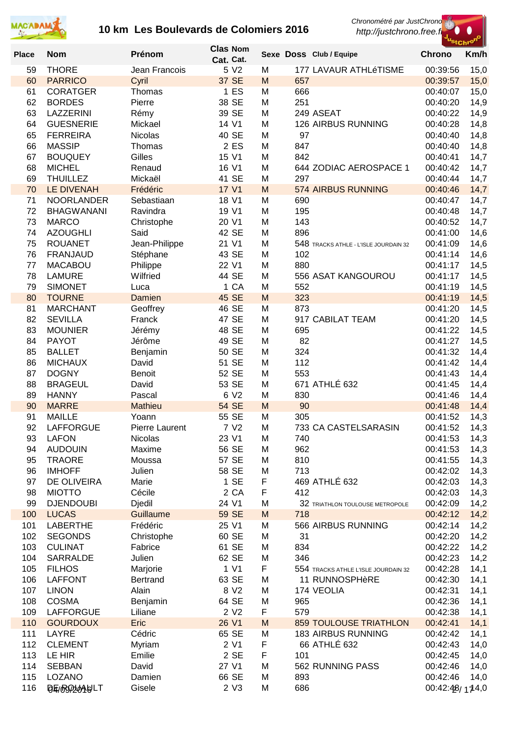

*Chronométré par JustChrono*





| <b>Place</b> | <b>Nom</b>                           | Prénom                         | <b>Clas Nom</b><br>Cat. Cat. |        |            | Sexe Doss Club / Equipe               | ∽τcηr<br><b>Chrono</b> | Km/h         |
|--------------|--------------------------------------|--------------------------------|------------------------------|--------|------------|---------------------------------------|------------------------|--------------|
| 59           | <b>THORE</b>                         | Jean Francois                  | 5 V2                         | M      |            | 177 LAVAUR ATHLéTISME                 | 00:39:56               | 15,0         |
| 60           | <b>PARRICO</b>                       | Cyril                          | 37 SE                        | M      | 657        |                                       | 00:39:57               | 15,0         |
| 61           | <b>CORATGER</b>                      | Thomas                         | 1 ES                         | M      | 666        |                                       | 00:40:07               | 15,0         |
| 62           | <b>BORDES</b>                        | Pierre                         | 38 SE                        | M      | 251        |                                       | 00:40:20               | 14,9         |
| 63           | LAZZERINI                            | Rémy                           | 39 SE                        | M      |            | 249 ASEAT                             | 00:40:22               | 14,9         |
| 64           | <b>GUESNERIE</b>                     | Mickael                        | 14 V1                        | M      |            | 126 AIRBUS RUNNING                    | 00:40:28               | 14,8         |
| 65           | <b>FERREIRA</b>                      | <b>Nicolas</b>                 | 40 SE                        | M      | 97         |                                       | 00:40:40               | 14,8         |
| 66           | <b>MASSIP</b>                        | Thomas                         | 2 ES                         | M      | 847        |                                       | 00:40:40               | 14,8         |
| 67           | <b>BOUQUEY</b>                       | Gilles                         | 15 V1                        | M      | 842        |                                       | 00:40:41               | 14,7         |
| 68           | <b>MICHEL</b>                        | Renaud                         | 16 V1                        | M      |            | 644 ZODIAC AEROSPACE 1                | 00:40:42               | 14,7         |
| 69<br>70     | <b>THUILLEZ</b><br><b>LE DIVENAH</b> | Mickaël                        | 41 SE<br>17 V1               | M      | 297        | 574 AIRBUS RUNNING                    | 00:40:44<br>00:40:46   | 14,7         |
| 71           | <b>NOORLANDER</b>                    | Frédéric<br>Sebastiaan         | 18 V1                        | M<br>M | 690        |                                       | 00:40:47               | 14,7<br>14,7 |
| 72           | <b>BHAGWANANI</b>                    | Ravindra                       | 19 V1                        | M      | 195        |                                       | 00:40:48               | 14,7         |
| 73           | <b>MARCO</b>                         | Christophe                     | 20 V1                        | M      | 143        |                                       | 00:40:52               | 14,7         |
| 74           | <b>AZOUGHLI</b>                      | Said                           | 42 SE                        | M      | 896        |                                       | 00:41:00               | 14,6         |
| 75           | <b>ROUANET</b>                       | Jean-Philippe                  | 21 V1                        | M      |            | 548 TRACKS ATHLE - L'ISLE JOURDAIN 32 | 00:41:09               | 14,6         |
| 76           | <b>FRANJAUD</b>                      | Stéphane                       | 43 SE                        | M      | 102        |                                       | 00:41:14               | 14,6         |
| 77           | <b>MACABOU</b>                       | Philippe                       | 22 V1                        | M      | 880        |                                       | 00:41:17               | 14,5         |
| 78           | <b>LAMURE</b>                        | Wilfried                       | 44 SE                        | M      |            | 556 ASAT KANGOUROU                    | 00:41:17               | 14,5         |
| 79           | <b>SIMONET</b>                       | Luca                           | 1 CA                         | M      | 552        |                                       | 00:41:19               | 14,5         |
| 80           | <b>TOURNE</b>                        | Damien                         | 45 SE                        | M      | 323        |                                       | 00:41:19               | 14,5         |
| 81           | <b>MARCHANT</b>                      | Geoffrey                       | 46 SE                        | M      | 873        |                                       | 00:41:20               | 14,5         |
| 82           | <b>SEVILLA</b>                       | Franck                         | 47 SE                        | M      |            | 917 CABILAT TEAM                      | 00:41:20               | 14,5         |
| 83           | <b>MOUNIER</b>                       | Jérémy                         | 48 SE                        | M      | 695        |                                       | 00:41:22               | 14,5         |
| 84           | <b>PAYOT</b>                         | Jérôme                         | 49 SE                        | M      | 82         |                                       | 00:41:27               | 14,5         |
| 85           | <b>BALLET</b>                        | Benjamin                       | 50 SE                        | M      | 324        |                                       | 00:41:32               | 14,4         |
| 86           | <b>MICHAUX</b>                       | David                          | 51 SE                        | M      | 112        |                                       | 00:41:42               | 14,4         |
| 87           | <b>DOGNY</b>                         | Benoit                         | 52 SE                        | M      | 553        |                                       | 00:41:43               | 14,4         |
| 88           | <b>BRAGEUL</b>                       | David                          | 53 SE                        | M      |            | 671 ATHLÉ 632                         | 00:41:45               | 14,4         |
| 89           | <b>HANNY</b>                         | Pascal                         | 6 V2                         | M      | 830        |                                       | 00:41:46               | 14,4         |
| 90           | <b>MARRE</b>                         | <b>Mathieu</b>                 | <b>54 SE</b>                 | M      | 90         |                                       | 00:41:48               | 14,4         |
| 91<br>92     | <b>MAILLE</b><br><b>LAFFORGUE</b>    | Yoann<br><b>Pierre Laurent</b> | 55 SE<br>7 V2                | M<br>M | 305        | 733 CA CASTELSARASIN                  | 00:41:52<br>00:41:52   | 14,3         |
|              |                                      | <b>Nicolas</b>                 |                              |        |            |                                       | 00:41:53               | 14,3         |
| 93<br>94     | <b>LAFON</b><br><b>AUDOUIN</b>       | Maxime                         | 23 V1<br>56 SE               | M<br>M | 740<br>962 |                                       | 00:41:53               | 14,3<br>14,3 |
| 95           | <b>TRAORE</b>                        | Moussa                         | 57 SE                        | M      | 810        |                                       | 00:41:55               | 14,3         |
| 96           | <b>IMHOFF</b>                        | Julien                         | 58 SE                        | M      | 713        |                                       | 00:42:02               | 14,3         |
| 97           | DE OLIVEIRA                          | Marie                          | 1 SE                         | F      |            | 469 ATHLÉ 632                         | 00:42:03               | 14,3         |
| 98           | <b>MIOTTO</b>                        | Cécile                         | 2 CA                         | F      | 412        |                                       | 00:42:03               | 14,3         |
| 99           | <b>DJENDOUBI</b>                     | Djedil                         | 24 V1                        | M      |            | 32 TRIATHLON TOULOUSE METROPOLE       | 00:42:09               | 14,2         |
| 100          | <b>LUCAS</b>                         | Guillaume                      | 59 SE                        | M      | 718        |                                       | 00:42:12               | 14,2         |
| 101          | <b>LABERTHE</b>                      | Frédéric                       | 25 V1                        | M      |            | 566 AIRBUS RUNNING                    | 00:42:14               | 14,2         |
| 102          | <b>SEGONDS</b>                       | Christophe                     | 60 SE                        | M      | 31         |                                       | 00:42:20               | 14,2         |
| 103          | <b>CULINAT</b>                       | Fabrice                        | 61 SE                        | M      | 834        |                                       | 00:42:22               | 14,2         |
| 104          | <b>SARRALDE</b>                      | Julien                         | 62 SE                        | M      | 346        |                                       | 00:42:23               | 14,2         |
| 105          | <b>FILHOS</b>                        | Marjorie                       | 1 V1                         | F      |            | 554 TRACKS ATHLE L'ISLE JOURDAIN 32   | 00:42:28               | 14,1         |
| 106          | <b>LAFFONT</b>                       | <b>Bertrand</b>                | 63 SE                        | M      |            | 11 RUNNOSPHèRE                        | 00:42:30               | 14,1         |
| 107          | <b>LINON</b>                         | Alain                          | 8 V <sub>2</sub>             | M      |            | 174 VEOLIA                            | 00:42:31               | 14,1         |
| 108          | <b>COSMA</b>                         | Benjamin                       | 64 SE                        | M      | 965        |                                       | 00:42:36               | 14,1         |
| 109          | <b>LAFFORGUE</b>                     | Liliane                        | 2 V <sub>2</sub>             | F      | 579        |                                       | 00:42:38               | 14,1         |
| 110          | <b>GOURDOUX</b>                      | Eric                           | 26 V1                        | M      |            | <b>859 TOULOUSE TRIATHLON</b>         | 00:42:41               | 14,1         |
| 111          | LAYRE                                | Cédric                         | 65 SE                        | M      |            | <b>183 AIRBUS RUNNING</b>             | 00:42:42               | 14,1         |
| 112          | <b>CLEMENT</b>                       | Myriam                         | 2 V1                         | F      |            | 66 ATHLÉ 632                          | 00:42:43               | 14,0         |
| 113<br>114   | LE HIR<br><b>SEBBAN</b>              | Emilie<br>David                | 2 SE<br>27 V1                | F<br>M | 101        | 562 RUNNING PASS                      | 00:42:45               | 14,0         |
| 115          | LOZANO                               | Damien                         | 66 SE                        | M      | 893        |                                       | 00:42:46<br>00:42:46   | 14,0<br>14,0 |
| 116          | QE/OSO20AULT                         | Gisele                         | 2 V3                         | M      | 686        |                                       | 00:42:4B/174.0         |              |
|              |                                      |                                |                              |        |            |                                       |                        |              |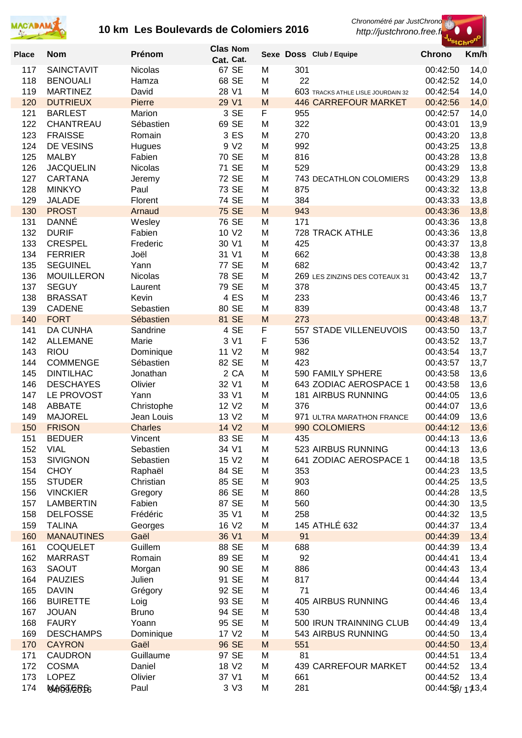

*Chronométré par JustChrono*



| <b>Place</b> | <b>Nom</b>                        | Prénom                 | <b>Clas Nom</b>            |        |            | Sexe Doss Club / Equipe                             | ≈tChr<br><b>Chrono</b> | Km/h         |
|--------------|-----------------------------------|------------------------|----------------------------|--------|------------|-----------------------------------------------------|------------------------|--------------|
| 117          | <b>SAINCTAVIT</b>                 | <b>Nicolas</b>         | Cat. Cat.<br>67 SE         | M      | 301        |                                                     | 00:42:50               | 14,0         |
| 118          | <b>BENOUALI</b>                   | Hamza                  | 68 SE                      | M      | 22         |                                                     | 00:42:52               | 14,0         |
| 119          | <b>MARTINEZ</b>                   | David                  | 28 V1                      | M      |            | 603 TRACKS ATHLE LISLE JOURDAIN 32                  | 00:42:54               | 14,0         |
| 120          | <b>DUTRIEUX</b>                   | Pierre                 | 29 V1                      | M      |            | <b>446 CARREFOUR MARKET</b>                         | 00:42:56               | 14,0         |
| 121          | <b>BARLEST</b>                    | Marion                 | 3 SE                       | F      | 955        |                                                     | 00:42:57               | 14,0         |
| 122          | CHANTREAU                         | Sébastien              | 69 SE                      | M      | 322        |                                                     | 00:43:01               | 13,9         |
| 123          | <b>FRAISSE</b>                    | Romain                 | 3 ES<br>9 V <sub>2</sub>   | M<br>M | 270        |                                                     | 00:43:20               | 13,8         |
| 124<br>125   | DE VESINS<br><b>MALBY</b>         | Hugues<br>Fabien       | 70 SE                      | M      | 992<br>816 |                                                     | 00:43:25<br>00:43:28   | 13,8<br>13,8 |
| 126          | <b>JACQUELIN</b>                  | <b>Nicolas</b>         | 71 SE                      | M      | 529        |                                                     | 00:43:29               | 13,8         |
| 127          | <b>CARTANA</b>                    | Jeremy                 | <b>72 SE</b>               | M      |            | 743 DECATHLON COLOMIERS                             | 00:43:29               | 13,8         |
| 128          | <b>MINKYO</b>                     | Paul                   | 73 SE                      | M      | 875        |                                                     | 00:43:32               | 13,8         |
| 129          | <b>JALADE</b>                     | Florent                | 74 SE                      | M      | 384        |                                                     | 00:43:33               | 13,8         |
| 130          | <b>PROST</b>                      | Arnaud                 | <b>75 SE</b>               | M      | 943        |                                                     | 00:43:36               | 13,8         |
| 131<br>132   | <b>DANNÉ</b><br><b>DURIF</b>      | Wesley<br>Fabien       | 76 SE<br>10 V <sub>2</sub> | M<br>M | 171        | 728 TRACK ATHLE                                     | 00:43:36<br>00:43:36   | 13,8<br>13,8 |
| 133          | <b>CRESPEL</b>                    | Frederic               | 30 V1                      | M      | 425        |                                                     | 00:43:37               | 13,8         |
| 134          | <b>FERRIER</b>                    | Joël                   | 31 V1                      | M      | 662        |                                                     | 00:43:38               | 13,8         |
| 135          | <b>SEGUINEL</b>                   | Yann                   | 77 SE                      | M      | 682        |                                                     | 00:43:42               | 13,7         |
| 136          | <b>MOUILLERON</b>                 | <b>Nicolas</b>         | 78 SE                      | M      |            | 269 LES ZINZINS DES COTEAUX 31                      | 00:43:42               | 13,7         |
| 137          | <b>SEGUY</b>                      | Laurent                | 79 SE                      | M      | 378        |                                                     | 00:43:45               | 13,7         |
| 138          | <b>BRASSAT</b>                    | Kevin                  | 4 ES                       | M      | 233        |                                                     | 00:43:46               | 13,7         |
| 139<br>140   | <b>CADENE</b><br><b>FORT</b>      | Sebastien<br>Sébastien | 80 SE<br>81 SE             | M<br>M | 839<br>273 |                                                     | 00:43:48<br>00:43:48   | 13,7<br>13,7 |
| 141          | <b>DA CUNHA</b>                   | Sandrine               | 4 SE                       | F      |            | 557 STADE VILLENEUVOIS                              | 00:43:50               | 13,7         |
| 142          | <b>ALLEMANE</b>                   | Marie                  | 3 V1                       | F      | 536        |                                                     | 00:43:52               | 13,7         |
| 143          | <b>RIOU</b>                       | Dominique              | 11 V2                      | M      | 982        |                                                     | 00:43:54               | 13,7         |
| 144          | <b>COMMENGE</b>                   | Sébastien              | 82 SE                      | M      | 423        |                                                     | 00:43:57               | 13,7         |
| 145          | <b>DINTILHAC</b>                  | Jonathan               | 2 CA                       | M      |            | 590 FAMILY SPHERE                                   | 00:43:58               | 13,6         |
| 146          | <b>DESCHAYES</b>                  | Olivier                | 32 V1                      | M      |            | 643 ZODIAC AEROSPACE 1<br><b>181 AIRBUS RUNNING</b> | 00:43:58               | 13,6         |
| 147<br>148   | LE PROVOST<br><b>ABBATE</b>       | Yann<br>Christophe     | 33 V1<br>12 V <sub>2</sub> | M<br>M | 376        |                                                     | 00:44:05<br>00:44:07   | 13,6<br>13,6 |
| 149          | <b>MAJOREL</b>                    | Jean Louis             | 13 V <sub>2</sub>          | M      |            | 971 ULTRA MARATHON FRANCE                           | 00:44:09               | 13,6         |
| 150          | <b>FRISON</b>                     | <b>Charles</b>         | 14 V <sub>2</sub>          | M      |            | 990 COLOMIERS                                       | 00:44:12               | 13,6         |
| 151          | <b>BEDUER</b>                     | Vincent                | 83 SE                      | M      | 435        |                                                     | 00:44:13               | 13,6         |
| 152          | <b>VIAL</b>                       | Sebastien              | 34 V1                      | M      |            | 523 AIRBUS RUNNING                                  | 00:44:13               | 13,6         |
| 153          | <b>SIVIGNON</b>                   | Sebastien              | 15 V2                      | M      |            | 641 ZODIAC AEROSPACE 1                              | 00:44:18               | 13,5         |
| 154<br>155   | <b>CHOY</b><br><b>STUDER</b>      | Raphaël<br>Christian   | 84 SE<br>85 SE             | M<br>M | 353<br>903 |                                                     | 00:44:23<br>00:44:25   | 13,5<br>13,5 |
| 156          | <b>VINCKIER</b>                   | Gregory                | 86 SE                      | M      | 860        |                                                     | 00:44:28               | 13,5         |
| 157          | <b>LAMBERTIN</b>                  | Fabien                 | 87 SE                      | M      | 560        |                                                     | 00:44:30               | 13,5         |
| 158          | <b>DELFOSSE</b>                   | Frédéric               | 35 V1                      | M      | 258        |                                                     | 00:44:32               | 13,5         |
| 159          | <b>TALINA</b>                     | Georges                | 16 V <sub>2</sub>          | M      |            | 145 ATHLÉ 632                                       | 00:44:37               | 13,4         |
| 160          | <b>MANAUTINES</b>                 | Gaël                   | 36 V1                      | M      | 91         |                                                     | 00:44:39               | 13,4         |
| 161<br>162   | <b>COQUELET</b><br><b>MARRAST</b> | Guillem<br>Romain      | 88 SE<br>89 SE             | M<br>M | 688<br>92  |                                                     | 00:44:39<br>00:44:41   | 13,4<br>13,4 |
| 163          | <b>SAOUT</b>                      | Morgan                 | 90 SE                      | M      | 886        |                                                     | 00:44:43               | 13,4         |
| 164          | <b>PAUZIES</b>                    | Julien                 | 91 SE                      | M      | 817        |                                                     | 00:44:44               | 13,4         |
| 165          | <b>DAVIN</b>                      | Grégory                | 92 SE                      | M      | 71         |                                                     | 00:44:46               | 13,4         |
| 166          | <b>BUIRETTE</b>                   | Loig                   | 93 SE                      | M      |            | 405 AIRBUS RUNNING                                  | 00:44:46               | 13,4         |
| 167          | <b>JOUAN</b>                      | <b>Bruno</b>           | 94 SE                      | M      | 530        |                                                     | 00:44:48               | 13,4         |
| 168<br>169   | <b>FAURY</b><br><b>DESCHAMPS</b>  | Yoann<br>Dominique     | 95 SE<br>17 V2             | M<br>M |            | 500 IRUN TRAINNING CLUB<br>543 AIRBUS RUNNING       | 00:44:49<br>00:44:50   | 13,4         |
| 170          | <b>CAYRON</b>                     | Gaël                   | 96 SE                      | M      | 551        |                                                     | 00:44:50               | 13,4<br>13,4 |
| 171          | <b>CAUDRON</b>                    | Guillaume              | 97 SE                      | M      | 81         |                                                     | 00:44:51               | 13,4         |
| 172          | <b>COSMA</b>                      | Daniel                 | 18 V <sub>2</sub>          | M      |            | <b>439 CARREFOUR MARKET</b>                         | 00:44:52               | 13,4         |
| 173          | <b>LOPEZ</b>                      | Olivier                | 37 V1                      | M      | 661        |                                                     | 00:44:52               | 13,4         |
| 174          | M4) 657 EB FG                     | Paul                   | 3 V3                       | M      | 281        |                                                     | 00:44:58/173,4         |              |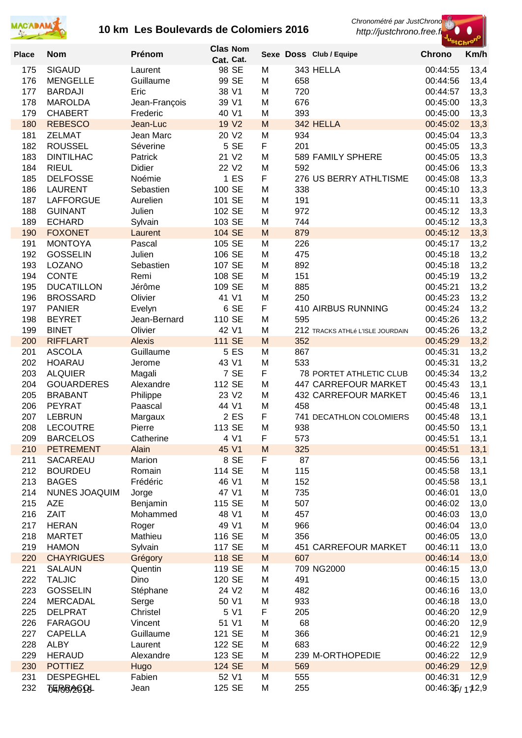



| <b>Place</b> | <b>Nom</b>                         | Prénom                  | <b>Clas Nom</b>   |        |            | Sexe Doss Club / Equipe          | <b>Chrono</b>        | "StChr <sup>o"</sup><br>Km/h |
|--------------|------------------------------------|-------------------------|-------------------|--------|------------|----------------------------------|----------------------|------------------------------|
|              |                                    |                         | Cat. Cat.         |        |            |                                  |                      |                              |
| 175          | <b>SIGAUD</b>                      | Laurent                 | 98 SE             | M      |            | 343 HELLA                        | 00:44:55             | 13,4                         |
| 176<br>177   | <b>MENGELLE</b><br><b>BARDAJI</b>  | Guillaume<br>Eric       | 99 SE<br>38 V1    | M<br>M | 658<br>720 |                                  | 00:44:56<br>00:44:57 | 13,4<br>13,3                 |
| 178          | <b>MAROLDA</b>                     | Jean-François           | 39 V1             | M      | 676        |                                  | 00:45:00             | 13,3                         |
| 179          | <b>CHABERT</b>                     | Frederic                | 40 V1             | M      | 393        |                                  | 00:45:00             | 13,3                         |
| 180          | <b>REBESCO</b>                     | Jean-Luc                | 19 V <sub>2</sub> | M      |            | 342 HELLA                        | 00:45:02             | 13,3                         |
| 181          | <b>ZELMAT</b>                      | Jean Marc               | 20 V2             | M      | 934        |                                  | 00:45:04             | 13,3                         |
| 182          | <b>ROUSSEL</b>                     | Séverine                | 5 SE              | F      | 201        |                                  | 00:45:05             | 13,3                         |
| 183          | <b>DINTILHAC</b>                   | Patrick                 | 21 V2             | M      |            | 589 FAMILY SPHERE                | 00:45:05             | 13,3                         |
| 184          | <b>RIEUL</b>                       | Didier                  | 22 V <sub>2</sub> | M      | 592        |                                  | 00:45:06             | 13,3                         |
| 185          | <b>DELFOSSE</b>                    | Noémie                  | 1 <sub>E</sub>    | F      |            | 276 US BERRY ATHLTISME           | 00:45:08             | 13,3                         |
| 186<br>187   | <b>LAURENT</b><br><b>LAFFORGUE</b> | Sebastien<br>Aurelien   | 100 SE<br>101 SE  | M<br>M | 338<br>191 |                                  | 00:45:10<br>00:45:11 | 13,3<br>13,3                 |
| 188          | <b>GUINANT</b>                     | Julien                  | 102 SE            | M      | 972        |                                  | 00:45:12             | 13,3                         |
| 189          | <b>ECHARD</b>                      | Sylvain                 | 103 SE            | M      | 744        |                                  | 00:45:12             | 13,3                         |
| 190          | <b>FOXONET</b>                     | Laurent                 | 104 SE            | M      | 879        |                                  | 00:45:12             | 13,3                         |
| 191          | <b>MONTOYA</b>                     | Pascal                  | 105 SE            | M      | 226        |                                  | 00:45:17             | 13,2                         |
| 192          | <b>GOSSELIN</b>                    | Julien                  | 106 SE            | M      | 475        |                                  | 00:45:18             | 13,2                         |
| 193          | LOZANO                             | Sebastien               | 107 SE            | M      | 892        |                                  | 00:45:18             | 13,2                         |
| 194          | <b>CONTE</b>                       | Remi                    | 108 SE            | M      | 151        |                                  | 00:45:19             | 13,2                         |
| 195          | <b>DUCATILLON</b>                  | Jérôme                  | 109 SE            | M      | 885        |                                  | 00:45:21             | 13,2                         |
| 196          | <b>BROSSARD</b>                    | Olivier                 | 41 V1             | M      | 250        |                                  | 00:45:23             | 13,2                         |
| 197          | <b>PANIER</b>                      | Evelyn                  | 6 SE              | F      |            | 410 AIRBUS RUNNING               | 00:45:24             | 13,2                         |
| 198<br>199   | <b>BEYRET</b><br><b>BINET</b>      | Jean-Bernard<br>Olivier | 110 SE<br>42 V1   | M<br>M | 595        | 212 TRACKS ATHLé L'ISLE JOURDAIN | 00:45:26<br>00:45:26 | 13,2<br>13,2                 |
| 200          | <b>RIFFLART</b>                    | <b>Alexis</b>           | <b>111 SE</b>     | M      | 352        |                                  | 00:45:29             | 13,2                         |
| 201          | <b>ASCOLA</b>                      | Guillaume               | 5 ES              | M      | 867        |                                  | 00:45:31             | 13,2                         |
| 202          | <b>HOARAU</b>                      | Jerome                  | 43 V1             | M      | 533        |                                  | 00:45:31             | 13,2                         |
| 203          | <b>ALQUIER</b>                     | Magali                  | 7 SE              | F      |            | <b>78 PORTET ATHLETIC CLUB</b>   | 00:45:34             | 13,2                         |
| 204          | <b>GOUARDERES</b>                  | Alexandre               | 112 SE            | M      |            | 447 CARREFOUR MARKET             | 00:45:43             | 13,1                         |
| 205          | <b>BRABANT</b>                     | Philippe                | 23 V2             | M      |            | <b>432 CARREFOUR MARKET</b>      | 00:45:46             | 13,1                         |
| 206          | <b>PEYRAT</b>                      | Paascal                 | 44 V1             | M      | 458        |                                  | 00:45:48             | 13,1                         |
| 207          | <b>LEBRUN</b>                      | Margaux                 | 2 ES              | F      |            | 741 DECATHLON COLOMIERS          | 00:45:48             | 13,1                         |
| 208          | <b>LECOUTRE</b>                    | Pierre                  | 113 SE            | M      | 938        |                                  | 00:45:50             | 13,1                         |
| 209          | <b>BARCELOS</b>                    | Catherine               | 4 V1<br>45 V1     | F      | 573        |                                  | 00:45:51             | 13,1                         |
| 210<br>211   | <b>PETREMENT</b><br>SACAREAU       | Alain<br>Marion         | 8 SE              | M<br>F | 325<br>87  |                                  | 00:45:51<br>00:45:56 | 13,1<br>13,1                 |
| 212          | <b>BOURDEU</b>                     | Romain                  | 114 SE            | M      | 115        |                                  | 00:45:58             | 13,1                         |
| 213          | <b>BAGES</b>                       | Frédéric                | 46 V1             | M      | 152        |                                  | 00:45:58             | 13,1                         |
| 214          | NUNES JOAQUIM                      | Jorge                   | 47 V1             | M      | 735        |                                  | 00:46:01             | 13,0                         |
| 215          | <b>AZE</b>                         | Benjamin                | 115 SE            | M      | 507        |                                  | 00:46:02             | 13,0                         |
| 216          | <b>ZAIT</b>                        | Mohammed                | 48 V1             | M      | 457        |                                  | 00:46:03             | 13,0                         |
| 217          | <b>HERAN</b>                       | Roger                   | 49 V1             | M      | 966        |                                  | 00:46:04             | 13,0                         |
| 218          | <b>MARTET</b>                      | Mathieu                 | 116 SE            | M      | 356        |                                  | 00:46:05             | 13,0                         |
| 219          | <b>HAMON</b>                       | Sylvain                 | 117 SE            | M      |            | 451 CARREFOUR MARKET             | 00:46:11             | 13,0                         |
| 220          | <b>CHAYRIGUES</b>                  | Grégory                 | 118 SE            | M      | 607        |                                  | 00:46:14             | 13,0                         |
| 221<br>222   | <b>SALAUN</b><br><b>TALJIC</b>     | Quentin<br>Dino         | 119 SE<br>120 SE  | M<br>M | 491        | 709 NG2000                       | 00:46:15<br>00:46:15 | 13,0<br>13,0                 |
| 223          | <b>GOSSELIN</b>                    | Stéphane                | 24 V2             | M      | 482        |                                  | 00:46:16             | 13,0                         |
| 224          | <b>MERCADAL</b>                    | Serge                   | 50 V1             | M      | 933        |                                  | 00:46:18             | 13,0                         |
| 225          | <b>DELPRAT</b>                     | Christel                | 5 V1              | F      | 205        |                                  | 00:46:20             | 12,9                         |
| 226          | FARAGOU                            | Vincent                 | 51 V1             | M      | 68         |                                  | 00:46:20             | 12,9                         |
| 227          | <b>CAPELLA</b>                     | Guillaume               | 121 SE            | M      | 366        |                                  | 00:46:21             | 12,9                         |
| 228          | <b>ALBY</b>                        | Laurent                 | 122 SE            | M      | 683        |                                  | 00:46:22             | 12,9                         |
| 229          | <b>HERAUD</b>                      | Alexandre               | 123 SE            | M      |            | 239 M-ORTHOPEDIE                 | 00:46:22             | 12,9                         |
| 230          | <b>POTTIEZ</b>                     | Hugo                    | 124 SE            | M      | 569        |                                  | 00:46:29             | 12,9                         |
| 231          | <b>DESPEGHEL</b>                   | Fabien                  | 52 V1             | M      | 555        |                                  | 00:46:31             | 12,9                         |
| 232          | <b><i>TERBAGPL</i></b>             | Jean                    | 125 SE            | M      | 255        |                                  | 00:46:35/172,9       |                              |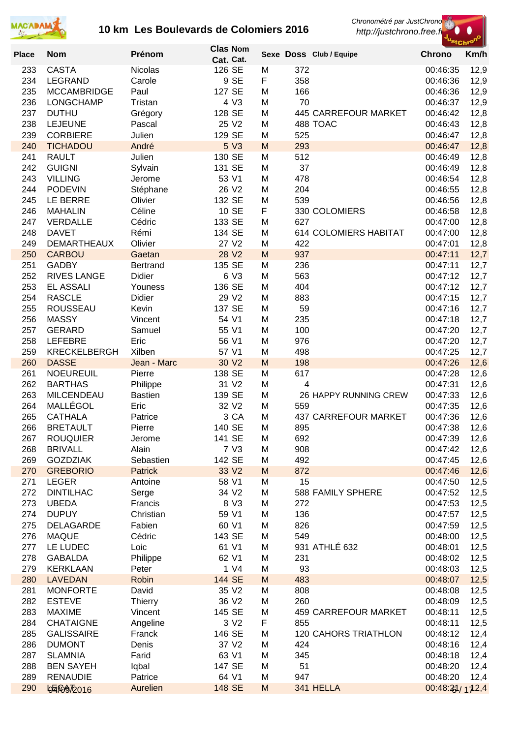



|              |                                    |                     | <b>Clas Nom</b>   |        |            |                             | ' <sup>St</sup> Chr <sup>o</sup> |              |
|--------------|------------------------------------|---------------------|-------------------|--------|------------|-----------------------------|----------------------------------|--------------|
| <b>Place</b> | <b>Nom</b>                         | Prénom              | Cat. Cat.         |        |            | Sexe Doss Club / Equipe     | <b>Chrono</b>                    | Km/h         |
| 233          | <b>CASTA</b>                       | <b>Nicolas</b>      | 126 SE            | M      | 372        |                             | 00:46:35                         | 12,9         |
| 234          | <b>LEGRAND</b>                     | Carole              | 9 SE              | F      | 358        |                             | 00:46:36                         | 12,9         |
| 235          | <b>MCCAMBRIDGE</b>                 | Paul                | 127 SE            | M      | 166        |                             | 00:46:36                         | 12,9         |
| 236          | LONGCHAMP                          | Tristan             | 4 V3              | M      | 70         |                             | 00:46:37                         | 12,9         |
| 237          | <b>DUTHU</b>                       | Grégory             | 128 SE            | M      |            | <b>445 CARREFOUR MARKET</b> | 00:46:42                         | 12,8         |
| 238          | <b>LEJEUNE</b>                     | Pascal              | 25 V2             | M      |            | 488 TOAC                    | 00:46:43                         | 12,8         |
| 239          | <b>CORBIERE</b>                    | Julien              | 129 SE            | M      | 525        |                             | 00:46:47                         | 12,8         |
| 240          | <b>TICHADOU</b>                    | André               | 5 V3              | M      | 293        |                             | 00:46:47                         | 12,8         |
| 241          | <b>RAULT</b>                       | Julien              | 130 SE            | M      | 512        |                             | 00:46:49                         | 12,8         |
| 242          | <b>GUIGNI</b>                      | Sylvain             | 131 SE            | M      | 37         |                             | 00:46:49                         | 12,8         |
| 243          | <b>VILLING</b>                     | Jerome              | 53 V1             | M      | 478        |                             | 00:46:54                         | 12,8         |
| 244          | <b>PODEVIN</b>                     | Stéphane            | 26 V2             | M      | 204        |                             | 00:46:55                         | 12,8         |
| 245          | LE BERRE                           | Olivier             | 132 SE            | M      | 539        |                             | 00:46:56                         | 12,8         |
| 246          | <b>MAHALIN</b>                     | Céline              | 10 SE<br>133 SE   | F      |            | 330 COLOMIERS               | 00:46:58                         | 12,8         |
| 247<br>248   | <b>VERDALLE</b><br><b>DAVET</b>    | Cédric<br>Rémi      | 134 SE            | M<br>M | 627        | 614 COLOMIERS HABITAT       | 00:47:00<br>00:47:00             | 12,8         |
| 249          | <b>DEMARTHEAUX</b>                 | Olivier             | 27 V2             | M      | 422        |                             | 00:47:01                         | 12,8         |
| 250          | <b>CARBOU</b>                      | Gaetan              | 28 V2             | M      | 937        |                             | 00:47:11                         | 12,8<br>12,7 |
| 251          | <b>GADBY</b>                       | <b>Bertrand</b>     | 135 SE            | M      | 236        |                             | 00:47:11                         | 12,7         |
| 252          | <b>RIVES LANGE</b>                 | Didier              | 6 V3              | M      | 563        |                             | 00:47:12                         | 12,7         |
| 253          | EL ASSALI                          | Youness             | 136 SE            | M      | 404        |                             | 00:47:12                         | 12,7         |
| 254          | <b>RASCLE</b>                      | Didier              | 29 V2             | M      | 883        |                             | 00:47:15                         | 12,7         |
| 255          | <b>ROUSSEAU</b>                    | Kevin               | 137 SE            | M      | 59         |                             | 00:47:16                         | 12,7         |
| 256          | <b>MASSY</b>                       | Vincent             | 54 V1             | M      | 235        |                             | 00:47:18                         | 12,7         |
| 257          | <b>GERARD</b>                      | Samuel              | 55 V1             | M      | 100        |                             | 00:47:20                         | 12,7         |
| 258          | <b>LEFEBRE</b>                     | Eric                | 56 V1             | M      | 976        |                             | 00:47:20                         | 12,7         |
| 259          | <b>KRECKELBERGH</b>                | Xilben              | 57 V1             | M      | 498        |                             | 00:47:25                         | 12,7         |
| 260          | <b>DASSE</b>                       | Jean - Marc         | 30 V <sub>2</sub> | M      | 198        |                             | 00:47:26                         | 12,6         |
| 261          | <b>NOEUREUIL</b>                   | Pierre              | 138 SE            | M      | 617        |                             | 00:47:28                         | 12,6         |
| 262          | <b>BARTHAS</b>                     | Philippe            | 31 V2             | M      | 4          |                             | 00:47:31                         | 12,6         |
| 263          | <b>MILCENDEAU</b>                  | <b>Bastien</b>      | 139 SE            | M      |            | 26 HAPPY RUNNING CREW       | 00:47:33                         | 12,6         |
| 264          | MALLÉGOL                           | Eric                | 32 V <sub>2</sub> | M      | 559        |                             | 00:47:35                         | 12,6         |
| 265          | <b>CATHALA</b>                     | Patrice             | 3 CA              | M      |            | 437 CARREFOUR MARKET        | 00:47:36                         | 12,6         |
| 266          | <b>BRETAULT</b>                    | Pierre              | 140 SE            | M      | 895        |                             | 00:47:38                         | 12,6         |
| 267          | <b>ROUQUIER</b>                    | Jerome              | 141 SE            | M      | 692        |                             | 00:47:39                         | 12,6         |
| 268          | <b>BRIVALL</b>                     | Alain               | 7 V3              | M      | 908        |                             | 00:47:42                         | 12,6         |
| 269          | <b>GOZDZIAK</b>                    | Sebastien           | 142 SE            | M      | 492        |                             | 00:47:45                         | 12,6         |
| 270          | <b>GREBORIO</b>                    | <b>Patrick</b>      | 33 V2             | M      | 872        |                             | 00:47:46                         | 12,6         |
| 271          | <b>LEGER</b>                       | Antoine             | 58 V1             | M      | 15         |                             | 00:47:50                         | 12,5         |
| 272          | <b>DINTILHAC</b>                   | Serge               | 34 V2             | M      |            | 588 FAMILY SPHERE           | 00:47:52                         | 12,5         |
| 273          | <b>UBEDA</b>                       | Francis             | 8 V3              | M      | 272        |                             | 00:47:53                         | 12,5         |
| 274          | <b>DUPUY</b>                       | Christian<br>Fabien | 59 V1             | M      | 136        |                             | 00:47:57                         | 12,5         |
| 275<br>276   | DELAGARDE<br><b>MAQUE</b>          | Cédric              | 60 V1<br>143 SE   | M<br>M | 826<br>549 |                             | 00:47:59<br>00:48:00             | 12,5         |
| 277          | LE LUDEC                           | Loic                | 61 V1             | M      |            | 931 ATHLÉ 632               | 00:48:01                         | 12,5<br>12,5 |
| 278          | <b>GABALDA</b>                     | Philippe            | 62 V1             | M      | 231        |                             | 00:48:02                         | 12,5         |
| 279          | <b>KERKLAAN</b>                    | Peter               | 1 V4              | M      | 93         |                             | 00:48:03                         | 12,5         |
| 280          | <b>LAVEDAN</b>                     | <b>Robin</b>        | 144 SE            | M      | 483        |                             | 00:48:07                         | 12,5         |
| 281          | <b>MONFORTE</b>                    | David               | 35 V2             | M      | 808        |                             | 00:48:08                         | 12,5         |
| 282          | <b>ESTEVE</b>                      | Thierry             | 36 V2             | M      | 260        |                             | 00:48:09                         | 12,5         |
| 283          | <b>MAXIME</b>                      | Vincent             | 145 SE            | M      |            | <b>459 CARREFOUR MARKET</b> | 00:48:11                         | 12,5         |
| 284          | <b>CHATAIGNE</b>                   | Angeline            | 3 V <sub>2</sub>  | F      | 855        |                             | 00:48:11                         | 12,5         |
| 285          | <b>GALISSAIRE</b>                  | Franck              | 146 SE            | M      |            | <b>120 CAHORS TRIATHLON</b> | 00:48:12                         | 12,4         |
| 286          | <b>DUMONT</b>                      | Denis               | 37 V2             | M      | 424        |                             | 00:48:16                         | 12,4         |
| 287          | <b>SLAMNIA</b>                     | Farid               | 63 V1             | M      | 345        |                             | 00:48:18                         | 12,4         |
| 288          | <b>BEN SAYEH</b>                   | Iqbal               | 147 SE            | M      | 51         |                             | 00:48:20                         | 12,4         |
| 289          | <b>RENAUDIE</b>                    | Patrice             | 64 V1             | M      | 947        |                             | 00:48:20                         | 12,4         |
| 290          | b <sub>4</sub> 697 <sub>2016</sub> | Aurelien            | 148 SE            | M      |            | 341 HELLA                   | 00:48:21/172,4                   |              |
|              |                                    |                     |                   |        |            |                             |                                  |              |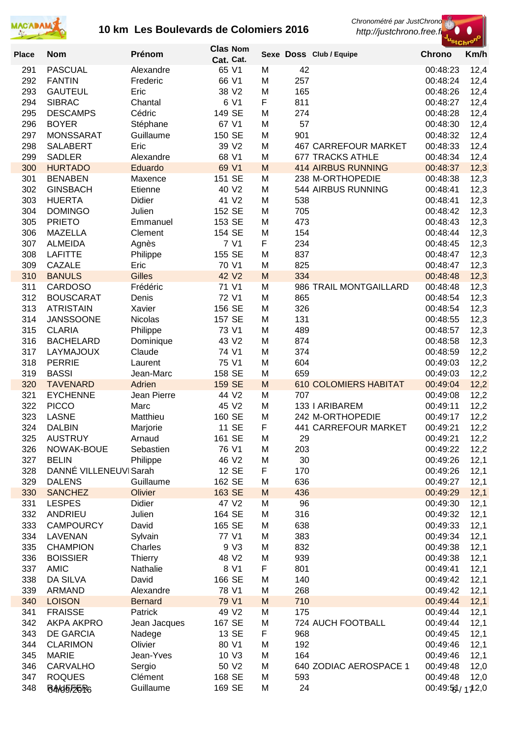



| <b>Place</b> | <b>Nom</b>                      | Prénom                  | <b>Clas Nom</b><br>Cat. Cat. |        |            | Sexe Doss Club / Equipe                  | <b>Chrono</b>        | Km/h         |
|--------------|---------------------------------|-------------------------|------------------------------|--------|------------|------------------------------------------|----------------------|--------------|
| 291          | <b>PASCUAL</b>                  | Alexandre               | 65 V1                        | M      | 42         |                                          | 00:48:23             | 12,4         |
| 292          | <b>FANTIN</b>                   | Frederic                | 66 V1                        | M      | 257        |                                          | 00:48:24             | 12,4         |
| 293          | <b>GAUTEUL</b>                  | Eric                    | 38 V2                        | M      | 165        |                                          | 00:48:26             | 12,4         |
| 294          | <b>SIBRAC</b>                   | Chantal                 | 6 V1                         | F      | 811        |                                          | 00:48:27             | 12,4         |
| 295          | <b>DESCAMPS</b>                 | Cédric                  | 149 SE                       | M      | 274        |                                          | 00:48:28             | 12,4         |
| 296          | <b>BOYER</b>                    | Stéphane                | 67 V1                        | M      | 57         |                                          | 00:48:30             | 12,4         |
| 297          | <b>MONSSARAT</b>                | Guillaume               | 150 SE                       | M      | 901        |                                          | 00:48:32             | 12,4         |
| 298          | <b>SALABERT</b>                 | Eric                    | 39 V2                        | M      |            | <b>467 CARREFOUR MARKET</b>              | 00:48:33             | 12,4         |
| 299          | <b>SADLER</b>                   | Alexandre               | 68 V1                        | M      |            | <b>677 TRACKS ATHLE</b>                  | 00:48:34             | 12,4         |
| 300          | <b>HURTADO</b>                  | Eduardo                 | 69 V1                        | M      |            | <b>414 AIRBUS RUNNING</b>                | 00:48:37             | 12,3         |
| 301          | <b>BENABEN</b>                  | Maxence                 | 151 SE                       | M      |            | 238 M-ORTHOPEDIE                         | 00:48:38             | 12,3         |
| 302          | <b>GINSBACH</b>                 | Etienne                 | 40 V2                        | М      |            | 544 AIRBUS RUNNING                       | 00:48:41             | 12,3         |
| 303          | <b>HUERTA</b>                   | Didier                  | 41 V <sub>2</sub>            | М      | 538        |                                          | 00:48:41             | 12,3         |
| 304<br>305   | <b>DOMINGO</b><br><b>PRIETO</b> | Julien<br>Emmanuel      | 152 SE<br>153 SE             | М<br>М | 705<br>473 |                                          | 00:48:42<br>00:48:43 | 12,3         |
| 306          | <b>MAZELLA</b>                  | Clement                 | 154 SE                       | M      | 154        |                                          | 00:48:44             | 12,3<br>12,3 |
| 307          | <b>ALMEIDA</b>                  | Agnès                   | 7 V1                         | F      | 234        |                                          | 00:48:45             | 12,3         |
| 308          | <b>LAFITTE</b>                  | Philippe                | 155 SE                       | M      | 837        |                                          | 00:48:47             | 12,3         |
| 309          | CAZALE                          | Eric                    | 70 V1                        | M      | 825        |                                          | 00:48:47             | 12,3         |
| 310          | <b>BANULS</b>                   | <b>Gilles</b>           | 42 V2                        | M      | 334        |                                          | 00:48:48             | 12,3         |
| 311          | <b>CARDOSO</b>                  | Frédéric                | 71 V1                        | M      |            | 986 TRAIL MONTGAILLARD                   | 00:48:48             | 12,3         |
| 312          | <b>BOUSCARAT</b>                | Denis                   | 72 V1                        | M      | 865        |                                          | 00:48:54             | 12,3         |
| 313          | <b>ATRISTAIN</b>                | Xavier                  | 156 SE                       | M      | 326        |                                          | 00:48:54             | 12,3         |
| 314          | <b>JANSSOONE</b>                | Nicolas                 | 157 SE                       | M      | 131        |                                          | 00:48:55             | 12,3         |
| 315          | <b>CLARIA</b>                   | Philippe                | 73 V1                        | M      | 489        |                                          | 00:48:57             | 12,3         |
| 316          | <b>BACHELARD</b>                | Dominique               | 43 V2                        | M      | 874        |                                          | 00:48:58             | 12,3         |
| 317          | LAYMAJOUX                       | Claude                  | 74 V1                        | M      | 374        |                                          | 00:48:59             | 12,2         |
| 318          | <b>PERRIE</b>                   | Laurent                 | 75 V1                        | M      | 604        |                                          | 00:49:03             | 12,2         |
| 319          | <b>BASSI</b>                    | Jean-Marc               | 158 SE                       | M      | 659        |                                          | 00:49:03             | 12,2         |
| 320          | <b>TAVENARD</b>                 | Adrien                  | 159 SE                       | M      |            | <b>610 COLOMIERS HABITAT</b>             | 00:49:04             | 12,2         |
| 321          | <b>EYCHENNE</b>                 | Jean Pierre             | 44 V <sub>2</sub>            | М      | 707        |                                          | 00:49:08             | 12,2         |
| 322          | <b>PICCO</b>                    | Marc                    | 45 V2                        | М      |            | 133   ARIBAREM                           | 00:49:11             | 12,2         |
| 323<br>324   | <b>LASNE</b><br><b>DALBIN</b>   | Matthieu                | 160 SE<br>11 SE              | M<br>F |            | 242 M-ORTHOPEDIE<br>441 CARREFOUR MARKET | 00:49:17<br>00:49:21 | 12,2         |
| 325          | <b>AUSTRUY</b>                  | Marjorie<br>Arnaud      | 161 SE                       | M      | 29         |                                          | 00:49:21             | 12,2<br>12,2 |
| 326          | NOWAK-BOUE                      | Sebastien               | 76 V1                        | M      | 203        |                                          | 00:49:22             | 12,2         |
| 327          | <b>BELIN</b>                    | Philippe                | 46 V2                        | M      | 30         |                                          | 00:49:26             | 12,1         |
| 328          | DANNÉ VILLENEUVI Sarah          |                         | 12 SE                        | F      | 170        |                                          | 00:49:26             | 12,1         |
| 329          | <b>DALENS</b>                   | Guillaume               | 162 SE                       | M      | 636        |                                          | 00:49:27             | 12,1         |
| 330          | <b>SANCHEZ</b>                  | Olivier                 | 163 SE                       | M      | 436        |                                          | 00:49:29             | 12,1         |
| 331          | <b>LESPES</b>                   | Didier                  | 47 V2                        | M      | 96         |                                          | 00:49:30             | 12,1         |
| 332          | ANDRIEU                         | Julien                  | 164 SE                       | M      | 316        |                                          | 00:49:32             | 12,1         |
| 333          | <b>CAMPOURCY</b>                | David                   | 165 SE                       | M      | 638        |                                          | 00:49:33             | 12,1         |
| 334          | LAVENAN                         | Sylvain                 | 77 V1                        | M      | 383        |                                          | 00:49:34             | 12,1         |
| 335          | <b>CHAMPION</b>                 | Charles                 | 9 V3                         | M      | 832        |                                          | 00:49:38             | 12,1         |
| 336          | <b>BOISSIER</b>                 | <b>Thierry</b>          | 48 V2                        | M      | 939        |                                          | 00:49:38             | 12,1         |
| 337          | <b>AMIC</b>                     | Nathalie                | 8 V1                         | F      | 801        |                                          | 00:49:41             | 12,1         |
| 338          | DA SILVA                        | David                   | 166 SE                       | M      | 140        |                                          | 00:49:42             | 12,1         |
| 339          | ARMAND                          | Alexandre               | 78 V1                        | M      | 268        |                                          | 00:49:42             | 12,1         |
| 340          | <b>LOISON</b>                   | <b>Bernard</b>          | 79 V1                        | M      | 710        |                                          | 00:49:44             | 12,1         |
| 341<br>342   | <b>FRAISSE</b><br>AKPA AKPRO    | Patrick<br>Jean Jacques | 49 V2<br>167 SE              | M<br>M | 175        | 724 AUCH FOOTBALL                        | 00:49:44<br>00:49:44 | 12,1<br>12,1 |
| 343          | DE GARCIA                       | Nadege                  | 13 SE                        | F      | 968        |                                          | 00:49:45             | 12,1         |
| 344          | <b>CLARIMON</b>                 | Olivier                 | 80 V1                        | M      | 192        |                                          | 00:49:46             | 12,1         |
| 345          | <b>MARIE</b>                    | Jean-Yves               | 10 V3                        | M      | 164        |                                          | 00:49:46             | 12,1         |
| 346          | CARVALHO                        | Sergio                  | 50 V2                        | M      |            | 640 ZODIAC AEROSPACE 1                   | 00:49:48             | 12,0         |
| 347          | <b>ROQUES</b>                   | Clément                 | 168 SE                       | M      | 593        |                                          | 00:49:48             | 12,0         |
| 348          | <b>BA/45/26R6</b>               | Guillaume               | 169 SE                       | M      | 24         |                                          | 00:49:51/172,0       |              |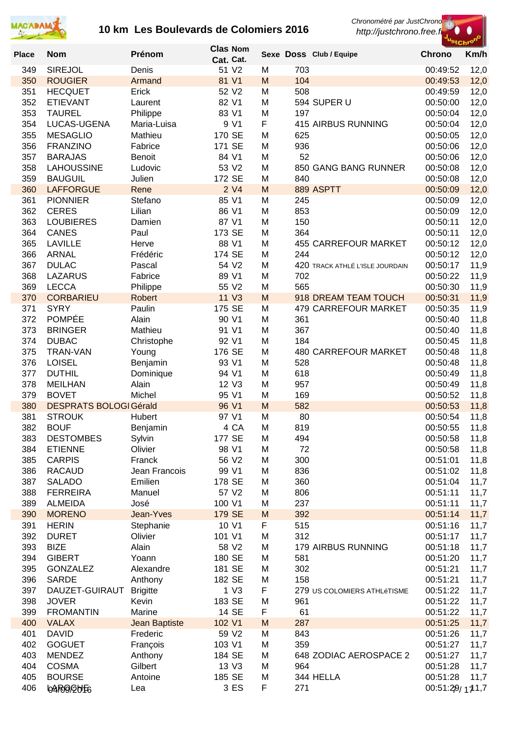



|              |                                  |                   |                  | <b>Clas Nom</b>  |           |            |                                 | 'StChro              |              |
|--------------|----------------------------------|-------------------|------------------|------------------|-----------|------------|---------------------------------|----------------------|--------------|
| <b>Place</b> | <b>Nom</b>                       | Prénom            |                  | Cat. Cat.        |           |            | Sexe Doss Club / Equipe         | <b>Chrono</b>        | Km/h         |
| 349          | <b>SIREJOL</b>                   | Denis             |                  | 51 V2            | M         | 703        |                                 | 00:49:52             | 12,0         |
| 350          | <b>ROUGIER</b>                   | Armand            |                  | 81 V1            | M         | 104        |                                 | 00:49:53             | 12,0         |
| 351          | <b>HECQUET</b>                   | Erick             |                  | 52 V2            | M         | 508        |                                 | 00:49:59             | 12,0         |
| 352          | <b>ETIEVANT</b>                  | Laurent           |                  | 82 V1            | M         |            | 594 SUPER U                     | 00:50:00             | 12,0         |
| 353          | <b>TAUREL</b>                    | Philippe          |                  | 83 V1            | M         | 197        |                                 | 00:50:04             | 12,0         |
| 354          | LUCAS-UGENA                      | Maria-Luisa       |                  | 9 V1             | F         |            | 415 AIRBUS RUNNING              | 00:50:04             | 12,0         |
| 355          | <b>MESAGLIO</b>                  | Mathieu           | 170 SE           |                  | M         | 625        |                                 | 00:50:05             | 12,0         |
| 356          | <b>FRANZINO</b>                  | Fabrice           | 171 SE           |                  | M         | 936        |                                 | 00:50:06             | 12,0         |
| 357          | <b>BARAJAS</b>                   | Benoit            |                  | 84 V1            | M         | 52         |                                 | 00:50:06             | 12,0         |
| 358          | <b>LAHOUSSINE</b>                | Ludovic           |                  | 53 V2            | M         |            | 850 GANG BANG RUNNER            | 00:50:08             | 12,0         |
| 359          | <b>BAUGUIL</b>                   | Julien            | 172 SE           |                  | M         | 840        |                                 | 00:50:08             | 12,0         |
| 360          | <b>LAFFORGUE</b>                 | Rene              |                  | 2 <sub>V</sub> 4 | M         |            | 889 ASPTT                       | 00:50:09             | 12,0         |
| 361          | <b>PIONNIER</b>                  | Stefano           |                  | 85 V1            | M         | 245        |                                 | 00:50:09             | 12,0         |
| 362          | <b>CERES</b>                     | Lilian            |                  | 86 V1<br>87 V1   | M         | 853<br>150 |                                 | 00:50:09             | 12,0         |
| 363<br>364   | <b>LOUBIERES</b><br><b>CANES</b> | Damien<br>Paul    | 173 SE           |                  | M<br>M    | 364        |                                 | 00:50:11<br>00:50:11 | 12,0         |
| 365          | <b>LAVILLE</b>                   | Herve             |                  | 88 V1            | M         |            | <b>455 CARREFOUR MARKET</b>     | 00:50:12             | 12,0<br>12,0 |
| 366          | <b>ARNAL</b>                     | Frédéric          | 174 SE           |                  | M         | 244        |                                 | 00:50:12             | 12,0         |
| 367          | <b>DULAC</b>                     | Pascal            |                  | 54 V2            | M         |            | 420 TRACK ATHLÉ L'ISLE JOURDAIN | 00:50:17             | 11,9         |
| 368          | <b>LAZARUS</b>                   | Fabrice           |                  | 89 V1            | M         | 702        |                                 | 00:50:22             | 11,9         |
| 369          | <b>LECCA</b>                     | Philippe          |                  | 55 V2            | M         | 565        |                                 | 00:50:30             | 11,9         |
| 370          | <b>CORBARIEU</b>                 | <b>Robert</b>     |                  | 11 V3            | M         |            | 918 DREAM TEAM TOUCH            | 00:50:31             | 11,9         |
| 371          | <b>SYRY</b>                      | Paulin            | 175 SE           |                  | M         |            | 479 CARREFOUR MARKET            | 00:50:35             | 11,9         |
| 372          | <b>POMPÉE</b>                    | Alain             |                  | 90 V1            | M         | 361        |                                 | 00:50:40             | 11,8         |
| 373          | <b>BRINGER</b>                   | Mathieu           |                  | 91 V1            | M         | 367        |                                 | 00:50:40             | 11,8         |
| 374          | <b>DUBAC</b>                     | Christophe        |                  | 92 V1            | M         | 184        |                                 | 00:50:45             | 11,8         |
| 375          | <b>TRAN-VAN</b>                  | Young             | 176 SE           |                  | M         |            | <b>480 CARREFOUR MARKET</b>     | 00:50:48             | 11,8         |
| 376          | <b>LOISEL</b>                    | Benjamin          |                  | 93 V1            | M         | 528        |                                 | 00:50:48             | 11,8         |
| 377          | <b>DUTHIL</b>                    | Dominique         |                  | 94 V1            | M         | 618        |                                 | 00:50:49             | 11,8         |
| 378          | <b>MEILHAN</b>                   | Alain             |                  | 12 V3            | M         | 957        |                                 | 00:50:49             | 11,8         |
| 379          | <b>BOVET</b>                     | Michel            |                  | 95 V1            | M         | 169        |                                 | 00:50:52             | 11,8         |
| 380          | <b>DESPRATS BOLOGI Gérald</b>    |                   |                  | 96 V1            | M         | 582        |                                 | 00:50:53             | 11,8         |
| 381          | <b>STROUK</b>                    | Hubert            |                  | 97 V1            | M         | 80         |                                 | 00:50:54             | 11,8         |
| 382          | <b>BOUF</b>                      | Benjamin          |                  | 4 CA             | M         | 819        |                                 | 00:50:55             | 11,8         |
| 383          | <b>DESTOMBES</b>                 | Sylvin            | 177 SE           |                  | M         | 494        |                                 | 00:50:58             | 11,8         |
| 384          | <b>ETIENNE</b>                   | Olivier           |                  | 98 V1            | M         | 72         |                                 | 00:50:58             | 11,8         |
| 385          | <b>CARPIS</b>                    | Franck            |                  | 56 V2            | M         | 300        |                                 | 00:51:01             | 11,8         |
| 386          | <b>RACAUD</b>                    | Jean Francois     |                  | 99 V1            | M         | 836        |                                 | 00:51:02             | 11,8         |
| 387          | <b>SALADO</b>                    | Emilien           | 178 SE           |                  | M         | 360        |                                 | 00:51:04             | 11,7         |
| 388          | <b>FERREIRA</b>                  | Manuel            |                  | 57 V2            | M         | 806        |                                 | 00:51:11             | 11,7         |
| 389<br>390   | <b>ALMEIDA</b><br><b>MORENO</b>  | José<br>Jean-Yves | 100 V1<br>179 SE |                  | M<br>M    | 237<br>392 |                                 | 00:51:11<br>00:51:14 | 11,7<br>11,7 |
| 391          | <b>HERIN</b>                     | Stephanie         |                  | 10 V1            | F         | 515        |                                 | 00:51:16             | 11,7         |
| 392          | <b>DURET</b>                     | Olivier           | 101 V1           |                  | M         | 312        |                                 | 00:51:17             | 11,7         |
| 393          | <b>BIZE</b>                      | Alain             |                  | 58 V2            | M         |            | 179 AIRBUS RUNNING              | 00:51:18             | 11,7         |
| 394          | <b>GIBERT</b>                    | Yoann             | 180 SE           |                  | M         | 581        |                                 | 00:51:20             | 11,7         |
| 395          | <b>GONZALEZ</b>                  | Alexandre         | 181 SE           |                  | M         | 302        |                                 | 00:51:21             | 11,7         |
| 396          | <b>SARDE</b>                     | Anthony           | 182 SE           |                  | M         | 158        |                                 | 00:51:21             | 11,7         |
| 397          | DAUZET-GUIRAUT                   | <b>Brigitte</b>   |                  | 1 <sub>V3</sub>  | F         |            | 279 US COLOMIERS ATHLéTISME     | 00:51:22             | 11,7         |
| 398          | <b>JOVER</b>                     | Kevin             | 183 SE           |                  | M         | 961        |                                 | 00:51:22             | 11,7         |
| 399          | <b>FROMANTIN</b>                 | Marine            |                  | 14 SE            | F         | 61         |                                 | 00:51:22             | 11,7         |
| 400          | <b>VALAX</b>                     | Jean Baptiste     | 102 V1           |                  | ${\sf M}$ | 287        |                                 | 00:51:25             | 11,7         |
| 401          | <b>DAVID</b>                     | Frederic          |                  | 59 V2            | M         | 843        |                                 | 00:51:26             | 11,7         |
| 402          | <b>GOGUET</b>                    | François          | 103 V1           |                  | M         | 359        |                                 | 00:51:27             | 11,7         |
| 403          | <b>MENDEZ</b>                    | Anthony           | 184 SE           |                  | M         |            | 648 ZODIAC AEROSPACE 2          | 00:51:27             | 11,7         |
| 404          | <b>COSMA</b>                     | Gilbert           |                  | 13 V3            | M         | 964        |                                 | 00:51:28             | 11,7         |
| 405          | <b>BOURSE</b>                    | Antoine           | 185 SE           |                  | M         |            | 344 HELLA                       | 00:51:28             | 11,7         |
| 406          | <b>64R09/20F6</b>                | Lea               |                  | 3 ES             | F         | 271        |                                 | 00:51:29/111.7       |              |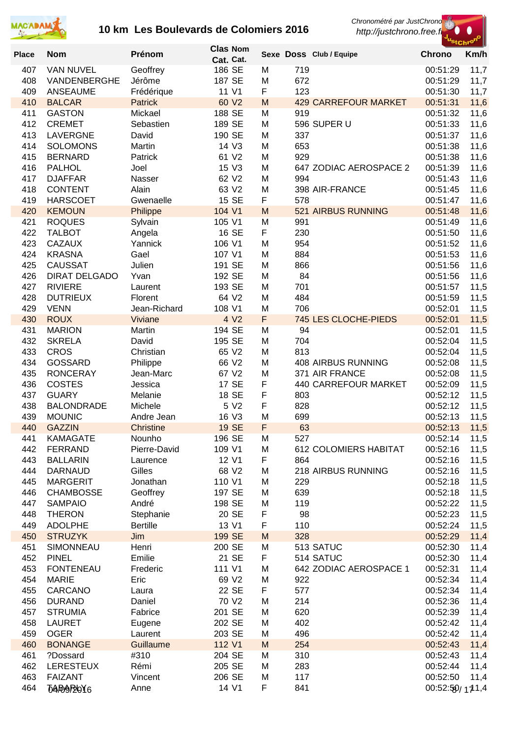



| <b>Place</b> | <b>Nom</b>                         | Prénom                         | <b>Clas Nom</b>     |        |            | Sexe Doss Club / Equipe              | <b>Chrono</b>        | "StChr <sup>o"</sup><br>Km/h |
|--------------|------------------------------------|--------------------------------|---------------------|--------|------------|--------------------------------------|----------------------|------------------------------|
| 407          | <b>VAN NUVEL</b>                   | Geoffrey                       | Cat. Cat.<br>186 SE | M      | 719        |                                      | 00:51:29             | 11,7                         |
| 408          | VANDENBERGHE                       | Jérôme                         | 187 SE              | M      | 672        |                                      | 00:51:29             | 11,7                         |
| 409          | <b>ANSEAUME</b>                    | Frédérique                     | 11 V1               | F      | 123        |                                      | 00:51:30             | 11,7                         |
| 410<br>411   | <b>BALCAR</b><br><b>GASTON</b>     | <b>Patrick</b><br>Mickael      | 60 V2<br>188 SE     | M<br>M | 919        | <b>429 CARREFOUR MARKET</b>          | 00:51:31<br>00:51:32 | 11,6<br>11,6                 |
| 412          | <b>CREMET</b>                      | Sebastien                      | 189 SE              | M      |            | 596 SUPER U                          | 00:51:33             | 11,6                         |
| 413          | <b>LAVERGNE</b>                    | David                          | 190 SE              | M      | 337        |                                      | 00:51:37             | 11,6                         |
| 414          | <b>SOLOMONS</b>                    | Martin                         | 14 V3<br>61 V2      | M      | 653        |                                      | 00:51:38             | 11,6                         |
| 415<br>416   | <b>BERNARD</b><br><b>PALHOL</b>    | Patrick<br>Joel                | 15 V3               | M<br>M | 929        | 647 ZODIAC AEROSPACE 2               | 00:51:38<br>00:51:39 | 11,6<br>11,6                 |
| 417          | <b>DJAFFAR</b>                     | Nasser                         | 62 V2               | M      | 994        |                                      | 00:51:43             | 11,6                         |
| 418          | <b>CONTENT</b>                     | Alain                          | 63 V2               | M      |            | 398 AIR-FRANCE                       | 00:51:45             | 11,6                         |
| 419<br>420   | <b>HARSCOET</b><br><b>KEMOUN</b>   | Gwenaelle<br>Philippe          | 15 SE<br>104 V1     | F<br>M | 578        | 521 AIRBUS RUNNING                   | 00:51:47<br>00:51:48 | 11,6                         |
| 421          | <b>ROQUES</b>                      | Sylvain                        | 105 V1              | M      | 991        |                                      | 00:51:49             | 11,6<br>11,6                 |
| 422          | <b>TALBOT</b>                      | Angela                         | 16 SE               | F      | 230        |                                      | 00:51:50             | 11,6                         |
| 423          | <b>CAZAUX</b>                      | Yannick                        | 106 V1              | M      | 954        |                                      | 00:51:52             | 11,6                         |
| 424<br>425   | <b>KRASNA</b><br><b>CAUSSAT</b>    | Gael<br>Julien                 | 107 V1<br>191 SE    | M<br>M | 884<br>866 |                                      | 00:51:53<br>00:51:56 | 11,6<br>11,6                 |
| 426          | <b>DIRAT DELGADO</b>               | Yvan                           | 192 SE              | M      | 84         |                                      | 00:51:56             | 11,6                         |
| 427          | <b>RIVIERE</b>                     | Laurent                        | 193 SE              | M      | 701        |                                      | 00:51:57             | 11,5                         |
| 428          | <b>DUTRIEUX</b>                    | Florent                        | 64 V2               | M      | 484        |                                      | 00:51:59             | 11,5                         |
| 429<br>430   | <b>VENN</b><br><b>ROUX</b>         | Jean-Richard<br>Viviane        | 108 V1<br>4 V2      | M<br>F | 706        | 745 LES CLOCHE-PIEDS                 | 00:52:01<br>00:52:01 | 11,5<br>11,5                 |
| 431          | <b>MARION</b>                      | Martin                         | 194 SE              | M      | 94         |                                      | 00:52:01             | 11,5                         |
| 432          | <b>SKRELA</b>                      | David                          | 195 SE              | M      | 704        |                                      | 00:52:04             | 11,5                         |
| 433          | <b>CROS</b>                        | Christian                      | 65 V2               | M      | 813        |                                      | 00:52:04             | 11,5                         |
| 434<br>435   | <b>GOSSARD</b><br><b>RONCERAY</b>  | Philippe<br>Jean-Marc          | 66 V2<br>67 V2      | M<br>M |            | 408 AIRBUS RUNNING<br>371 AIR FRANCE | 00:52:08<br>00:52:08 | 11,5<br>11,5                 |
| 436          | <b>COSTES</b>                      | Jessica                        | 17 SE               | F      |            | 440 CARREFOUR MARKET                 | 00:52:09             | 11,5                         |
| 437          | <b>GUARY</b>                       | Melanie                        | 18 SE               | F      | 803        |                                      | 00:52:12             | 11,5                         |
| 438<br>439   | <b>BALONDRADE</b>                  | Michele                        | 5 V2<br>16 V3       | F      | 828<br>699 |                                      | 00:52:12             | 11,5                         |
| 440          | <b>MOUNIC</b><br><b>GAZZIN</b>     | Andre Jean<br><b>Christine</b> | <b>19 SE</b>        | M<br>F | 63         |                                      | 00:52:13<br>00:52:13 | 11,5<br>11,5                 |
| 441          | <b>KAMAGATE</b>                    | Nounho                         | 196 SE              | M      | 527        |                                      | 00:52:14             | 11,5                         |
| 442          | <b>FERRAND</b>                     | Pierre-David                   | 109 V1              | M      |            | <b>612 COLOMIERS HABITAT</b>         | 00:52:16             | 11,5                         |
| 443<br>444   | <b>BALLARIN</b><br><b>DARNAUD</b>  | Laurence<br>Gilles             | 12 V1<br>68 V2      | F<br>M | 864        | 218 AIRBUS RUNNING                   | 00:52:16<br>00:52:16 | 11,5<br>11,5                 |
| 445          | <b>MARGERIT</b>                    | Jonathan                       | 110 V1              | M      | 229        |                                      | 00:52:18             | 11,5                         |
| 446          | <b>CHAMBOSSE</b>                   | Geoffrey                       | 197 SE              | M      | 639        |                                      | 00:52:18             | 11,5                         |
| 447          | <b>SAMPAIO</b>                     | André                          | 198 SE              | M      | 119        |                                      | 00:52:22             | 11,5                         |
| 448<br>449   | <b>THERON</b><br><b>ADOLPHE</b>    | Stephanie<br><b>Bertille</b>   | 20 SE<br>13 V1      | F<br>F | 98<br>110  |                                      | 00:52:23<br>00:52:24 | 11,5<br>11,5                 |
| 450          | <b>STRUZYK</b>                     | Jim                            | 199 SE              | M      | 328        |                                      | 00:52:29             | 11,4                         |
| 451          | SIMONNEAU                          | Henri                          | 200 SE              | M      |            | 513 SATUC                            | 00:52:30             | 11,4                         |
| 452<br>453   | <b>PINEL</b><br><b>FONTENEAU</b>   | Emilie<br>Frederic             | 21 SE<br>111 V1     | F<br>M |            | 514 SATUC<br>642 ZODIAC AEROSPACE 1  | 00:52:30<br>00:52:31 | 11,4                         |
| 454          | <b>MARIE</b>                       | Eric                           | 69 V2               | M      | 922        |                                      | 00:52:34             | 11,4<br>11,4                 |
| 455          | CARCANO                            | Laura                          | 22 SE               | F      | 577        |                                      | 00:52:34             | 11,4                         |
| 456          | <b>DURAND</b>                      | Daniel                         | 70 V2               | M      | 214        |                                      | 00:52:36             | 11,4                         |
| 457<br>458   | <b>STRUMIA</b><br><b>LAURET</b>    | Fabrice<br>Eugene              | 201 SE<br>202 SE    | M<br>M | 620<br>402 |                                      | 00:52:39<br>00:52:42 | 11,4<br>11,4                 |
| 459          | <b>OGER</b>                        | Laurent                        | 203 SE              | M      | 496        |                                      | 00:52:42             | 11,4                         |
| 460          | <b>BONANGE</b>                     | Guillaume                      | 112 V1              | M      | 254        |                                      | 00:52:43             | 11,4                         |
| 461          | ?Dossard                           | #310                           | 204 SE              | M      | 310        |                                      | 00:52:43             | 11,4                         |
| 462<br>463   | <b>LERESTEUX</b><br><b>FAIZANT</b> | Rémi<br>Vincent                | 205 SE<br>206 SE    | M<br>M | 283<br>117 |                                      | 00:52:44<br>00:52:50 | 11,4<br>11,4                 |
| 464          | <b>Ⴆ₳</b> ₱₿₱₧6                    | Anne                           | 14 V1               | F      | 841        |                                      | 00:52:50/111.4       |                              |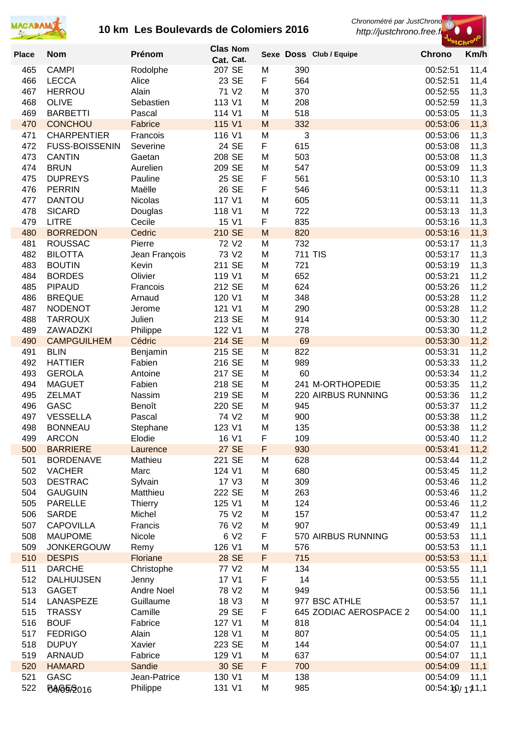



| <b>Place</b> | <b>Nom</b>                      | Prénom              | <b>Clas Nom</b>       |        |                | Sexe Doss Club / Equipe | <b>Chrono</b>        | Km/h         |
|--------------|---------------------------------|---------------------|-----------------------|--------|----------------|-------------------------|----------------------|--------------|
|              |                                 |                     | Cat. Cat.             |        |                |                         |                      |              |
| 465          | <b>CAMPI</b>                    | Rodolphe            | 207 SE                | M      | 390            |                         | 00:52:51             | 11,4         |
| 466          | <b>LECCA</b>                    | Alice               | 23 SE                 | F      | 564            |                         | 00:52:51<br>00:52:55 | 11,4         |
| 467<br>468   | <b>HERROU</b><br><b>OLIVE</b>   | Alain<br>Sebastien  | 71 V2<br>113 V1       | M<br>M | 370<br>208     |                         | 00:52:59             | 11,3         |
| 469          | <b>BARBETTI</b>                 | Pascal              | 114 V1                | M      | 518            |                         | 00:53:05             | 11,3<br>11,3 |
| 470          | <b>CONCHOU</b>                  | Fabrice             | 115 V1                | M      | 332            |                         | 00:53:06             | 11,3         |
| 471          | <b>CHARPENTIER</b>              | Francois            | 116 V1                | M      | 3              |                         | 00:53:06             | 11,3         |
| 472          | <b>FUSS-BOISSENIN</b>           | Severine            | 24 SE                 | F      | 615            |                         | 00:53:08             | 11,3         |
| 473          | <b>CANTIN</b>                   | Gaetan              | 208 SE                | M      | 503            |                         | 00:53:08             | 11,3         |
| 474          | <b>BRUN</b>                     | Aurelien            | 209 SE                | M      | 547            |                         | 00:53:09             | 11,3         |
| 475          | <b>DUPREYS</b>                  | Pauline             | 25 SE                 | F      | 561            |                         | 00:53:10             | 11,3         |
| 476          | <b>PERRIN</b>                   | Maëlle              | 26 SE                 | F      | 546            |                         | 00:53:11             | 11,3         |
| 477          | <b>DANTOU</b>                   | Nicolas             | 117 V1                | M      | 605            |                         | 00:53:11             | 11,3         |
| 478          | <b>SICARD</b>                   | Douglas             | 118 V1                | M      | 722            |                         | 00:53:13             | 11,3         |
| 479          | <b>LITRE</b>                    | Cecile              | 15 V1                 | F      | 835            |                         | 00:53:16             | 11,3         |
| 480          | <b>BORREDON</b>                 | Cedric              | 210 SE                | M      | 820            |                         | 00:53:16             | 11,3         |
| 481          | <b>ROUSSAC</b>                  | Pierre              | 72 V2                 | M      | 732            |                         | 00:53:17             | 11,3         |
| 482          | <b>BILOTTA</b>                  | Jean François       | 73 V2                 | M      | <b>711 TIS</b> |                         | 00:53:17             | 11,3         |
| 483          | <b>BOUTIN</b>                   | Kevin               | 211 SE                | M      | 721            |                         | 00:53:19<br>00:53:21 | 11,3         |
| 484<br>485   | <b>BORDES</b><br><b>PIPAUD</b>  | Olivier<br>Francois | 119 V1<br>212 SE      | M<br>M | 652<br>624     |                         | 00:53:26             | 11,2<br>11,2 |
| 486          | <b>BREQUE</b>                   | Arnaud              | 120 V1                | M      | 348            |                         | 00:53:28             | 11,2         |
| 487          | <b>NODENOT</b>                  | Jerome              | 121 V1                | M      | 290            |                         | 00:53:28             | 11,2         |
| 488          | <b>TARROUX</b>                  | Julien              | 213 SE                | M      | 914            |                         | 00:53:30             | 11,2         |
| 489          | ZAWADZKI                        | Philippe            | 122 V1                | M      | 278            |                         | 00:53:30             | 11,2         |
| 490          | <b>CAMPGUILHEM</b>              | Cédric              | 214 SE                | M      | 69             |                         | 00:53:30             | 11,2         |
| 491          | <b>BLIN</b>                     | Benjamin            | 215 SE                | M      | 822            |                         | 00:53:31             | 11,2         |
| 492          | <b>HATTIER</b>                  | Fabien              | 216 SE                | M      | 989            |                         | 00:53:33             | 11,2         |
| 493          | <b>GEROLA</b>                   | Antoine             | 217 SE                | M      | 60             |                         | 00:53:34             | 11,2         |
| 494          | <b>MAGUET</b>                   | Fabien              | 218 SE                | M      |                | 241 M-ORTHOPEDIE        | 00:53:35             | 11,2         |
| 495          | <b>ZELMAT</b>                   | Nassim              | 219 SE                | M      |                | 220 AIRBUS RUNNING      | 00:53:36             | 11,2         |
| 496          | <b>GASC</b>                     | Benoît              | 220 SE                | M      | 945            |                         | 00:53:37             | 11,2         |
| 497          | <b>VESSELLA</b>                 | Pascal              | 74 V2                 | M      | 900            |                         | 00:53:38             | 11,2         |
| 498          | <b>BONNEAU</b>                  | Stephane            | 123 V1                | M      | 135            |                         | 00:53:38             | 11,2         |
| 499          | <b>ARCON</b><br><b>BARRIERE</b> | Elodie              | 16 V1<br><b>27 SE</b> | F<br>F | 109<br>930     |                         | 00:53:40<br>00:53:41 | 11,2         |
| 500<br>501   | <b>BORDENAVE</b>                | Laurence<br>Mathieu | 221 SE                | M      | 628            |                         | 00:53:44             | 11,2<br>11,2 |
| 502          | <b>VACHER</b>                   | Marc                | 124 V1                | M      | 680            |                         | 00:53:45             | 11,2         |
| 503          | <b>DESTRAC</b>                  | Sylvain             | 17 V3                 | M      | 309            |                         | 00:53:46             | 11,2         |
| 504          | <b>GAUGUIN</b>                  | Matthieu            | 222 SE                | M      | 263            |                         | 00:53:46             | 11,2         |
| 505          | <b>PARELLE</b>                  | Thierry             | 125 V1                | M      | 124            |                         | 00:53:46             | 11,2         |
| 506          | <b>SARDE</b>                    | Michel              | 75 V2                 | M      | 157            |                         | 00:53:47             | 11,2         |
| 507          | <b>CAPOVILLA</b>                | Francis             | 76 V2                 | M      | 907            |                         | 00:53:49             | 11,1         |
| 508          | <b>MAUPOME</b>                  | Nicole              | 6 V <sub>2</sub>      | F      |                | 570 AIRBUS RUNNING      | 00:53:53             | 11,1         |
| 509          | <b>JONKERGOUW</b>               | Remy                | 126 V1                | M      | 576            |                         | 00:53:53             | 11,1         |
| 510          | <b>DESPIS</b>                   | Floriane            | 28 SE                 | F      | 715            |                         | 00:53:53             | 11,1         |
| 511          | <b>DARCHE</b>                   | Christophe          | 77 V2                 | M      | 134            |                         | 00:53:55             | 11,1         |
| 512          | <b>DALHUIJSEN</b>               | Jenny               | 17 V1                 | F      | 14             |                         | 00:53:55             | 11,1         |
| 513          | <b>GAGET</b>                    | <b>Andre Noel</b>   | 78 V2                 | M      | 949            |                         | 00:53:56             | 11,1         |
| 514          | <b>LANASPEZE</b>                | Guillaume           | 18 V3                 | M      |                | 977 BSC ATHLE           | 00:53:57             | 11,1         |
| 515          | <b>TRASSY</b>                   | Camille             | 29 SE<br>127 V1       | F      |                | 645 ZODIAC AEROSPACE 2  | 00:54:00             | 11,1         |
| 516<br>517   | <b>BOUF</b><br><b>FEDRIGO</b>   | Fabrice<br>Alain    | 128 V1                | M<br>M | 818<br>807     |                         | 00:54:04<br>00:54:05 | 11,1<br>11,1 |
| 518          | <b>DUPUY</b>                    | Xavier              | 223 SE                | M      | 144            |                         | 00:54:07             | 11,1         |
| 519          | ARNAUD                          | Fabrice             | 129 V1                | M      | 637            |                         | 00:54:07             | 11,1         |
| 520          | <b>HAMARD</b>                   | Sandie              | 30 SE                 | F      | 700            |                         | 00:54:09             | 11,1         |
| 521          | GASC                            | Jean-Patrice        | 130 V1                | M      | 138            |                         | 00:54:09             | 11,1         |
| 522          | 64/65/2016                      | Philippe            | 131 V1                | M      | 985            |                         | 00:54:19/171.1       |              |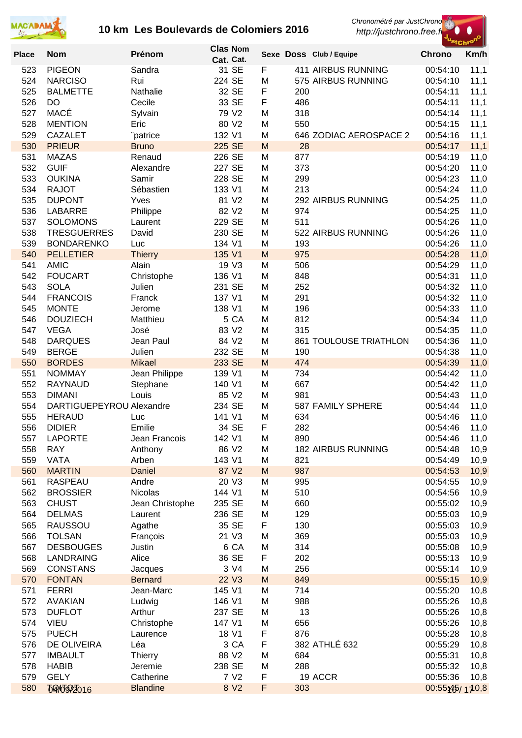

**Clas Nom** 

*Chronométré par JustChrono*

 *http://justchrono.free.fr*



| <b>Place</b> | <b>Nom</b>                            | Prénom                    |        | ∪ias nom<br>Cat. Cat. |        |            | Sexe Doss Club / Equipe   | <b>Chrono</b>        | Km/h         |
|--------------|---------------------------------------|---------------------------|--------|-----------------------|--------|------------|---------------------------|----------------------|--------------|
| 523          | <b>PIGEON</b>                         | Sandra                    |        | 31 SE                 | F      |            | 411 AIRBUS RUNNING        | 00:54:10             | 11,1         |
| 524          | <b>NARCISO</b>                        | Rui                       | 224 SE |                       | M      |            | 575 AIRBUS RUNNING        | 00:54:10             | 11,1         |
| 525          | <b>BALMETTE</b>                       | Nathalie                  |        | 32 SE                 | F      | 200        |                           | 00:54:11             | 11,1         |
| 526          | DO                                    | Cecile                    |        | 33 SE                 | F      | 486        |                           | 00:54:11             | 11,1         |
| 527          | MACÉ                                  | Sylvain                   |        | 79 V2                 | M      | 318        |                           | 00:54:14             | 11,1         |
| 528          | <b>MENTION</b>                        | Eric                      |        | 80 V2                 | M      | 550        |                           | 00:54:15             | 11,1         |
| 529          | <b>CAZALET</b>                        | "patrice                  | 132 V1 |                       | M      |            | 646 ZODIAC AEROSPACE 2    | 00:54:16             | 11,1         |
| 530          | <b>PRIEUR</b>                         | <b>Bruno</b>              | 225 SE |                       | M      | 28         |                           | 00:54:17             | 11,1         |
| 531          | <b>MAZAS</b>                          | Renaud                    | 226 SE |                       | M      | 877        |                           | 00:54:19             | 11,0         |
| 532          | <b>GUIF</b>                           | Alexandre                 | 227 SE |                       | M      | 373        |                           | 00:54:20             | 11,0         |
| 533          | <b>OUKINA</b>                         | Samir                     | 228 SE |                       | M      | 299        |                           | 00:54:23             | 11,0         |
| 534          | <b>RAJOT</b>                          | Sébastien                 | 133 V1 |                       | M      | 213        |                           | 00:54:24             | 11,0         |
| 535          | <b>DUPONT</b>                         | Yves                      |        | 81 V2                 | M      |            | 292 AIRBUS RUNNING        | 00:54:25             | 11,0         |
| 536          | <b>LABARRE</b>                        | Philippe                  | 229 SE | 82 V2                 | M<br>M | 974        |                           | 00:54:25             | 11,0         |
| 537          | <b>SOLOMONS</b><br><b>TRESGUERRES</b> | Laurent                   | 230 SE |                       | M      | 511        | 522 AIRBUS RUNNING        | 00:54:26<br>00:54:26 | 11,0         |
| 538<br>539   | <b>BONDARENKO</b>                     | David                     | 134 V1 |                       | M      | 193        |                           | 00:54:26             | 11,0         |
| 540          | <b>PELLETIER</b>                      | Luc<br><b>Thierry</b>     | 135 V1 |                       | M      | 975        |                           | 00:54:28             | 11,0<br>11,0 |
| 541          | <b>AMIC</b>                           | Alain                     |        | 19 V3                 | M      | 506        |                           | 00:54:29             | 11,0         |
| 542          | <b>FOUCART</b>                        | Christophe                | 136 V1 |                       | M      | 848        |                           | 00:54:31             | 11,0         |
| 543          | <b>SOLA</b>                           | Julien                    | 231 SE |                       | M      | 252        |                           | 00:54:32             | 11,0         |
| 544          | <b>FRANCOIS</b>                       | Franck                    | 137 V1 |                       | M      | 291        |                           | 00:54:32             | 11,0         |
| 545          | <b>MONTE</b>                          | Jerome                    | 138 V1 |                       | M      | 196        |                           | 00:54:33             | 11,0         |
| 546          | <b>DOUZIECH</b>                       | Matthieu                  |        | 5 CA                  | M      | 812        |                           | 00:54:34             | 11,0         |
| 547          | <b>VEGA</b>                           | José                      |        | 83 V2                 | M      | 315        |                           | 00:54:35             | 11,0         |
| 548          | <b>DARQUES</b>                        | Jean Paul                 |        | 84 V2                 | M      |            | 861 TOULOUSE TRIATHLON    | 00:54:36             | 11,0         |
| 549          | <b>BERGE</b>                          | Julien                    | 232 SE |                       | M      | 190        |                           | 00:54:38             | 11,0         |
| 550          | <b>BORDES</b>                         | <b>Mikael</b>             | 233 SE |                       | M      | 474        |                           | 00:54:39             | 11,0         |
| 551          | <b>NOMMAY</b>                         | Jean Philippe             | 139 V1 |                       | M      | 734        |                           | 00:54:42             | 11,0         |
| 552          | <b>RAYNAUD</b>                        | Stephane                  | 140 V1 |                       | M      | 667        |                           | 00:54:42             | 11,0         |
| 553          | <b>DIMANI</b>                         | Louis                     |        | 85 V2                 | M      | 981        |                           | 00:54:43             | 11,0         |
| 554          | DARTIGUEPEYROU Alexandre              |                           | 234 SE |                       | M      |            | 587 FAMILY SPHERE         | 00:54:44             | 11,0         |
| 555          | <b>HERAUD</b>                         | Luc                       | 141 V1 |                       | M      | 634        |                           | 00:54:46             | 11,0         |
| 556          | <b>DIDIER</b>                         | Emilie                    |        | 34 SE                 | F      | 282        |                           | 00:54:46             | 11,0         |
| 557          | <b>LAPORTE</b>                        | Jean Francois             | 142 V1 |                       | M      | 890        |                           | 00:54:46             | 11,0         |
| 558          | <b>RAY</b>                            | Anthony                   |        | 86 V2                 | M      |            | <b>182 AIRBUS RUNNING</b> | 00:54:48             | 10,9         |
| 559          | <b>VATA</b>                           | Arben                     | 143 V1 |                       | M      | 821        |                           | 00:54:49             | 10,9         |
| 560          | <b>MARTIN</b>                         | <b>Daniel</b>             |        | 87 V2                 | M      | 987        |                           | 00:54:53             | 10,9         |
| 561          | <b>RASPEAU</b>                        | Andre                     |        | 20 V3                 | M      | 995        |                           | 00:54:55             | 10,9         |
| 562          | <b>BROSSIER</b>                       | Nicolas                   | 144 V1 |                       | M      | 510        |                           | 00:54:56             | 10,9         |
| 563          | <b>CHUST</b>                          | Jean Christophe           | 235 SE |                       | M      | 660        |                           | 00:55:02             | 10,9         |
| 564          | <b>DELMAS</b>                         | Laurent                   | 236 SE |                       | M      | 129        |                           | 00:55:03             | 10,9         |
| 565          | <b>RAUSSOU</b>                        | Agathe                    |        | 35 SE                 | F      | 130        |                           | 00:55:03             | 10,9         |
| 566          | <b>TOLSAN</b>                         | François                  |        | 21 V3                 | M      | 369        |                           | 00:55:03             | 10,9         |
| 567          | <b>DESBOUGES</b>                      | Justin                    |        | 6 CA<br>36 SE         | M<br>F | 314<br>202 |                           | 00:55:08             | 10,9         |
| 568<br>569   | LANDRAING<br><b>CONSTANS</b>          | Alice                     |        | 3 V4                  | M      | 256        |                           | 00:55:13             | 10,9         |
| 570          | <b>FONTAN</b>                         | Jacques<br><b>Bernard</b> |        | 22 V3                 | M      | 849        |                           | 00:55:14<br>00:55:15 | 10,9<br>10,9 |
| 571          | <b>FERRI</b>                          | Jean-Marc                 | 145 V1 |                       | M      | 714        |                           | 00:55:20             | 10,8         |
| 572          | <b>AVAKIAN</b>                        | Ludwig                    | 146 V1 |                       | M      | 988        |                           | 00:55:26             | 10,8         |
| 573          | <b>DUFLOT</b>                         | Arthur                    | 237 SE |                       | M      | 13         |                           | 00:55:26             | 10,8         |
| 574          | <b>VIEU</b>                           | Christophe                | 147 V1 |                       | M      | 656        |                           | 00:55:26             | 10,8         |
| 575          | <b>PUECH</b>                          | Laurence                  |        | 18 V1                 | F      | 876        |                           | 00:55:28             | 10,8         |
| 576          | DE OLIVEIRA                           | Léa                       |        | 3 CA                  | F      |            | 382 ATHLÉ 632             | 00:55:29             | 10,8         |
| 577          | <b>IMBAULT</b>                        | <b>Thierry</b>            |        | 88 V2                 | M      | 684        |                           | 00:55:31             | 10,8         |
| 578          | <b>HABIB</b>                          | Jeremie                   | 238 SE |                       | M      | 288        |                           | 00:55:32             | 10,8         |
| 579          | <b>GELY</b>                           | Catherine                 |        | 7 V <sub>2</sub>      | F      |            | 19 ACCR                   | 00:55:36             | 10,8         |
| 580          | <b>TQ4JQ2016</b>                      | <b>Blandine</b>           |        | 8 V2                  | F      | 303        |                           | $00:55$ : $45/170.8$ |              |
|              |                                       |                           |        |                       |        |            |                           |                      |              |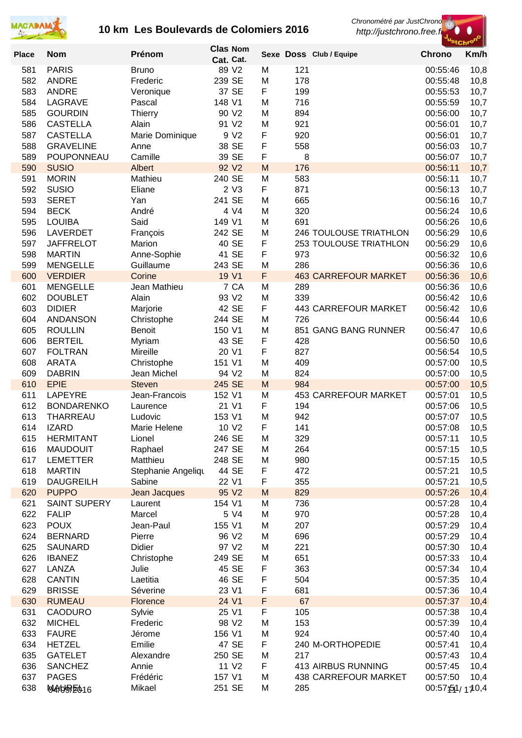



| <b>Place</b> | <b>Nom</b>                          | Prénom                         | <b>Clas Nom</b> |                   |        |            | Sexe Doss Club / Equipe       | <sup>s</sup> tChrº<br><b>Chrono</b> | Km/h         |
|--------------|-------------------------------------|--------------------------------|-----------------|-------------------|--------|------------|-------------------------------|-------------------------------------|--------------|
|              |                                     |                                | Cat. Cat.       |                   |        |            |                               |                                     |              |
| 581          | <b>PARIS</b>                        | <b>Bruno</b>                   |                 | 89 V2             | M      | 121        |                               | 00:55:46                            | 10,8         |
| 582          | <b>ANDRE</b>                        | Frederic                       | 239 SE          |                   | M      | 178        |                               | 00:55:48                            | 10,8         |
| 583          | <b>ANDRE</b>                        | Veronique                      |                 | 37 SE             | F      | 199        |                               | 00:55:53                            | 10,7         |
| 584<br>585   | LAGRAVE<br><b>GOURDIN</b>           | Pascal                         | 148 V1          | 90 V2             | M<br>M | 716<br>894 |                               | 00:55:59<br>00:56:00                | 10,7         |
| 586          | <b>CASTELLA</b>                     | Thierry<br>Alain               |                 | 91 V2             | M      | 921        |                               | 00:56:01                            | 10,7<br>10,7 |
| 587          | <b>CASTELLA</b>                     | Marie Dominique                |                 | 9 V <sub>2</sub>  | F      | 920        |                               | 00:56:01                            | 10,7         |
| 588          | <b>GRAVELINE</b>                    | Anne                           |                 | 38 SE             | F      | 558        |                               | 00:56:03                            | 10,7         |
| 589          | POUPONNEAU                          | Camille                        |                 | 39 SE             | F      | 8          |                               | 00:56:07                            | 10,7         |
| 590          | <b>SUSIO</b>                        | Albert                         |                 | 92 V <sub>2</sub> | M      | 176        |                               | 00:56:11                            | 10,7         |
| 591          | <b>MORIN</b>                        | Mathieu                        | 240 SE          |                   | M      | 583        |                               | 00:56:11                            | 10,7         |
| 592          | <b>SUSIO</b>                        | Eliane                         |                 | 2 <sub>V</sub> 3  | F      | 871        |                               | 00:56:13                            | 10,7         |
| 593          | <b>SERET</b>                        | Yan                            | 241 SE          |                   | M      | 665        |                               | 00:56:16                            | 10,7         |
| 594          | <b>BECK</b>                         | André                          |                 | 4 V4              | M      | 320        |                               | 00:56:24                            | 10,6         |
| 595          | <b>LOUIBA</b>                       | Said                           | 149 V1          |                   | M      | 691        |                               | 00:56:26                            | 10,6         |
| 596          | <b>LAVERDET</b>                     | François                       | 242 SE          |                   | M      |            | <b>246 TOULOUSE TRIATHLON</b> | 00:56:29                            | 10,6         |
| 597<br>598   | <b>JAFFRELOT</b><br><b>MARTIN</b>   | Marion<br>Anne-Sophie          |                 | 40 SE<br>41 SE    | F<br>F | 973        | 253 TOULOUSE TRIATHLON        | 00:56:29<br>00:56:32                | 10,6         |
| 599          | <b>MENGELLE</b>                     | Guillaume                      | 243 SE          |                   | M      | 286        |                               | 00:56:36                            | 10,6<br>10,6 |
| 600          | <b>VERDIER</b>                      | Corine                         |                 | 19 V1             | F      |            | <b>463 CARREFOUR MARKET</b>   | 00:56:36                            | 10,6         |
| 601          | <b>MENGELLE</b>                     | Jean Mathieu                   |                 | 7 CA              | M      | 289        |                               | 00:56:36                            | 10,6         |
| 602          | <b>DOUBLET</b>                      | Alain                          |                 | 93 V2             | M      | 339        |                               | 00:56:42                            | 10,6         |
| 603          | <b>DIDIER</b>                       | Marjorie                       |                 | 42 SE             | F      |            | <b>443 CARREFOUR MARKET</b>   | 00:56:42                            | 10,6         |
| 604          | <b>ANDANSON</b>                     | Christophe                     | 244 SE          |                   | M      | 726        |                               | 00:56:44                            | 10,6         |
| 605          | <b>ROULLIN</b>                      | Benoit                         | 150 V1          |                   | M      |            | 851 GANG BANG RUNNER          | 00:56:47                            | 10,6         |
| 606          | <b>BERTEIL</b>                      | Myriam                         |                 | 43 SE             | F      | 428        |                               | 00:56:50                            | 10,6         |
| 607          | <b>FOLTRAN</b>                      | Mireille                       | 20 V1           |                   | F      | 827        |                               | 00:56:54                            | 10,5         |
| 608          | <b>ARATA</b>                        | Christophe                     | 151 V1          |                   | M      | 409        |                               | 00:57:00                            | 10,5         |
| 609          | <b>DABRIN</b>                       | Jean Michel                    |                 | 94 V2             | M      | 824        |                               | 00:57:00                            | 10,5         |
| 610          | <b>EPIE</b>                         | <b>Steven</b><br>Jean-Francois | 245 SE          |                   | M      | 984        | <b>453 CARREFOUR MARKET</b>   | 00:57:00                            | 10,5         |
| 611<br>612   | <b>LAPEYRE</b><br><b>BONDARENKO</b> | Laurence                       | 152 V1<br>21 V1 |                   | M<br>F | 194        |                               | 00:57:01<br>00:57:06                | 10,5<br>10,5 |
| 613          | <b>THARREAU</b>                     | Ludovic                        | 153 V1          |                   | M      | 942        |                               | 00:57:07                            | 10,5         |
| 614          | <b>IZARD</b>                        | Marie Helene                   |                 | 10 V <sub>2</sub> | F      | 141        |                               | 00:57:08                            | 10,5         |
| 615          | <b>HERMITANT</b>                    | Lionel                         | 246 SE          |                   | M      | 329        |                               | 00:57:11                            | 10,5         |
| 616          | <b>MAUDOUIT</b>                     | Raphael                        | 247 SE          |                   | M      | 264        |                               | 00:57:15                            | 10,5         |
| 617          | <b>LEMETTER</b>                     | Matthieu                       | 248 SE          |                   | M      | 980        |                               | 00:57:15                            | 10,5         |
| 618          | <b>MARTIN</b>                       | Stephanie Angeliqu             |                 | 44 SE             | F      | 472        |                               | 00:57:21                            | 10,5         |
| 619          | <b>DAUGREILH</b>                    | Sabine                         |                 | 22 V1             | F      | 355        |                               | 00:57:21                            | 10,5         |
| 620          | <b>PUPPO</b>                        | Jean Jacques                   |                 | 95 V2             | M      | 829        |                               | 00:57:26                            | 10,4         |
| 621          | <b>SAINT SUPERY</b>                 | Laurent                        | 154 V1          |                   | M      | 736        |                               | 00:57:28                            | 10,4         |
| 622          | <b>FALIP</b>                        | Marcel                         |                 | 5 V4              | M      | 970        |                               | 00:57:28                            | 10,4         |
| 623<br>624   | <b>POUX</b><br><b>BERNARD</b>       | Jean-Paul<br>Pierre            | 155 V1          | 96 V2             | M<br>M | 207<br>696 |                               | 00:57:29<br>00:57:29                | 10,4         |
| 625          | <b>SAUNARD</b>                      | Didier                         |                 | 97 V2             | M      | 221        |                               | 00:57:30                            | 10,4<br>10,4 |
| 626          | <b>IBANEZ</b>                       | Christophe                     | 249 SE          |                   | M      | 651        |                               | 00:57:33                            | 10,4         |
| 627          | LANZA                               | Julie                          |                 | 45 SE             | F      | 363        |                               | 00:57:34                            | 10,4         |
| 628          | <b>CANTIN</b>                       | Laetitia                       |                 | 46 SE             | F      | 504        |                               | 00:57:35                            | 10,4         |
| 629          | <b>BRISSE</b>                       | Séverine                       |                 | 23 V1             | F      | 681        |                               | 00:57:36                            | 10,4         |
| 630          | <b>RUMEAU</b>                       | Florence                       | 24 V1           |                   | F      | 67         |                               | 00:57:37                            | 10,4         |
| 631          | <b>CAODURO</b>                      | Sylvie                         |                 | 25 V1             | F      | 105        |                               | 00:57:38                            | 10,4         |
| 632          | <b>MICHEL</b>                       | Frederic                       |                 | 98 V2             | M      | 153        |                               | 00:57:39                            | 10,4         |
| 633          | <b>FAURE</b>                        | Jérome                         | 156 V1          |                   | M      | 924        |                               | 00:57:40                            | 10,4         |
| 634          | <b>HETZEL</b>                       | Emilie                         |                 | 47 SE             | F      |            | 240 M-ORTHOPEDIE              | 00:57:41                            | 10,4         |
| 635<br>636   | <b>GATELET</b><br><b>SANCHEZ</b>    | Alexandre<br>Annie             | 250 SE          | 11 V <sub>2</sub> | M<br>F | 217        | 413 AIRBUS RUNNING            | 00:57:43<br>00:57:45                | 10,4         |
| 637          | <b>PAGES</b>                        | Frédéric                       | 157 V1          |                   | M      |            | <b>438 CARREFOUR MARKET</b>   | 00:57:50                            | 10,4<br>10,4 |
| 638          | MANGRE016                           | Mikael                         | 251 SE          |                   | M      | 285        |                               | 00:57:51/170,4                      |              |
|              |                                     |                                |                 |                   |        |            |                               |                                     |              |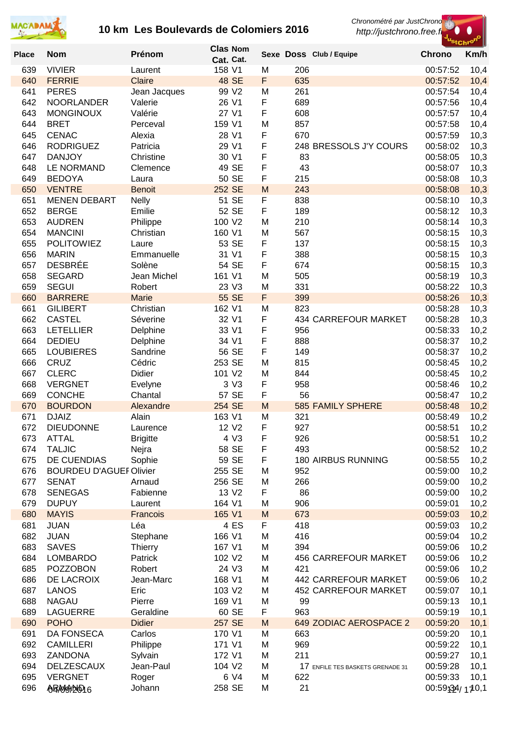



| <b>Place</b> | <b>Nom</b>                         | Prénom               | <b>Clas Nom</b><br>Cat. Cat. |        |            | Sexe Doss Club / Equipe          | <b>Chrono</b>        | Km/h         |
|--------------|------------------------------------|----------------------|------------------------------|--------|------------|----------------------------------|----------------------|--------------|
| 639          | <b>VIVIER</b>                      | Laurent              | 158 V1                       | M      | 206        |                                  | 00:57:52             | 10,4         |
| 640          | <b>FERRIE</b>                      | Claire               | 48 SE                        | F      | 635        |                                  | 00:57:52             | 10,4         |
| 641          | <b>PERES</b>                       | Jean Jacques         | 99 V2                        | M      | 261        |                                  | 00:57:54             | 10,4         |
| 642          | <b>NOORLANDER</b>                  | Valerie              | 26 V1                        | F      | 689        |                                  | 00:57:56             | 10,4         |
| 643          | <b>MONGINOUX</b>                   | Valérie              | 27 V1                        | F      | 608        |                                  | 00:57:57             | 10,4         |
| 644          | <b>BRET</b>                        | Perceval             | 159 V1                       | M      | 857        |                                  | 00:57:58             | 10,4         |
| 645          | <b>CENAC</b>                       | Alexia               | 28 V1                        | F      | 670        |                                  | 00:57:59             | 10,3         |
| 646          | <b>RODRIGUEZ</b>                   | Patricia             | 29 V1                        | F      |            | 248 BRESSOLS J'Y COURS           | 00:58:02             | 10,3         |
| 647          | <b>DANJOY</b>                      | Christine            | 30 V1<br>49 SE               | F      | 83<br>43   |                                  | 00:58:05             | 10,3         |
| 648<br>649   | <b>LE NORMAND</b><br><b>BEDOYA</b> | Clemence<br>Laura    | 50 SE                        | F<br>F | 215        |                                  | 00:58:07<br>00:58:08 | 10,3<br>10,3 |
| 650          | <b>VENTRE</b>                      | <b>Benoit</b>        | 252 SE                       | M      | 243        |                                  | 00:58:08             | 10,3         |
| 651          | <b>MENEN DEBART</b>                | <b>Nelly</b>         | 51 SE                        | F      | 838        |                                  | 00:58:10             | 10,3         |
| 652          | <b>BERGE</b>                       | Emilie               | 52 SE                        | F      | 189        |                                  | 00:58:12             | 10,3         |
| 653          | <b>AUDREN</b>                      | Philippe             | 100 V2                       | M      | 210        |                                  | 00:58:14             | 10,3         |
| 654          | <b>MANCINI</b>                     | Christian            | 160 V1                       | M      | 567        |                                  | 00:58:15             | 10,3         |
| 655          | <b>POLITOWIEZ</b>                  | Laure                | 53 SE                        | F      | 137        |                                  | 00:58:15             | 10,3         |
| 656          | <b>MARIN</b>                       | Emmanuelle           | 31 V1                        | F      | 388        |                                  | 00:58:15             | 10,3         |
| 657          | <b>DESBRÉE</b>                     | Solène               | 54 SE                        | F      | 674        |                                  | 00:58:15             | 10,3         |
| 658          | <b>SEGARD</b>                      | Jean Michel          | 161 V1                       | M      | 505        |                                  | 00:58:19             | 10,3         |
| 659          | <b>SEGUI</b>                       | Robert               | 23 V3                        | M      | 331        |                                  | 00:58:22             | 10,3         |
| 660          | <b>BARRERE</b>                     | <b>Marie</b>         | 55 SE                        | F      | 399        |                                  | 00:58:26             | 10,3         |
| 661          | <b>GILIBERT</b>                    | Christian            | 162 V1                       | M      | 823        |                                  | 00:58:28             | 10,3         |
| 662          | <b>CASTEL</b>                      | Séverine             | 32 V1                        | F      |            | 434 CARREFOUR MARKET             | 00:58:28             | 10,3         |
| 663          | <b>LETELLIER</b>                   | Delphine             | 33 V1<br>34 V1               | F      | 956        |                                  | 00:58:33             | 10,2         |
| 664<br>665   | <b>DEDIEU</b><br><b>LOUBIERES</b>  | Delphine<br>Sandrine | 56 SE                        | F<br>F | 888<br>149 |                                  | 00:58:37<br>00:58:37 | 10,2<br>10,2 |
| 666          | CRUZ                               | Cédric               | 253 SE                       | M      | 815        |                                  | 00:58:45             | 10,2         |
| 667          | <b>CLERC</b>                       | Didier               | 101 V2                       | M      | 844        |                                  | 00:58:45             | 10,2         |
| 668          | <b>VERGNET</b>                     | Evelyne              | 3 V3                         | F      | 958        |                                  | 00:58:46             | 10,2         |
| 669          | <b>CONCHE</b>                      | Chantal              | 57 SE                        | F      | 56         |                                  | 00:58:47             | 10,2         |
| 670          | <b>BOURDON</b>                     | Alexandre            | 254 SE                       | M      |            | <b>585 FAMILY SPHERE</b>         | 00:58:48             | 10,2         |
| 671          | <b>DJAIZ</b>                       | Alain                | 163 V1                       | M      | 321        |                                  | 00:58:49             | 10,2         |
| 672          | <b>DIEUDONNE</b>                   | Laurence             | 12 V <sub>2</sub>            | F      | 927        |                                  | 00:58:51             | 10,2         |
| 673          | ATTAL                              | <b>Brigitte</b>      | 4 V3                         | F      | 926        |                                  | 00:58:51             | 10,2         |
| 674          | <b>TALJIC</b>                      | Nejra                | 58 SE                        | F      | 493        |                                  | 00:58:52             | 10,2         |
| 675          | DE CUENDIAS                        | Sophie               | 59 SE                        | F      |            | 180 AIRBUS RUNNING               | 00:58:55             | 10,2         |
| 676          | <b>BOURDEU D'AGUEF Olivier</b>     |                      | 255 SE                       | M      | 952        |                                  | 00:59:00             | 10,2         |
| 677          | <b>SENAT</b>                       | Arnaud               | 256 SE                       | M      | 266        |                                  | 00:59:00             | 10,2         |
| 678          | <b>SENEGAS</b>                     | Fabienne             | 13 V2                        | F      | 86         |                                  | 00:59:00             | 10,2         |
| 679          | <b>DUPUY</b>                       | Laurent              | 164 V1                       | M      | 906        |                                  | 00:59:01             | 10,2         |
| 680<br>681   | <b>MAYIS</b><br><b>JUAN</b>        | Francois<br>Léa      | 165 V1<br>4 ES               | M<br>F | 673<br>418 |                                  | 00:59:03<br>00:59:03 | 10,2         |
| 682          | <b>JUAN</b>                        | Stephane             | 166 V1                       | M      | 416        |                                  | 00:59:04             | 10,2<br>10,2 |
| 683          | <b>SAVES</b>                       | <b>Thierry</b>       | 167 V1                       | M      | 394        |                                  | 00:59:06             | 10,2         |
| 684          | <b>LOMBARDO</b>                    | Patrick              | 102 V2                       | M      |            | <b>456 CARREFOUR MARKET</b>      | 00:59:06             | 10,2         |
| 685          | <b>POZZOBON</b>                    | Robert               | 24 V3                        | M      | 421        |                                  | 00:59:06             | 10,2         |
| 686          | DE LACROIX                         | Jean-Marc            | 168 V1                       | M      |            | 442 CARREFOUR MARKET             | 00:59:06             | 10,2         |
| 687          | <b>LANOS</b>                       | Eric                 | 103 V2                       | M      |            | 452 CARREFOUR MARKET             | 00:59:07             | 10,1         |
| 688          | <b>NAGAU</b>                       | Pierre               | 169 V1                       | M      | 99         |                                  | 00:59:13             | 10,1         |
| 689          | <b>LAGUERRE</b>                    | Geraldine            | 60 SE                        | F      | 963        |                                  | 00:59:19             | 10,1         |
| 690          | <b>POHO</b>                        | <b>Didier</b>        | 257 SE                       | M      |            | 649 ZODIAC AEROSPACE 2           | 00:59:20             | 10,1         |
| 691          | <b>DA FONSECA</b>                  | Carlos               | 170 V1                       | M      | 663        |                                  | 00:59:20             | 10,1         |
| 692          | <b>CAMILLERI</b>                   | Philippe             | 171 V1                       | M      | 969        |                                  | 00:59:22             | 10,1         |
| 693          | ZANDONA                            | Sylvain              | 172 V1                       | M      | 211        |                                  | 00:59:27             | 10,1         |
| 694          | <b>DELZESCAUX</b>                  | Jean-Paul            | 104 V2                       | M      |            | 17 ENFILE TES BASKETS GRENADE 31 | 00:59:28             | 10,1         |
| 695          | <b>VERGNET</b>                     | Roger                | 6 V4                         | M      | 622        |                                  | 00:59:33             | 10,1         |
| 696          | <b>ABMADD16</b>                    | Johann               | 258 SE                       | M      | 21         |                                  | 00:59:34/110,1       |              |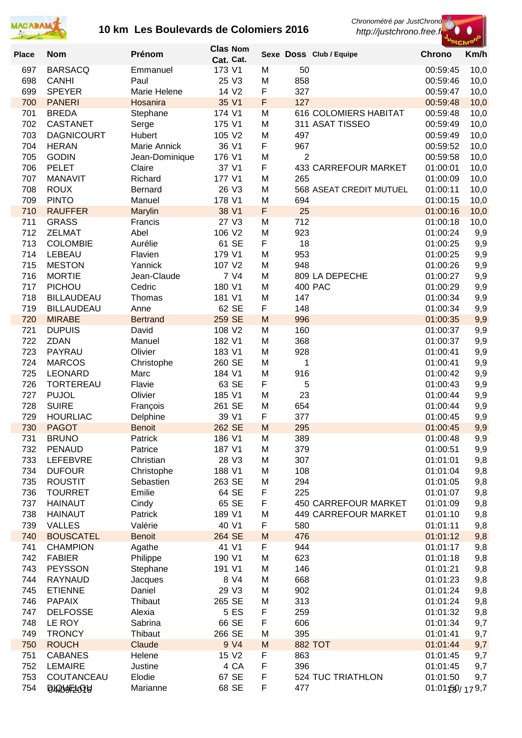



| <b>Place</b> | <b>Nom</b>        | Prénom             | Cat. Cat.        | <b>Clas Nom</b>   |        |                | Sexe Doss Club / Equipe      | <b>Chrono</b>        | Km/h       |
|--------------|-------------------|--------------------|------------------|-------------------|--------|----------------|------------------------------|----------------------|------------|
| 697          | <b>BARSACQ</b>    | Emmanuel           | 173 V1           |                   | M      | 50             |                              | 00:59:45             | 10,0       |
| 698          | <b>CANHI</b>      | Paul               |                  | 25 V3             | M      | 858            |                              | 00:59:46             | 10,0       |
| 699          | <b>SPEYER</b>     | Marie Helene       |                  | 14 V <sub>2</sub> | F      | 327            |                              | 00:59:47             | 10,0       |
| 700          | <b>PANERI</b>     | Hosanira           |                  | 35 V1             | F      | 127            |                              | 00:59:48             | 10,0       |
| 701          | <b>BREDA</b>      | Stephane           | 174 V1           |                   | M      |                | <b>616 COLOMIERS HABITAT</b> | 00:59:48             | 10,0       |
| 702          | <b>CASTANET</b>   | Serge              | 175 V1           |                   | M      |                | 311 ASAT TISSEO              | 00:59:49             | 10,0       |
| 703          | <b>DAGNICOURT</b> | Hubert             | 105 V2           |                   | M      | 497            |                              | 00:59:49             | 10,0       |
| 704          | <b>HERAN</b>      | Marie Annick       | 36 V1            |                   | F      | 967            |                              | 00:59:52             | 10,0       |
| 705          | <b>GODIN</b>      | Jean-Dominique     | 176 V1           |                   | M      | $\overline{2}$ |                              | 00:59:58             | 10,0       |
| 706          | <b>PELET</b>      | Claire             |                  | 37 V1             | F      |                | <b>433 CARREFOUR MARKET</b>  | 01:00:01             | 10,0       |
| 707          | <b>MANAVIT</b>    | Richard            | 177 V1           |                   | M      | 265            |                              | 01:00:09             | 10,0       |
| 708          | <b>ROUX</b>       | Bernard            |                  | 26 V3             | M      |                | 568 ASEAT CREDIT MUTUEL      | 01:00:11             | 10,0       |
| 709          | <b>PINTO</b>      | Manuel             | 178 V1           |                   | M      | 694            |                              | 01:00:15             | 10,0       |
| 710          | <b>RAUFFER</b>    | Marylin            | 38 V1            |                   | F      | 25             |                              | 01:00:16             | 10,0       |
| 711          | <b>GRASS</b>      | Francis            |                  | 27 V3             | M      | 712            |                              | 01:00:18             | 10,0       |
| 712          | <b>ZELMAT</b>     | Abel               | 106 V2           |                   | M      | 923            |                              | 01:00:24             | 9,9        |
| 713          | <b>COLOMBIE</b>   | Aurélie            |                  | 61 SE             | F      | 18             |                              | 01:00:25             | 9,9        |
| 714          | LEBEAU            | Flavien            | 179 V1           |                   | M      | 953            |                              | 01:00:25             | 9,9        |
| 715          | <b>MESTON</b>     | Yannick            | 107 V2           |                   | M      | 948            |                              | 01:00:26             | 9,9        |
| 716          | <b>MORTIE</b>     | Jean-Claude        |                  | 7 V4              | M      |                | 809 LA DEPECHE               | 01:00:27             | 9,9        |
| 717          | PICHOU            | Cedric             | 180 V1           |                   | M      |                | 400 PAC                      | 01:00:29             | 9,9        |
| 718          | <b>BILLAUDEAU</b> | Thomas             | 181 V1           |                   | M      | 147            |                              | 01:00:34             | 9,9        |
| 719          | <b>BILLAUDEAU</b> | Anne               |                  | 62 SE             | F      | 148            |                              | 01:00:34             | 9,9        |
| 720          | <b>MIRABE</b>     | <b>Bertrand</b>    | 259 SE           |                   | M      | 996            |                              | 01:00:35             | 9,9        |
| 721          | <b>DUPUIS</b>     | David              | 108 V2           |                   | M      | 160            |                              | 01:00:37             | 9,9        |
| 722          | ZDAN<br>PAYRAU    | Manuel<br>Olivier  | 182 V1<br>183 V1 |                   | M<br>M | 368<br>928     |                              | 01:00:37             | 9,9        |
| 723<br>724   | <b>MARCOS</b>     |                    | 260 SE           |                   | M      | 1              |                              | 01:00:41<br>01:00:41 | 9,9<br>9,9 |
| 725          | <b>LEONARD</b>    | Christophe<br>Marc | 184 V1           |                   | M      | 916            |                              | 01:00:42             | 9,9        |
| 726          | <b>TORTEREAU</b>  | Flavie             |                  | 63 SE             | F      | 5              |                              | 01:00:43             | 9,9        |
| 727          | <b>PUJOL</b>      | Olivier            | 185 V1           |                   | M      | 23             |                              | 01:00:44             | 9,9        |
| 728          | <b>SUIRE</b>      | François           | 261 SE           |                   | M      | 654            |                              | 01:00:44             | 9,9        |
| 729          | <b>HOURLIAC</b>   | Delphine           |                  | 39 V1             | F      | 377            |                              | 01:00:45             | 9,9        |
| 730          | <b>PAGOT</b>      | <b>Benoit</b>      | 262 SE           |                   | M      | 295            |                              | 01:00:45             | 9,9        |
| 731          | <b>BRUNO</b>      | Patrick            | 186 V1           |                   | M      | 389            |                              | 01:00:48             | 9,9        |
| 732          | <b>PENAUD</b>     | Patrice            | 187 V1           |                   | M      | 379            |                              | 01:00:51             | 9,9        |
| 733          | <b>LEFEBVRE</b>   | Christian          |                  | 28 V3             | M      | 307            |                              | 01:01:01             | 9,8        |
| 734          | <b>DUFOUR</b>     | Christophe         | 188 V1           |                   | M      | 108            |                              | 01:01:04             | 9,8        |
| 735          | <b>ROUSTIT</b>    | Sebastien          | 263 SE           |                   | M      | 294            |                              | 01:01:05             | 9,8        |
| 736          | <b>TOURRET</b>    | Emilie             |                  | 64 SE             | F      | 225            |                              | 01:01:07             | 9,8        |
| 737          | <b>HAINAUT</b>    | Cindy              |                  | 65 SE             | F      |                | <b>450 CARREFOUR MARKET</b>  | 01:01:09             | 9,8        |
| 738          | <b>HAINAUT</b>    | Patrick            | 189 V1           |                   | M      |                | <b>449 CARREFOUR MARKET</b>  | 01:01:10             | 9,8        |
| 739          | <b>VALLES</b>     | Valérie            | 40 V1            |                   | F      | 580            |                              | 01:01:11             | 9,8        |
| 740          | <b>BOUSCATEL</b>  | <b>Benoit</b>      | 264 SE           |                   | M      | 476            |                              | 01:01:12             | 9,8        |
| 741          | <b>CHAMPION</b>   | Agathe             | 41 V1            |                   | F      | 944            |                              | 01:01:17             | 9,8        |
| 742          | <b>FABIER</b>     | Philippe           | 190 V1           |                   | M      | 623            |                              | 01:01:18             | 9,8        |
| 743          | <b>PEYSSON</b>    | Stephane           | 191 V1           |                   | M      | 146            |                              | 01:01:21             | 9,8        |
| 744          | RAYNAUD           | Jacques            |                  | 8 V4              | M      | 668            |                              | 01:01:23             | 9,8        |
| 745          | <b>ETIENNE</b>    | Daniel             |                  | 29 V3             | M      | 902            |                              | 01:01:24             | 9,8        |
| 746          | <b>PAPAIX</b>     | Thibaut            | 265 SE           |                   | M      | 313            |                              | 01:01:24             | 9,8        |
| 747          | <b>DELFOSSE</b>   | Alexia             |                  | 5 ES              | F      | 259            |                              | 01:01:32             | 9,8        |
| 748          | LE ROY            | Sabrina            |                  | 66 SE             | F      | 606            |                              | 01:01:34             | 9,7        |
| 749          | <b>TRONCY</b>     | Thibaut            | 266 SE           |                   | M      | 395            |                              | 01:01:41             | 9,7        |
| 750          | <b>ROUCH</b>      | Claude             |                  | 9 V4              | M      |                | <b>882 TOT</b>               | 01:01:44             | 9,7        |
| 751          | <b>CABANES</b>    | Helene             |                  | 15 V2             | F      | 863            |                              | 01:01:45             | 9,7        |
| 752          | <b>LEMAIRE</b>    | Justine            |                  | 4 CA              | F      | 396            |                              | 01:01:45             | 9,7        |
| 753<br>754   | COUTANCEAU        | Elodie<br>Marianne |                  | 67 SE<br>68 SE    | F<br>F | 477            | 524 TUC TRIATHLON            | 01:01:50             | 9,7        |
|              | 04905209          |                    |                  |                   |        |                |                              | 01:01:59/179.7       |            |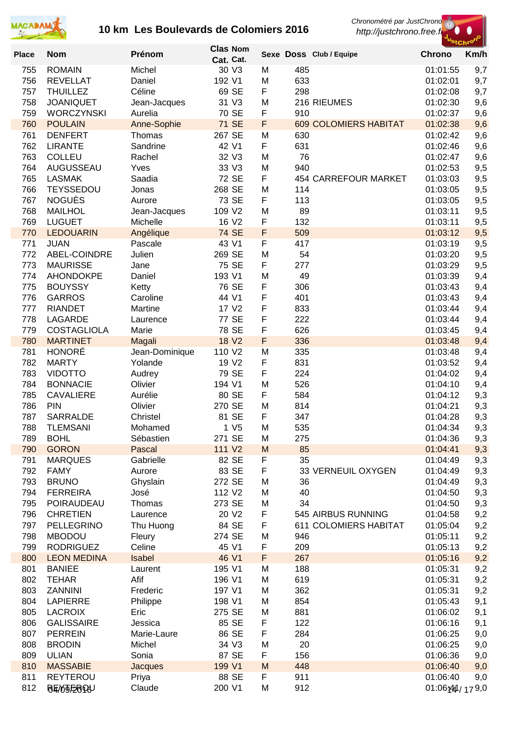

*Chronométré par JustChrono*

 *http://justchrono.free.fr*



| Sexe Doss Club / Equipe<br>Cat. Cat.<br><b>ROMAIN</b><br>30 V3<br>485<br>9,7<br>755<br>Michel<br>M<br>01:01:55<br>633<br>9,7<br>756<br><b>REVELLAT</b><br>Daniel<br>192 V1<br>M<br>01:02:01<br>F<br>69 SE<br>298<br>757<br><b>THUILLEZ</b><br>Céline<br>01:02:08<br>9,7<br>758<br><b>JOANIQUET</b><br>31 V3<br>M<br>216 RIEUMES<br>01:02:30<br>9,6<br>Jean-Jacques<br>70 SE<br>F<br>759<br><b>WORCZYNSKI</b><br>Aurelia<br>910<br>9,6<br>01:02:37<br>F<br><b>71 SE</b><br>760<br><b>POULAIN</b><br>Anne-Sophie<br><b>609 COLOMIERS HABITAT</b><br>01:02:38<br>9,6<br>267 SE<br>9,6<br>761<br><b>DENFERT</b><br>M<br>630<br>01:02:42<br>Thomas<br>42 V1<br>F<br>631<br>9,6<br>762<br><b>LIRANTE</b><br>Sandrine<br>01:02:46<br>32 V3<br>M<br>76<br>9,6<br>763<br><b>COLLEU</b><br>Rachel<br>01:02:47<br>940<br>9,5<br>764<br>AUGUSSEAU<br>Yves<br>33 V3<br>M<br>01:02:53<br>F<br>72 SE<br>9,5<br>765<br><b>LASMAK</b><br>Saadia<br>454 CARREFOUR MARKET<br>01:03:03<br><b>TEYSSEDOU</b><br>268 SE<br>9,5<br>766<br>M<br>114<br>01:03:05<br>Jonas<br><b>NOGUÈS</b><br>73 SE<br>F<br>113<br>9,5<br>767<br>01:03:05<br>Aurore<br>89<br>9,5<br>768<br><b>MAILHOL</b><br>109 V2<br>M<br>Jean-Jacques<br>01:03:11<br>F<br>132<br>769<br><b>LUGUET</b><br>Michelle<br>16 V <sub>2</sub><br>01:03:11<br>9,5<br>F<br><b>74 SE</b><br>509<br>9,5<br>770<br><b>LEDOUARIN</b><br>Angélique<br>01:03:12<br>43 V1<br>F<br>417<br>9,5<br>771<br><b>JUAN</b><br>Pascale<br>01:03:19<br>Julien<br>269 SE<br>54<br>9,5<br>772<br>ABEL-COINDRE<br>01:03:20<br>M<br>F<br>75 SE<br>277<br>9,5<br>773<br><b>MAURISSE</b><br>Jane<br>01:03:29<br>193 V1<br>49<br>9,4<br>774<br><b>AHONDOKPE</b><br>Daniel<br>M<br>01:03:39<br>76 SE<br>F<br>306<br>775<br><b>BOUYSSY</b><br>Ketty<br>01:03:43<br>9,4<br>F<br>44 V1<br>401<br>776<br><b>GARROS</b><br>Caroline<br>01:03:43<br>9,4<br>F<br>17 V2<br>777<br><b>RIANDET</b><br>Martine<br>833<br>01:03:44<br>9,4<br>F<br>77 SE<br>222<br>9,4<br>778<br><b>LAGARDE</b><br>01:03:44<br>Laurence<br>F<br>78 SE<br>626<br>779<br><b>COSTAGLIOLA</b><br>Marie<br>01:03:45<br>9,4<br>F<br>780<br><b>MARTINET</b><br>18 V <sub>2</sub><br>336<br>9,4<br>01:03:48<br>Magali<br><b>HONORÉ</b><br>110 V2<br>335<br>781<br>Jean-Dominique<br>M<br>01:03:48<br>9,4<br>F<br>831<br>782<br><b>MARTY</b><br>Yolande<br>19 V <sub>2</sub><br>01:03:52<br>9,4<br>783<br>79 SE<br>F<br><b>VIDOTTO</b><br>224<br>9,4<br>Audrey<br>01:04:02<br>526<br>784<br>Olivier<br>194 V1<br>M<br><b>BONNACIE</b><br>01:04:10<br>9,4<br>785<br>Aurélie<br>80 SE<br>F<br>584<br>9,3<br><b>CAVALIERE</b><br>01:04:12<br>786<br>PIN<br>Olivier<br>270 SE<br>814<br>9,3<br>M<br>01:04:21<br>F<br>9,3<br>787<br><b>SARRALDE</b><br>Christel<br>81 SE<br>347<br>01:04:28<br>9,3<br>788<br><b>TLEMSANI</b><br>1 V <sub>5</sub><br>535<br>Mohamed<br>M<br>01:04:34<br>271 SE<br>275<br>789<br><b>BOHL</b><br>Sébastien<br>01:04:36<br>9,3<br>M<br>111 V2<br>85<br>790<br><b>GORON</b><br>Pascal<br>M<br>01:04:41<br>9,3<br>35<br>791<br>Gabrielle<br>82 SE<br>F<br>9,3<br><b>MARQUES</b><br>01:04:49<br>83 SE<br>F<br>792<br>33 VERNEUIL OXYGEN<br>9,3<br><b>FAMY</b><br>Aurore<br>01:04:49<br>272 SE<br>793<br><b>BRUNO</b><br>36<br>9,3<br>Ghyslain<br>M<br>01:04:49<br>9,3<br>794<br><b>FERREIRA</b><br>112 V2<br>40<br>José<br>M<br>01:04:50<br>34<br>9,3<br>795<br>POIRAUDEAU<br>Thomas<br>273 SE<br>M<br>01:04:50<br>F<br>545 AIRBUS RUNNING<br>9,2<br>796<br>20 V2<br><b>CHRETIEN</b><br>01:04:58<br>Laurence<br>F<br>9,2<br>797<br>PELLEGRINO<br>84 SE<br><b>611 COLOMIERS HABITAT</b><br>Thu Huong<br>01:05:04<br>798<br>274 SE<br>946<br>9,2<br><b>MBODOU</b><br>M<br>01:05:11<br>Fleury<br>F<br>799<br><b>RODRIGUEZ</b><br>Celine<br>45 V1<br>209<br>9,2<br>01:05:13<br>F<br>800<br>Isabel<br>46 V1<br>267<br>9,2<br><b>LEON MEDINA</b><br>01:05:16<br>801<br>188<br>9,2<br><b>BANIEE</b><br>Laurent<br>195 V1<br>01:05:31<br>M<br>802<br>Afif<br>196 V1<br>619<br>9,2<br><b>TEHAR</b><br>M<br>01:05:31<br>803<br>ZANNINI<br>362<br>9,2<br>Frederic<br>197 V1<br>M<br>01:05:31<br>804<br><b>LAPIERRE</b><br>198 V1<br>854<br>9,1<br>Philippe<br>M<br>01:05:43<br>805<br><b>LACROIX</b><br>Eric<br>881<br>9,1<br>275 SE<br>M<br>01:06:02<br>F<br>806<br><b>GALISSAIRE</b><br>85 SE<br>122<br>9,1<br>Jessica<br>01:06:16<br>F<br>807<br><b>PERREIN</b><br>86 SE<br>284<br>Marie-Laure<br>01:06:25<br>9,0<br>808<br>34 V3<br>20<br><b>BRODIN</b><br>Michel<br>M<br>01:06:25<br>9,0<br>809<br><b>ULIAN</b><br>87 SE<br>F<br>156<br>Sonia<br>01:06:36<br>9,0<br>810<br>199 V1<br>M<br>448<br>9,0<br><b>MASSABIE</b><br><b>Jacques</b><br>01:06:40<br>811<br><b>REYTEROU</b><br>88 SE<br>F<br>911<br>01:06:40<br>Priya<br>9,0<br>M<br>912<br>01:06:440/179,0 |              |                  |        | <b>Clas Nom</b> |  |               | "StChr <sup>o"</sup> |
|------------------------------------------------------------------------------------------------------------------------------------------------------------------------------------------------------------------------------------------------------------------------------------------------------------------------------------------------------------------------------------------------------------------------------------------------------------------------------------------------------------------------------------------------------------------------------------------------------------------------------------------------------------------------------------------------------------------------------------------------------------------------------------------------------------------------------------------------------------------------------------------------------------------------------------------------------------------------------------------------------------------------------------------------------------------------------------------------------------------------------------------------------------------------------------------------------------------------------------------------------------------------------------------------------------------------------------------------------------------------------------------------------------------------------------------------------------------------------------------------------------------------------------------------------------------------------------------------------------------------------------------------------------------------------------------------------------------------------------------------------------------------------------------------------------------------------------------------------------------------------------------------------------------------------------------------------------------------------------------------------------------------------------------------------------------------------------------------------------------------------------------------------------------------------------------------------------------------------------------------------------------------------------------------------------------------------------------------------------------------------------------------------------------------------------------------------------------------------------------------------------------------------------------------------------------------------------------------------------------------------------------------------------------------------------------------------------------------------------------------------------------------------------------------------------------------------------------------------------------------------------------------------------------------------------------------------------------------------------------------------------------------------------------------------------------------------------------------------------------------------------------------------------------------------------------------------------------------------------------------------------------------------------------------------------------------------------------------------------------------------------------------------------------------------------------------------------------------------------------------------------------------------------------------------------------------------------------------------------------------------------------------------------------------------------------------------------------------------------------------------------------------------------------------------------------------------------------------------------------------------------------------------------------------------------------------------------------------------------------------------------------------------------------------------------------------------------------------------------------------------------------------------------------------------------------------------------------------------------------------------------------------------------------------------------------------------------------------------------------------------------------------------------------------------------------------------------------------------------------------------------------------------------------------------------------------------------------------------------------------------------------------------------------------------------------------------------------------------------------------|--------------|------------------|--------|-----------------|--|---------------|----------------------|
|                                                                                                                                                                                                                                                                                                                                                                                                                                                                                                                                                                                                                                                                                                                                                                                                                                                                                                                                                                                                                                                                                                                                                                                                                                                                                                                                                                                                                                                                                                                                                                                                                                                                                                                                                                                                                                                                                                                                                                                                                                                                                                                                                                                                                                                                                                                                                                                                                                                                                                                                                                                                                                                                                                                                                                                                                                                                                                                                                                                                                                                                                                                                                                                                                                                                                                                                                                                                                                                                                                                                                                                                                                                                                                                                                                                                                                                                                                                                                                                                                                                                                                                                                                                                                                                                                                                                                                                                                                                                                                                                                                                                                                                                                                                                                | <b>Place</b> | <b>Nom</b>       | Prénom |                 |  | <b>Chrono</b> | Km/h                 |
|                                                                                                                                                                                                                                                                                                                                                                                                                                                                                                                                                                                                                                                                                                                                                                                                                                                                                                                                                                                                                                                                                                                                                                                                                                                                                                                                                                                                                                                                                                                                                                                                                                                                                                                                                                                                                                                                                                                                                                                                                                                                                                                                                                                                                                                                                                                                                                                                                                                                                                                                                                                                                                                                                                                                                                                                                                                                                                                                                                                                                                                                                                                                                                                                                                                                                                                                                                                                                                                                                                                                                                                                                                                                                                                                                                                                                                                                                                                                                                                                                                                                                                                                                                                                                                                                                                                                                                                                                                                                                                                                                                                                                                                                                                                                                |              |                  |        |                 |  |               |                      |
|                                                                                                                                                                                                                                                                                                                                                                                                                                                                                                                                                                                                                                                                                                                                                                                                                                                                                                                                                                                                                                                                                                                                                                                                                                                                                                                                                                                                                                                                                                                                                                                                                                                                                                                                                                                                                                                                                                                                                                                                                                                                                                                                                                                                                                                                                                                                                                                                                                                                                                                                                                                                                                                                                                                                                                                                                                                                                                                                                                                                                                                                                                                                                                                                                                                                                                                                                                                                                                                                                                                                                                                                                                                                                                                                                                                                                                                                                                                                                                                                                                                                                                                                                                                                                                                                                                                                                                                                                                                                                                                                                                                                                                                                                                                                                |              |                  |        |                 |  |               |                      |
|                                                                                                                                                                                                                                                                                                                                                                                                                                                                                                                                                                                                                                                                                                                                                                                                                                                                                                                                                                                                                                                                                                                                                                                                                                                                                                                                                                                                                                                                                                                                                                                                                                                                                                                                                                                                                                                                                                                                                                                                                                                                                                                                                                                                                                                                                                                                                                                                                                                                                                                                                                                                                                                                                                                                                                                                                                                                                                                                                                                                                                                                                                                                                                                                                                                                                                                                                                                                                                                                                                                                                                                                                                                                                                                                                                                                                                                                                                                                                                                                                                                                                                                                                                                                                                                                                                                                                                                                                                                                                                                                                                                                                                                                                                                                                |              |                  |        |                 |  |               |                      |
|                                                                                                                                                                                                                                                                                                                                                                                                                                                                                                                                                                                                                                                                                                                                                                                                                                                                                                                                                                                                                                                                                                                                                                                                                                                                                                                                                                                                                                                                                                                                                                                                                                                                                                                                                                                                                                                                                                                                                                                                                                                                                                                                                                                                                                                                                                                                                                                                                                                                                                                                                                                                                                                                                                                                                                                                                                                                                                                                                                                                                                                                                                                                                                                                                                                                                                                                                                                                                                                                                                                                                                                                                                                                                                                                                                                                                                                                                                                                                                                                                                                                                                                                                                                                                                                                                                                                                                                                                                                                                                                                                                                                                                                                                                                                                |              |                  |        |                 |  |               |                      |
|                                                                                                                                                                                                                                                                                                                                                                                                                                                                                                                                                                                                                                                                                                                                                                                                                                                                                                                                                                                                                                                                                                                                                                                                                                                                                                                                                                                                                                                                                                                                                                                                                                                                                                                                                                                                                                                                                                                                                                                                                                                                                                                                                                                                                                                                                                                                                                                                                                                                                                                                                                                                                                                                                                                                                                                                                                                                                                                                                                                                                                                                                                                                                                                                                                                                                                                                                                                                                                                                                                                                                                                                                                                                                                                                                                                                                                                                                                                                                                                                                                                                                                                                                                                                                                                                                                                                                                                                                                                                                                                                                                                                                                                                                                                                                |              |                  |        |                 |  |               |                      |
|                                                                                                                                                                                                                                                                                                                                                                                                                                                                                                                                                                                                                                                                                                                                                                                                                                                                                                                                                                                                                                                                                                                                                                                                                                                                                                                                                                                                                                                                                                                                                                                                                                                                                                                                                                                                                                                                                                                                                                                                                                                                                                                                                                                                                                                                                                                                                                                                                                                                                                                                                                                                                                                                                                                                                                                                                                                                                                                                                                                                                                                                                                                                                                                                                                                                                                                                                                                                                                                                                                                                                                                                                                                                                                                                                                                                                                                                                                                                                                                                                                                                                                                                                                                                                                                                                                                                                                                                                                                                                                                                                                                                                                                                                                                                                |              |                  |        |                 |  |               |                      |
|                                                                                                                                                                                                                                                                                                                                                                                                                                                                                                                                                                                                                                                                                                                                                                                                                                                                                                                                                                                                                                                                                                                                                                                                                                                                                                                                                                                                                                                                                                                                                                                                                                                                                                                                                                                                                                                                                                                                                                                                                                                                                                                                                                                                                                                                                                                                                                                                                                                                                                                                                                                                                                                                                                                                                                                                                                                                                                                                                                                                                                                                                                                                                                                                                                                                                                                                                                                                                                                                                                                                                                                                                                                                                                                                                                                                                                                                                                                                                                                                                                                                                                                                                                                                                                                                                                                                                                                                                                                                                                                                                                                                                                                                                                                                                |              |                  |        |                 |  |               |                      |
|                                                                                                                                                                                                                                                                                                                                                                                                                                                                                                                                                                                                                                                                                                                                                                                                                                                                                                                                                                                                                                                                                                                                                                                                                                                                                                                                                                                                                                                                                                                                                                                                                                                                                                                                                                                                                                                                                                                                                                                                                                                                                                                                                                                                                                                                                                                                                                                                                                                                                                                                                                                                                                                                                                                                                                                                                                                                                                                                                                                                                                                                                                                                                                                                                                                                                                                                                                                                                                                                                                                                                                                                                                                                                                                                                                                                                                                                                                                                                                                                                                                                                                                                                                                                                                                                                                                                                                                                                                                                                                                                                                                                                                                                                                                                                |              |                  |        |                 |  |               |                      |
|                                                                                                                                                                                                                                                                                                                                                                                                                                                                                                                                                                                                                                                                                                                                                                                                                                                                                                                                                                                                                                                                                                                                                                                                                                                                                                                                                                                                                                                                                                                                                                                                                                                                                                                                                                                                                                                                                                                                                                                                                                                                                                                                                                                                                                                                                                                                                                                                                                                                                                                                                                                                                                                                                                                                                                                                                                                                                                                                                                                                                                                                                                                                                                                                                                                                                                                                                                                                                                                                                                                                                                                                                                                                                                                                                                                                                                                                                                                                                                                                                                                                                                                                                                                                                                                                                                                                                                                                                                                                                                                                                                                                                                                                                                                                                |              |                  |        |                 |  |               |                      |
|                                                                                                                                                                                                                                                                                                                                                                                                                                                                                                                                                                                                                                                                                                                                                                                                                                                                                                                                                                                                                                                                                                                                                                                                                                                                                                                                                                                                                                                                                                                                                                                                                                                                                                                                                                                                                                                                                                                                                                                                                                                                                                                                                                                                                                                                                                                                                                                                                                                                                                                                                                                                                                                                                                                                                                                                                                                                                                                                                                                                                                                                                                                                                                                                                                                                                                                                                                                                                                                                                                                                                                                                                                                                                                                                                                                                                                                                                                                                                                                                                                                                                                                                                                                                                                                                                                                                                                                                                                                                                                                                                                                                                                                                                                                                                |              |                  |        |                 |  |               |                      |
|                                                                                                                                                                                                                                                                                                                                                                                                                                                                                                                                                                                                                                                                                                                                                                                                                                                                                                                                                                                                                                                                                                                                                                                                                                                                                                                                                                                                                                                                                                                                                                                                                                                                                                                                                                                                                                                                                                                                                                                                                                                                                                                                                                                                                                                                                                                                                                                                                                                                                                                                                                                                                                                                                                                                                                                                                                                                                                                                                                                                                                                                                                                                                                                                                                                                                                                                                                                                                                                                                                                                                                                                                                                                                                                                                                                                                                                                                                                                                                                                                                                                                                                                                                                                                                                                                                                                                                                                                                                                                                                                                                                                                                                                                                                                                |              |                  |        |                 |  |               |                      |
|                                                                                                                                                                                                                                                                                                                                                                                                                                                                                                                                                                                                                                                                                                                                                                                                                                                                                                                                                                                                                                                                                                                                                                                                                                                                                                                                                                                                                                                                                                                                                                                                                                                                                                                                                                                                                                                                                                                                                                                                                                                                                                                                                                                                                                                                                                                                                                                                                                                                                                                                                                                                                                                                                                                                                                                                                                                                                                                                                                                                                                                                                                                                                                                                                                                                                                                                                                                                                                                                                                                                                                                                                                                                                                                                                                                                                                                                                                                                                                                                                                                                                                                                                                                                                                                                                                                                                                                                                                                                                                                                                                                                                                                                                                                                                |              |                  |        |                 |  |               |                      |
|                                                                                                                                                                                                                                                                                                                                                                                                                                                                                                                                                                                                                                                                                                                                                                                                                                                                                                                                                                                                                                                                                                                                                                                                                                                                                                                                                                                                                                                                                                                                                                                                                                                                                                                                                                                                                                                                                                                                                                                                                                                                                                                                                                                                                                                                                                                                                                                                                                                                                                                                                                                                                                                                                                                                                                                                                                                                                                                                                                                                                                                                                                                                                                                                                                                                                                                                                                                                                                                                                                                                                                                                                                                                                                                                                                                                                                                                                                                                                                                                                                                                                                                                                                                                                                                                                                                                                                                                                                                                                                                                                                                                                                                                                                                                                |              |                  |        |                 |  |               |                      |
|                                                                                                                                                                                                                                                                                                                                                                                                                                                                                                                                                                                                                                                                                                                                                                                                                                                                                                                                                                                                                                                                                                                                                                                                                                                                                                                                                                                                                                                                                                                                                                                                                                                                                                                                                                                                                                                                                                                                                                                                                                                                                                                                                                                                                                                                                                                                                                                                                                                                                                                                                                                                                                                                                                                                                                                                                                                                                                                                                                                                                                                                                                                                                                                                                                                                                                                                                                                                                                                                                                                                                                                                                                                                                                                                                                                                                                                                                                                                                                                                                                                                                                                                                                                                                                                                                                                                                                                                                                                                                                                                                                                                                                                                                                                                                |              |                  |        |                 |  |               |                      |
|                                                                                                                                                                                                                                                                                                                                                                                                                                                                                                                                                                                                                                                                                                                                                                                                                                                                                                                                                                                                                                                                                                                                                                                                                                                                                                                                                                                                                                                                                                                                                                                                                                                                                                                                                                                                                                                                                                                                                                                                                                                                                                                                                                                                                                                                                                                                                                                                                                                                                                                                                                                                                                                                                                                                                                                                                                                                                                                                                                                                                                                                                                                                                                                                                                                                                                                                                                                                                                                                                                                                                                                                                                                                                                                                                                                                                                                                                                                                                                                                                                                                                                                                                                                                                                                                                                                                                                                                                                                                                                                                                                                                                                                                                                                                                |              |                  |        |                 |  |               |                      |
|                                                                                                                                                                                                                                                                                                                                                                                                                                                                                                                                                                                                                                                                                                                                                                                                                                                                                                                                                                                                                                                                                                                                                                                                                                                                                                                                                                                                                                                                                                                                                                                                                                                                                                                                                                                                                                                                                                                                                                                                                                                                                                                                                                                                                                                                                                                                                                                                                                                                                                                                                                                                                                                                                                                                                                                                                                                                                                                                                                                                                                                                                                                                                                                                                                                                                                                                                                                                                                                                                                                                                                                                                                                                                                                                                                                                                                                                                                                                                                                                                                                                                                                                                                                                                                                                                                                                                                                                                                                                                                                                                                                                                                                                                                                                                |              |                  |        |                 |  |               |                      |
|                                                                                                                                                                                                                                                                                                                                                                                                                                                                                                                                                                                                                                                                                                                                                                                                                                                                                                                                                                                                                                                                                                                                                                                                                                                                                                                                                                                                                                                                                                                                                                                                                                                                                                                                                                                                                                                                                                                                                                                                                                                                                                                                                                                                                                                                                                                                                                                                                                                                                                                                                                                                                                                                                                                                                                                                                                                                                                                                                                                                                                                                                                                                                                                                                                                                                                                                                                                                                                                                                                                                                                                                                                                                                                                                                                                                                                                                                                                                                                                                                                                                                                                                                                                                                                                                                                                                                                                                                                                                                                                                                                                                                                                                                                                                                |              |                  |        |                 |  |               |                      |
|                                                                                                                                                                                                                                                                                                                                                                                                                                                                                                                                                                                                                                                                                                                                                                                                                                                                                                                                                                                                                                                                                                                                                                                                                                                                                                                                                                                                                                                                                                                                                                                                                                                                                                                                                                                                                                                                                                                                                                                                                                                                                                                                                                                                                                                                                                                                                                                                                                                                                                                                                                                                                                                                                                                                                                                                                                                                                                                                                                                                                                                                                                                                                                                                                                                                                                                                                                                                                                                                                                                                                                                                                                                                                                                                                                                                                                                                                                                                                                                                                                                                                                                                                                                                                                                                                                                                                                                                                                                                                                                                                                                                                                                                                                                                                |              |                  |        |                 |  |               |                      |
|                                                                                                                                                                                                                                                                                                                                                                                                                                                                                                                                                                                                                                                                                                                                                                                                                                                                                                                                                                                                                                                                                                                                                                                                                                                                                                                                                                                                                                                                                                                                                                                                                                                                                                                                                                                                                                                                                                                                                                                                                                                                                                                                                                                                                                                                                                                                                                                                                                                                                                                                                                                                                                                                                                                                                                                                                                                                                                                                                                                                                                                                                                                                                                                                                                                                                                                                                                                                                                                                                                                                                                                                                                                                                                                                                                                                                                                                                                                                                                                                                                                                                                                                                                                                                                                                                                                                                                                                                                                                                                                                                                                                                                                                                                                                                |              |                  |        |                 |  |               |                      |
|                                                                                                                                                                                                                                                                                                                                                                                                                                                                                                                                                                                                                                                                                                                                                                                                                                                                                                                                                                                                                                                                                                                                                                                                                                                                                                                                                                                                                                                                                                                                                                                                                                                                                                                                                                                                                                                                                                                                                                                                                                                                                                                                                                                                                                                                                                                                                                                                                                                                                                                                                                                                                                                                                                                                                                                                                                                                                                                                                                                                                                                                                                                                                                                                                                                                                                                                                                                                                                                                                                                                                                                                                                                                                                                                                                                                                                                                                                                                                                                                                                                                                                                                                                                                                                                                                                                                                                                                                                                                                                                                                                                                                                                                                                                                                |              |                  |        |                 |  |               |                      |
|                                                                                                                                                                                                                                                                                                                                                                                                                                                                                                                                                                                                                                                                                                                                                                                                                                                                                                                                                                                                                                                                                                                                                                                                                                                                                                                                                                                                                                                                                                                                                                                                                                                                                                                                                                                                                                                                                                                                                                                                                                                                                                                                                                                                                                                                                                                                                                                                                                                                                                                                                                                                                                                                                                                                                                                                                                                                                                                                                                                                                                                                                                                                                                                                                                                                                                                                                                                                                                                                                                                                                                                                                                                                                                                                                                                                                                                                                                                                                                                                                                                                                                                                                                                                                                                                                                                                                                                                                                                                                                                                                                                                                                                                                                                                                |              |                  |        |                 |  |               |                      |
|                                                                                                                                                                                                                                                                                                                                                                                                                                                                                                                                                                                                                                                                                                                                                                                                                                                                                                                                                                                                                                                                                                                                                                                                                                                                                                                                                                                                                                                                                                                                                                                                                                                                                                                                                                                                                                                                                                                                                                                                                                                                                                                                                                                                                                                                                                                                                                                                                                                                                                                                                                                                                                                                                                                                                                                                                                                                                                                                                                                                                                                                                                                                                                                                                                                                                                                                                                                                                                                                                                                                                                                                                                                                                                                                                                                                                                                                                                                                                                                                                                                                                                                                                                                                                                                                                                                                                                                                                                                                                                                                                                                                                                                                                                                                                |              |                  |        |                 |  |               |                      |
|                                                                                                                                                                                                                                                                                                                                                                                                                                                                                                                                                                                                                                                                                                                                                                                                                                                                                                                                                                                                                                                                                                                                                                                                                                                                                                                                                                                                                                                                                                                                                                                                                                                                                                                                                                                                                                                                                                                                                                                                                                                                                                                                                                                                                                                                                                                                                                                                                                                                                                                                                                                                                                                                                                                                                                                                                                                                                                                                                                                                                                                                                                                                                                                                                                                                                                                                                                                                                                                                                                                                                                                                                                                                                                                                                                                                                                                                                                                                                                                                                                                                                                                                                                                                                                                                                                                                                                                                                                                                                                                                                                                                                                                                                                                                                |              |                  |        |                 |  |               |                      |
|                                                                                                                                                                                                                                                                                                                                                                                                                                                                                                                                                                                                                                                                                                                                                                                                                                                                                                                                                                                                                                                                                                                                                                                                                                                                                                                                                                                                                                                                                                                                                                                                                                                                                                                                                                                                                                                                                                                                                                                                                                                                                                                                                                                                                                                                                                                                                                                                                                                                                                                                                                                                                                                                                                                                                                                                                                                                                                                                                                                                                                                                                                                                                                                                                                                                                                                                                                                                                                                                                                                                                                                                                                                                                                                                                                                                                                                                                                                                                                                                                                                                                                                                                                                                                                                                                                                                                                                                                                                                                                                                                                                                                                                                                                                                                |              |                  |        |                 |  |               |                      |
|                                                                                                                                                                                                                                                                                                                                                                                                                                                                                                                                                                                                                                                                                                                                                                                                                                                                                                                                                                                                                                                                                                                                                                                                                                                                                                                                                                                                                                                                                                                                                                                                                                                                                                                                                                                                                                                                                                                                                                                                                                                                                                                                                                                                                                                                                                                                                                                                                                                                                                                                                                                                                                                                                                                                                                                                                                                                                                                                                                                                                                                                                                                                                                                                                                                                                                                                                                                                                                                                                                                                                                                                                                                                                                                                                                                                                                                                                                                                                                                                                                                                                                                                                                                                                                                                                                                                                                                                                                                                                                                                                                                                                                                                                                                                                |              |                  |        |                 |  |               |                      |
|                                                                                                                                                                                                                                                                                                                                                                                                                                                                                                                                                                                                                                                                                                                                                                                                                                                                                                                                                                                                                                                                                                                                                                                                                                                                                                                                                                                                                                                                                                                                                                                                                                                                                                                                                                                                                                                                                                                                                                                                                                                                                                                                                                                                                                                                                                                                                                                                                                                                                                                                                                                                                                                                                                                                                                                                                                                                                                                                                                                                                                                                                                                                                                                                                                                                                                                                                                                                                                                                                                                                                                                                                                                                                                                                                                                                                                                                                                                                                                                                                                                                                                                                                                                                                                                                                                                                                                                                                                                                                                                                                                                                                                                                                                                                                |              |                  |        |                 |  |               |                      |
|                                                                                                                                                                                                                                                                                                                                                                                                                                                                                                                                                                                                                                                                                                                                                                                                                                                                                                                                                                                                                                                                                                                                                                                                                                                                                                                                                                                                                                                                                                                                                                                                                                                                                                                                                                                                                                                                                                                                                                                                                                                                                                                                                                                                                                                                                                                                                                                                                                                                                                                                                                                                                                                                                                                                                                                                                                                                                                                                                                                                                                                                                                                                                                                                                                                                                                                                                                                                                                                                                                                                                                                                                                                                                                                                                                                                                                                                                                                                                                                                                                                                                                                                                                                                                                                                                                                                                                                                                                                                                                                                                                                                                                                                                                                                                |              |                  |        |                 |  |               |                      |
|                                                                                                                                                                                                                                                                                                                                                                                                                                                                                                                                                                                                                                                                                                                                                                                                                                                                                                                                                                                                                                                                                                                                                                                                                                                                                                                                                                                                                                                                                                                                                                                                                                                                                                                                                                                                                                                                                                                                                                                                                                                                                                                                                                                                                                                                                                                                                                                                                                                                                                                                                                                                                                                                                                                                                                                                                                                                                                                                                                                                                                                                                                                                                                                                                                                                                                                                                                                                                                                                                                                                                                                                                                                                                                                                                                                                                                                                                                                                                                                                                                                                                                                                                                                                                                                                                                                                                                                                                                                                                                                                                                                                                                                                                                                                                |              |                  |        |                 |  |               |                      |
|                                                                                                                                                                                                                                                                                                                                                                                                                                                                                                                                                                                                                                                                                                                                                                                                                                                                                                                                                                                                                                                                                                                                                                                                                                                                                                                                                                                                                                                                                                                                                                                                                                                                                                                                                                                                                                                                                                                                                                                                                                                                                                                                                                                                                                                                                                                                                                                                                                                                                                                                                                                                                                                                                                                                                                                                                                                                                                                                                                                                                                                                                                                                                                                                                                                                                                                                                                                                                                                                                                                                                                                                                                                                                                                                                                                                                                                                                                                                                                                                                                                                                                                                                                                                                                                                                                                                                                                                                                                                                                                                                                                                                                                                                                                                                |              |                  |        |                 |  |               |                      |
|                                                                                                                                                                                                                                                                                                                                                                                                                                                                                                                                                                                                                                                                                                                                                                                                                                                                                                                                                                                                                                                                                                                                                                                                                                                                                                                                                                                                                                                                                                                                                                                                                                                                                                                                                                                                                                                                                                                                                                                                                                                                                                                                                                                                                                                                                                                                                                                                                                                                                                                                                                                                                                                                                                                                                                                                                                                                                                                                                                                                                                                                                                                                                                                                                                                                                                                                                                                                                                                                                                                                                                                                                                                                                                                                                                                                                                                                                                                                                                                                                                                                                                                                                                                                                                                                                                                                                                                                                                                                                                                                                                                                                                                                                                                                                |              |                  |        |                 |  |               |                      |
|                                                                                                                                                                                                                                                                                                                                                                                                                                                                                                                                                                                                                                                                                                                                                                                                                                                                                                                                                                                                                                                                                                                                                                                                                                                                                                                                                                                                                                                                                                                                                                                                                                                                                                                                                                                                                                                                                                                                                                                                                                                                                                                                                                                                                                                                                                                                                                                                                                                                                                                                                                                                                                                                                                                                                                                                                                                                                                                                                                                                                                                                                                                                                                                                                                                                                                                                                                                                                                                                                                                                                                                                                                                                                                                                                                                                                                                                                                                                                                                                                                                                                                                                                                                                                                                                                                                                                                                                                                                                                                                                                                                                                                                                                                                                                |              |                  |        |                 |  |               |                      |
|                                                                                                                                                                                                                                                                                                                                                                                                                                                                                                                                                                                                                                                                                                                                                                                                                                                                                                                                                                                                                                                                                                                                                                                                                                                                                                                                                                                                                                                                                                                                                                                                                                                                                                                                                                                                                                                                                                                                                                                                                                                                                                                                                                                                                                                                                                                                                                                                                                                                                                                                                                                                                                                                                                                                                                                                                                                                                                                                                                                                                                                                                                                                                                                                                                                                                                                                                                                                                                                                                                                                                                                                                                                                                                                                                                                                                                                                                                                                                                                                                                                                                                                                                                                                                                                                                                                                                                                                                                                                                                                                                                                                                                                                                                                                                |              |                  |        |                 |  |               |                      |
|                                                                                                                                                                                                                                                                                                                                                                                                                                                                                                                                                                                                                                                                                                                                                                                                                                                                                                                                                                                                                                                                                                                                                                                                                                                                                                                                                                                                                                                                                                                                                                                                                                                                                                                                                                                                                                                                                                                                                                                                                                                                                                                                                                                                                                                                                                                                                                                                                                                                                                                                                                                                                                                                                                                                                                                                                                                                                                                                                                                                                                                                                                                                                                                                                                                                                                                                                                                                                                                                                                                                                                                                                                                                                                                                                                                                                                                                                                                                                                                                                                                                                                                                                                                                                                                                                                                                                                                                                                                                                                                                                                                                                                                                                                                                                |              |                  |        |                 |  |               |                      |
|                                                                                                                                                                                                                                                                                                                                                                                                                                                                                                                                                                                                                                                                                                                                                                                                                                                                                                                                                                                                                                                                                                                                                                                                                                                                                                                                                                                                                                                                                                                                                                                                                                                                                                                                                                                                                                                                                                                                                                                                                                                                                                                                                                                                                                                                                                                                                                                                                                                                                                                                                                                                                                                                                                                                                                                                                                                                                                                                                                                                                                                                                                                                                                                                                                                                                                                                                                                                                                                                                                                                                                                                                                                                                                                                                                                                                                                                                                                                                                                                                                                                                                                                                                                                                                                                                                                                                                                                                                                                                                                                                                                                                                                                                                                                                |              |                  |        |                 |  |               |                      |
|                                                                                                                                                                                                                                                                                                                                                                                                                                                                                                                                                                                                                                                                                                                                                                                                                                                                                                                                                                                                                                                                                                                                                                                                                                                                                                                                                                                                                                                                                                                                                                                                                                                                                                                                                                                                                                                                                                                                                                                                                                                                                                                                                                                                                                                                                                                                                                                                                                                                                                                                                                                                                                                                                                                                                                                                                                                                                                                                                                                                                                                                                                                                                                                                                                                                                                                                                                                                                                                                                                                                                                                                                                                                                                                                                                                                                                                                                                                                                                                                                                                                                                                                                                                                                                                                                                                                                                                                                                                                                                                                                                                                                                                                                                                                                |              |                  |        |                 |  |               |                      |
|                                                                                                                                                                                                                                                                                                                                                                                                                                                                                                                                                                                                                                                                                                                                                                                                                                                                                                                                                                                                                                                                                                                                                                                                                                                                                                                                                                                                                                                                                                                                                                                                                                                                                                                                                                                                                                                                                                                                                                                                                                                                                                                                                                                                                                                                                                                                                                                                                                                                                                                                                                                                                                                                                                                                                                                                                                                                                                                                                                                                                                                                                                                                                                                                                                                                                                                                                                                                                                                                                                                                                                                                                                                                                                                                                                                                                                                                                                                                                                                                                                                                                                                                                                                                                                                                                                                                                                                                                                                                                                                                                                                                                                                                                                                                                |              |                  |        |                 |  |               |                      |
|                                                                                                                                                                                                                                                                                                                                                                                                                                                                                                                                                                                                                                                                                                                                                                                                                                                                                                                                                                                                                                                                                                                                                                                                                                                                                                                                                                                                                                                                                                                                                                                                                                                                                                                                                                                                                                                                                                                                                                                                                                                                                                                                                                                                                                                                                                                                                                                                                                                                                                                                                                                                                                                                                                                                                                                                                                                                                                                                                                                                                                                                                                                                                                                                                                                                                                                                                                                                                                                                                                                                                                                                                                                                                                                                                                                                                                                                                                                                                                                                                                                                                                                                                                                                                                                                                                                                                                                                                                                                                                                                                                                                                                                                                                                                                |              |                  |        |                 |  |               |                      |
|                                                                                                                                                                                                                                                                                                                                                                                                                                                                                                                                                                                                                                                                                                                                                                                                                                                                                                                                                                                                                                                                                                                                                                                                                                                                                                                                                                                                                                                                                                                                                                                                                                                                                                                                                                                                                                                                                                                                                                                                                                                                                                                                                                                                                                                                                                                                                                                                                                                                                                                                                                                                                                                                                                                                                                                                                                                                                                                                                                                                                                                                                                                                                                                                                                                                                                                                                                                                                                                                                                                                                                                                                                                                                                                                                                                                                                                                                                                                                                                                                                                                                                                                                                                                                                                                                                                                                                                                                                                                                                                                                                                                                                                                                                                                                |              |                  |        |                 |  |               |                      |
|                                                                                                                                                                                                                                                                                                                                                                                                                                                                                                                                                                                                                                                                                                                                                                                                                                                                                                                                                                                                                                                                                                                                                                                                                                                                                                                                                                                                                                                                                                                                                                                                                                                                                                                                                                                                                                                                                                                                                                                                                                                                                                                                                                                                                                                                                                                                                                                                                                                                                                                                                                                                                                                                                                                                                                                                                                                                                                                                                                                                                                                                                                                                                                                                                                                                                                                                                                                                                                                                                                                                                                                                                                                                                                                                                                                                                                                                                                                                                                                                                                                                                                                                                                                                                                                                                                                                                                                                                                                                                                                                                                                                                                                                                                                                                |              |                  |        |                 |  |               |                      |
|                                                                                                                                                                                                                                                                                                                                                                                                                                                                                                                                                                                                                                                                                                                                                                                                                                                                                                                                                                                                                                                                                                                                                                                                                                                                                                                                                                                                                                                                                                                                                                                                                                                                                                                                                                                                                                                                                                                                                                                                                                                                                                                                                                                                                                                                                                                                                                                                                                                                                                                                                                                                                                                                                                                                                                                                                                                                                                                                                                                                                                                                                                                                                                                                                                                                                                                                                                                                                                                                                                                                                                                                                                                                                                                                                                                                                                                                                                                                                                                                                                                                                                                                                                                                                                                                                                                                                                                                                                                                                                                                                                                                                                                                                                                                                |              |                  |        |                 |  |               |                      |
|                                                                                                                                                                                                                                                                                                                                                                                                                                                                                                                                                                                                                                                                                                                                                                                                                                                                                                                                                                                                                                                                                                                                                                                                                                                                                                                                                                                                                                                                                                                                                                                                                                                                                                                                                                                                                                                                                                                                                                                                                                                                                                                                                                                                                                                                                                                                                                                                                                                                                                                                                                                                                                                                                                                                                                                                                                                                                                                                                                                                                                                                                                                                                                                                                                                                                                                                                                                                                                                                                                                                                                                                                                                                                                                                                                                                                                                                                                                                                                                                                                                                                                                                                                                                                                                                                                                                                                                                                                                                                                                                                                                                                                                                                                                                                |              |                  |        |                 |  |               |                      |
|                                                                                                                                                                                                                                                                                                                                                                                                                                                                                                                                                                                                                                                                                                                                                                                                                                                                                                                                                                                                                                                                                                                                                                                                                                                                                                                                                                                                                                                                                                                                                                                                                                                                                                                                                                                                                                                                                                                                                                                                                                                                                                                                                                                                                                                                                                                                                                                                                                                                                                                                                                                                                                                                                                                                                                                                                                                                                                                                                                                                                                                                                                                                                                                                                                                                                                                                                                                                                                                                                                                                                                                                                                                                                                                                                                                                                                                                                                                                                                                                                                                                                                                                                                                                                                                                                                                                                                                                                                                                                                                                                                                                                                                                                                                                                |              |                  |        |                 |  |               |                      |
|                                                                                                                                                                                                                                                                                                                                                                                                                                                                                                                                                                                                                                                                                                                                                                                                                                                                                                                                                                                                                                                                                                                                                                                                                                                                                                                                                                                                                                                                                                                                                                                                                                                                                                                                                                                                                                                                                                                                                                                                                                                                                                                                                                                                                                                                                                                                                                                                                                                                                                                                                                                                                                                                                                                                                                                                                                                                                                                                                                                                                                                                                                                                                                                                                                                                                                                                                                                                                                                                                                                                                                                                                                                                                                                                                                                                                                                                                                                                                                                                                                                                                                                                                                                                                                                                                                                                                                                                                                                                                                                                                                                                                                                                                                                                                |              |                  |        |                 |  |               |                      |
|                                                                                                                                                                                                                                                                                                                                                                                                                                                                                                                                                                                                                                                                                                                                                                                                                                                                                                                                                                                                                                                                                                                                                                                                                                                                                                                                                                                                                                                                                                                                                                                                                                                                                                                                                                                                                                                                                                                                                                                                                                                                                                                                                                                                                                                                                                                                                                                                                                                                                                                                                                                                                                                                                                                                                                                                                                                                                                                                                                                                                                                                                                                                                                                                                                                                                                                                                                                                                                                                                                                                                                                                                                                                                                                                                                                                                                                                                                                                                                                                                                                                                                                                                                                                                                                                                                                                                                                                                                                                                                                                                                                                                                                                                                                                                |              |                  |        |                 |  |               |                      |
|                                                                                                                                                                                                                                                                                                                                                                                                                                                                                                                                                                                                                                                                                                                                                                                                                                                                                                                                                                                                                                                                                                                                                                                                                                                                                                                                                                                                                                                                                                                                                                                                                                                                                                                                                                                                                                                                                                                                                                                                                                                                                                                                                                                                                                                                                                                                                                                                                                                                                                                                                                                                                                                                                                                                                                                                                                                                                                                                                                                                                                                                                                                                                                                                                                                                                                                                                                                                                                                                                                                                                                                                                                                                                                                                                                                                                                                                                                                                                                                                                                                                                                                                                                                                                                                                                                                                                                                                                                                                                                                                                                                                                                                                                                                                                |              |                  |        |                 |  |               |                      |
|                                                                                                                                                                                                                                                                                                                                                                                                                                                                                                                                                                                                                                                                                                                                                                                                                                                                                                                                                                                                                                                                                                                                                                                                                                                                                                                                                                                                                                                                                                                                                                                                                                                                                                                                                                                                                                                                                                                                                                                                                                                                                                                                                                                                                                                                                                                                                                                                                                                                                                                                                                                                                                                                                                                                                                                                                                                                                                                                                                                                                                                                                                                                                                                                                                                                                                                                                                                                                                                                                                                                                                                                                                                                                                                                                                                                                                                                                                                                                                                                                                                                                                                                                                                                                                                                                                                                                                                                                                                                                                                                                                                                                                                                                                                                                |              |                  |        |                 |  |               |                      |
|                                                                                                                                                                                                                                                                                                                                                                                                                                                                                                                                                                                                                                                                                                                                                                                                                                                                                                                                                                                                                                                                                                                                                                                                                                                                                                                                                                                                                                                                                                                                                                                                                                                                                                                                                                                                                                                                                                                                                                                                                                                                                                                                                                                                                                                                                                                                                                                                                                                                                                                                                                                                                                                                                                                                                                                                                                                                                                                                                                                                                                                                                                                                                                                                                                                                                                                                                                                                                                                                                                                                                                                                                                                                                                                                                                                                                                                                                                                                                                                                                                                                                                                                                                                                                                                                                                                                                                                                                                                                                                                                                                                                                                                                                                                                                |              |                  |        |                 |  |               |                      |
|                                                                                                                                                                                                                                                                                                                                                                                                                                                                                                                                                                                                                                                                                                                                                                                                                                                                                                                                                                                                                                                                                                                                                                                                                                                                                                                                                                                                                                                                                                                                                                                                                                                                                                                                                                                                                                                                                                                                                                                                                                                                                                                                                                                                                                                                                                                                                                                                                                                                                                                                                                                                                                                                                                                                                                                                                                                                                                                                                                                                                                                                                                                                                                                                                                                                                                                                                                                                                                                                                                                                                                                                                                                                                                                                                                                                                                                                                                                                                                                                                                                                                                                                                                                                                                                                                                                                                                                                                                                                                                                                                                                                                                                                                                                                                |              |                  |        |                 |  |               |                      |
|                                                                                                                                                                                                                                                                                                                                                                                                                                                                                                                                                                                                                                                                                                                                                                                                                                                                                                                                                                                                                                                                                                                                                                                                                                                                                                                                                                                                                                                                                                                                                                                                                                                                                                                                                                                                                                                                                                                                                                                                                                                                                                                                                                                                                                                                                                                                                                                                                                                                                                                                                                                                                                                                                                                                                                                                                                                                                                                                                                                                                                                                                                                                                                                                                                                                                                                                                                                                                                                                                                                                                                                                                                                                                                                                                                                                                                                                                                                                                                                                                                                                                                                                                                                                                                                                                                                                                                                                                                                                                                                                                                                                                                                                                                                                                |              |                  |        |                 |  |               |                      |
|                                                                                                                                                                                                                                                                                                                                                                                                                                                                                                                                                                                                                                                                                                                                                                                                                                                                                                                                                                                                                                                                                                                                                                                                                                                                                                                                                                                                                                                                                                                                                                                                                                                                                                                                                                                                                                                                                                                                                                                                                                                                                                                                                                                                                                                                                                                                                                                                                                                                                                                                                                                                                                                                                                                                                                                                                                                                                                                                                                                                                                                                                                                                                                                                                                                                                                                                                                                                                                                                                                                                                                                                                                                                                                                                                                                                                                                                                                                                                                                                                                                                                                                                                                                                                                                                                                                                                                                                                                                                                                                                                                                                                                                                                                                                                |              |                  |        |                 |  |               |                      |
|                                                                                                                                                                                                                                                                                                                                                                                                                                                                                                                                                                                                                                                                                                                                                                                                                                                                                                                                                                                                                                                                                                                                                                                                                                                                                                                                                                                                                                                                                                                                                                                                                                                                                                                                                                                                                                                                                                                                                                                                                                                                                                                                                                                                                                                                                                                                                                                                                                                                                                                                                                                                                                                                                                                                                                                                                                                                                                                                                                                                                                                                                                                                                                                                                                                                                                                                                                                                                                                                                                                                                                                                                                                                                                                                                                                                                                                                                                                                                                                                                                                                                                                                                                                                                                                                                                                                                                                                                                                                                                                                                                                                                                                                                                                                                |              |                  |        |                 |  |               |                      |
|                                                                                                                                                                                                                                                                                                                                                                                                                                                                                                                                                                                                                                                                                                                                                                                                                                                                                                                                                                                                                                                                                                                                                                                                                                                                                                                                                                                                                                                                                                                                                                                                                                                                                                                                                                                                                                                                                                                                                                                                                                                                                                                                                                                                                                                                                                                                                                                                                                                                                                                                                                                                                                                                                                                                                                                                                                                                                                                                                                                                                                                                                                                                                                                                                                                                                                                                                                                                                                                                                                                                                                                                                                                                                                                                                                                                                                                                                                                                                                                                                                                                                                                                                                                                                                                                                                                                                                                                                                                                                                                                                                                                                                                                                                                                                |              |                  |        |                 |  |               |                      |
|                                                                                                                                                                                                                                                                                                                                                                                                                                                                                                                                                                                                                                                                                                                                                                                                                                                                                                                                                                                                                                                                                                                                                                                                                                                                                                                                                                                                                                                                                                                                                                                                                                                                                                                                                                                                                                                                                                                                                                                                                                                                                                                                                                                                                                                                                                                                                                                                                                                                                                                                                                                                                                                                                                                                                                                                                                                                                                                                                                                                                                                                                                                                                                                                                                                                                                                                                                                                                                                                                                                                                                                                                                                                                                                                                                                                                                                                                                                                                                                                                                                                                                                                                                                                                                                                                                                                                                                                                                                                                                                                                                                                                                                                                                                                                |              |                  |        |                 |  |               |                      |
|                                                                                                                                                                                                                                                                                                                                                                                                                                                                                                                                                                                                                                                                                                                                                                                                                                                                                                                                                                                                                                                                                                                                                                                                                                                                                                                                                                                                                                                                                                                                                                                                                                                                                                                                                                                                                                                                                                                                                                                                                                                                                                                                                                                                                                                                                                                                                                                                                                                                                                                                                                                                                                                                                                                                                                                                                                                                                                                                                                                                                                                                                                                                                                                                                                                                                                                                                                                                                                                                                                                                                                                                                                                                                                                                                                                                                                                                                                                                                                                                                                                                                                                                                                                                                                                                                                                                                                                                                                                                                                                                                                                                                                                                                                                                                | 812          | <b>BEYOJEBPY</b> | Claude | 200 V1          |  |               |                      |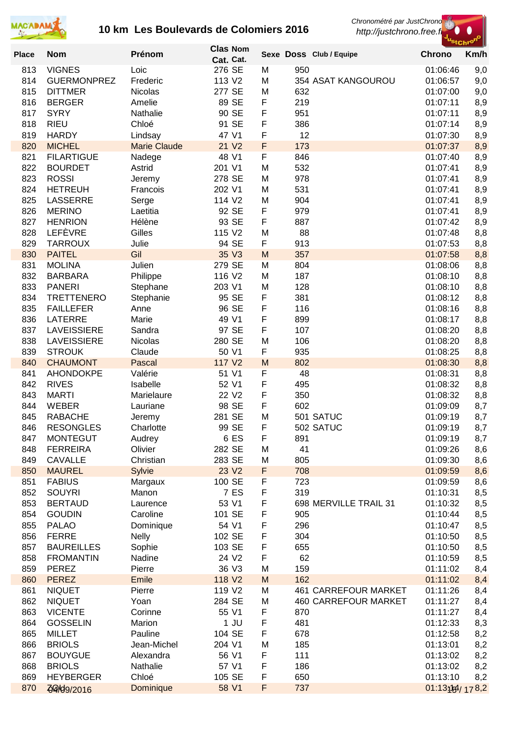

*Chronométré par JustChrono*



| <b>Place</b> | <b>Nom</b>                          | Prénom              | <b>Clas Nom</b>             |        | Sexe Doss Club / Equipe                                    | ' <sup>St</sup> Chr <sup>o</sup><br><b>Chrono</b> | Km/h       |
|--------------|-------------------------------------|---------------------|-----------------------------|--------|------------------------------------------------------------|---------------------------------------------------|------------|
|              |                                     |                     | Cat. Cat.                   |        |                                                            |                                                   |            |
| 813<br>814   | <b>VIGNES</b><br><b>GUERMONPREZ</b> | Loic<br>Frederic    | 276 SE<br>113 V2            | M<br>M | 950<br>354 ASAT KANGOUROU                                  | 01:06:46<br>01:06:57                              | 9,0        |
| 815          | <b>DITTMER</b>                      | Nicolas             | 277 SE                      | M      | 632                                                        | 01:07:00                                          | 9,0<br>9,0 |
| 816          | <b>BERGER</b>                       | Amelie              | 89 SE                       | F      | 219                                                        | 01:07:11                                          | 8,9        |
| 817          | <b>SYRY</b>                         | Nathalie            | 90 SE                       | F      | 951                                                        | 01:07:11                                          | 8,9        |
| 818          | <b>RIEU</b>                         | Chloé               | 91 SE                       | F      | 386                                                        | 01:07:14                                          | 8,9        |
| 819          | <b>HARDY</b>                        | Lindsay             | 47 V1                       | F      | 12                                                         | 01:07:30                                          | 8,9        |
| 820          | <b>MICHEL</b>                       | <b>Marie Claude</b> | 21 V <sub>2</sub>           | F      | 173                                                        | 01:07:37                                          | 8,9        |
| 821          | <b>FILARTIGUE</b>                   | Nadege              | 48 V1                       | F      | 846                                                        | 01:07:40                                          | 8,9        |
| 822          | <b>BOURDET</b>                      | Astrid              | 201 V1                      | M      | 532                                                        | 01:07:41                                          | 8,9        |
| 823          | <b>ROSSI</b>                        | Jeremy              | 278 SE                      | M      | 978                                                        | 01:07:41                                          | 8,9        |
| 824          | <b>HETREUH</b>                      | Francois            | 202 V1                      | M      | 531                                                        | 01:07:41                                          | 8,9        |
| 825<br>826   | <b>LASSERRE</b><br><b>MERINO</b>    | Serge               | 114 V2<br>92 SE             | M<br>F | 904<br>979                                                 | 01:07:41<br>01:07:41                              | 8,9        |
| 827          | <b>HENRION</b>                      | Laetitia<br>Hélène  | 93 SE                       | F      | 887                                                        | 01:07:42                                          | 8,9<br>8,9 |
| 828          | <b>LEFÈVRE</b>                      | Gilles              | 115 V2                      | M      | 88                                                         | 01:07:48                                          | 8,8        |
| 829          | <b>TARROUX</b>                      | Julie               | 94 SE                       | F      | 913                                                        | 01:07:53                                          | 8,8        |
| 830          | <b>PAITEL</b>                       | Gil                 | 35 V3                       | M      | 357                                                        | 01:07:58                                          | 8,8        |
| 831          | <b>MOLINA</b>                       | Julien              | 279 SE                      | M      | 804                                                        | 01:08:06                                          | 8,8        |
| 832          | <b>BARBARA</b>                      | Philippe            | 116 V2                      | M      | 187                                                        | 01:08:10                                          | 8,8        |
| 833          | <b>PANERI</b>                       | Stephane            | 203 V1                      | M      | 128                                                        | 01:08:10                                          | 8,8        |
| 834          | <b>TRETTENERO</b>                   | Stephanie           | 95 SE                       | F      | 381                                                        | 01:08:12                                          | 8,8        |
| 835          | <b>FAILLEFER</b>                    | Anne                | 96 SE                       | F      | 116                                                        | 01:08:16                                          | 8,8        |
| 836          | <b>LATERRE</b>                      | Marie               | 49 V1                       | F      | 899                                                        | 01:08:17                                          | 8,8        |
| 837          | <b>LAVEISSIERE</b>                  | Sandra              | 97 SE                       | F      | 107                                                        | 01:08:20                                          | 8,8        |
| 838<br>839   | <b>LAVEISSIERE</b><br><b>STROUK</b> | Nicolas<br>Claude   | 280 SE<br>50 V1             | M<br>F | 106<br>935                                                 | 01:08:20<br>01:08:25                              | 8,8<br>8,8 |
| 840          | <b>CHAUMONT</b>                     | <b>Pascal</b>       | 117 V2                      | M      | 802                                                        | 01:08:30                                          | 8,8        |
| 841          | <b>AHONDOKPE</b>                    | Valérie             | 51 V1                       | F      | 48                                                         | 01:08:31                                          | 8,8        |
| 842          | <b>RIVES</b>                        | Isabelle            | 52 V1                       | F      | 495                                                        | 01:08:32                                          | 8,8        |
| 843          | <b>MARTI</b>                        | Marielaure          | 22 V <sub>2</sub>           | F      | 350                                                        | 01:08:32                                          | 8,8        |
| 844          | <b>WEBER</b>                        | Lauriane            | 98 SE                       | F      | 602                                                        | 01:09:09                                          | 8,7        |
| 845          | <b>RABACHE</b>                      | Jeremy              | 281 SE                      | M      | 501 SATUC                                                  | 01:09:19                                          | 8,7        |
| 846          | <b>RESONGLES</b>                    | Charlotte           | 99 SE                       | F      | 502 SATUC                                                  | 01:09:19                                          | 8,7        |
| 847          | <b>MONTEGUT</b>                     | Audrey              | 6 ES                        | F      | 891                                                        | 01:09:19                                          | 8,7        |
| 848          | <b>FERREIRA</b>                     | Olivier             | 282 SE                      | M      | 41                                                         | 01:09:26                                          | 8,6        |
| 849<br>850   | <b>CAVALLE</b><br><b>MAUREL</b>     | Christian<br>Sylvie | 283 SE<br>23 V <sub>2</sub> | M<br>F | 805<br>708                                                 | 01:09:30<br>01:09:59                              | 8,6        |
| 851          | <b>FABIUS</b>                       | Margaux             | 100 SE                      | F      | 723                                                        | 01:09:59                                          | 8,6<br>8,6 |
| 852          | <b>SOUYRI</b>                       | Manon               | 7 ES                        | F      | 319                                                        | 01:10:31                                          | 8,5        |
| 853          | <b>BERTAUD</b>                      | Laurence            | 53 V1                       | F      | 698 MERVILLE TRAIL 31                                      | 01:10:32                                          | 8,5        |
| 854          | <b>GOUDIN</b>                       | Caroline            | 101 SE                      | F      | 905                                                        | 01:10:44                                          | 8,5        |
| 855          | <b>PALAO</b>                        | Dominique           | 54 V1                       | F      | 296                                                        | 01:10:47                                          | 8,5        |
| 856          | <b>FERRE</b>                        | <b>Nelly</b>        | 102 SE                      | F      | 304                                                        | 01:10:50                                          | 8,5        |
| 857          | <b>BAUREILLES</b>                   | Sophie              | 103 SE                      | F      | 655                                                        | 01:10:50                                          | 8,5        |
| 858          | <b>FROMANTIN</b>                    | Nadine              | 24 V <sub>2</sub>           | F      | 62                                                         | 01:10:59                                          | 8,5        |
| 859          | <b>PEREZ</b>                        | Pierre              | 36 V3                       | M      | 159                                                        | 01:11:02                                          | 8,4        |
| 860          | <b>PEREZ</b>                        | Emile               | 118 V2                      | M      | 162                                                        | 01:11:02                                          | 8,4        |
| 861<br>862   | <b>NIQUET</b><br><b>NIQUET</b>      | Pierre<br>Yoan      | 119 V2<br>284 SE            | M<br>M | <b>461 CARREFOUR MARKET</b><br><b>460 CARREFOUR MARKET</b> | 01:11:26<br>01:11:27                              | 8,4<br>8,4 |
| 863          | <b>VICENTE</b>                      | Corinne             | 55 V1                       | F      | 870                                                        | 01:11:27                                          | 8,4        |
| 864          | <b>GOSSELIN</b>                     | Marion              | $1$ JU                      | F      | 481                                                        | 01:12:33                                          | 8,3        |
| 865          | <b>MILLET</b>                       | Pauline             | 104 SE                      | F      | 678                                                        | 01:12:58                                          | 8,2        |
| 866          | <b>BRIOLS</b>                       | Jean-Michel         | 204 V1                      | M      | 185                                                        | 01:13:01                                          | 8,2        |
| 867          | <b>BOUYGUE</b>                      | Alexandra           | 56 V1                       | F      | 111                                                        | 01:13:02                                          | 8,2        |
| 868          | <b>BRIOLS</b>                       | Nathalie            | 57 V1                       | F      | 186                                                        | 01:13:02                                          | 8,2        |
| 869          | <b>HEYBERGER</b>                    | Chloé               | 105 SE                      | F      | 650                                                        | 01:13:10                                          | 8,2        |
| 870          | <b>49/09/2016</b>                   | Dominique           | 58 V1                       | F      | 737                                                        | 01:13:154/178.2                                   |            |
|              |                                     |                     |                             |        |                                                            |                                                   |            |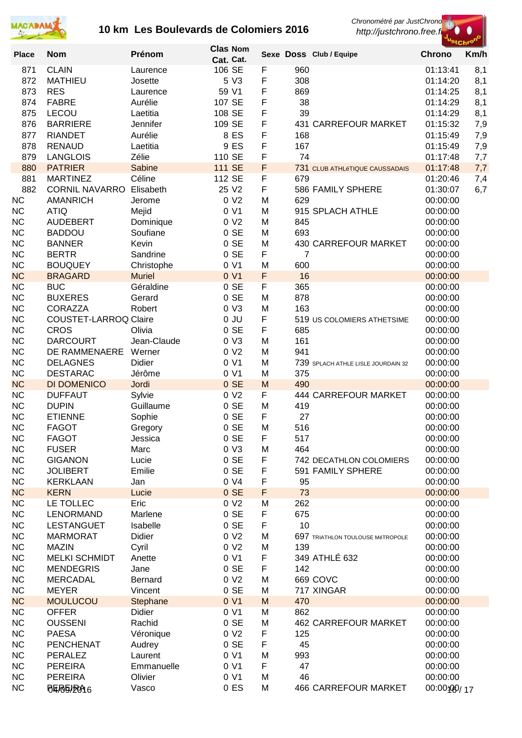



| <b>Place</b>           | <b>Nom</b>                      | Prénom              | <b>Clas Nom</b>  |        |          | Sexe Doss Club / Equipe               | <b>Chrono</b>        | Km/h       |
|------------------------|---------------------------------|---------------------|------------------|--------|----------|---------------------------------------|----------------------|------------|
|                        |                                 |                     | Cat. Cat.        |        |          |                                       |                      |            |
| 871                    | <b>CLAIN</b>                    | Laurence            | 106 SE           | F      | 960      |                                       | 01:13:41             | 8,1        |
| 872                    | <b>MATHIEU</b>                  | Josette             | 5 V3             | F      | 308      |                                       | 01:14:20             | 8,1        |
| 873                    | <b>RES</b><br><b>FABRE</b>      | Laurence            | 59 V1            | F      | 869      |                                       | 01:14:25             | 8,1        |
| 874                    |                                 | Aurélie             | 107 SE<br>108 SE | F<br>F | 38<br>39 |                                       | 01:14:29             | 8,1        |
| 875                    | <b>LECOU</b><br><b>BARRIERE</b> | Laetitia            | 109 SE           | F      |          | 431 CARREFOUR MARKET                  | 01:14:29             | 8,1        |
| 876<br>877             | <b>RIANDET</b>                  | Jennifer<br>Aurélie | 8 ES             | F      | 168      |                                       | 01:15:32<br>01:15:49 | 7,9        |
| 878                    | <b>RENAUD</b>                   | Laetitia            | 9 ES             | F      | 167      |                                       | 01:15:49             | 7,9<br>7,9 |
| 879                    | <b>LANGLOIS</b>                 | Zélie               | 110 SE           | F      | 74       |                                       | 01:17:48             | 7,7        |
| 880                    | <b>PATRIER</b>                  | Sabine              | <b>111 SE</b>    | F      |          | <b>731 CLUB ATHLÉTIQUE CAUSSADAIS</b> | 01:17:48             | 7,7        |
| 881                    | <b>MARTINEZ</b>                 | Céline              | 112 SE           | F      | 679      |                                       | 01:20:46             | 7,4        |
| 882                    | <b>CORNIL NAVARRO</b>           | Elisabeth           | 25 V2            | F      |          | 586 FAMILY SPHERE                     | 01:30:07             | 6,7        |
| <b>NC</b>              | <b>AMANRICH</b>                 | Jerome              | 0 <sub>2</sub>   | M      | 629      |                                       | 00:00:00             |            |
| <b>NC</b>              | <b>ATIQ</b>                     | Mejid               | 0 V1             | M      |          | 915 SPLACH ATHLE                      | 00:00:00             |            |
| <b>NC</b>              | <b>AUDEBERT</b>                 | Dominique           | 0 V <sub>2</sub> | M      | 845      |                                       | 00:00:00             |            |
| <b>NC</b>              | <b>BADDOU</b>                   | Soufiane            | 0 SE             | M      | 693      |                                       | 00:00:00             |            |
| <b>NC</b>              | <b>BANNER</b>                   | Kevin               | 0 SE             | M      |          | 430 CARREFOUR MARKET                  | 00:00:00             |            |
| <b>NC</b>              | <b>BERTR</b>                    | Sandrine            | 0 SE             | F      | 7        |                                       | 00:00:00             |            |
| <b>NC</b>              | <b>BOUQUEY</b>                  | Christophe          | 0 <sub>V1</sub>  | M      | 600      |                                       | 00:00:00             |            |
| <b>NC</b>              | <b>BRAGARD</b>                  | <b>Muriel</b>       | 0 V1             | F      | 16       |                                       | 00:00:00             |            |
| <b>NC</b>              | <b>BUC</b>                      | Géraldine           | 0 SE             | F      | 365      |                                       | 00:00:00             |            |
| <b>NC</b>              | <b>BUXERES</b>                  | Gerard              | 0 SE             | M      | 878      |                                       | 00:00:00             |            |
| <b>NC</b>              | <b>CORAZZA</b>                  | Robert              | 0 <sub>V</sub> 3 | M      | 163      |                                       | 00:00:00             |            |
| <b>NC</b>              | <b>COUSTET-LARROQ Claire</b>    |                     | $0$ JU           | F      |          | 519 US COLOMIERS ATHETSIME            | 00:00:00             |            |
| <b>NC</b>              | <b>CROS</b>                     | Olivia              | 0 SE             | F      | 685      |                                       | 00:00:00             |            |
| <b>NC</b>              | <b>DARCOURT</b>                 | Jean-Claude         | 0 <sub>V</sub> 3 | M      | 161      |                                       | 00:00:00             |            |
| <b>NC</b>              | DE RAMMENAERE                   | Werner              | 0 V <sub>2</sub> | M      | 941      |                                       | 00:00:00             |            |
| <b>NC</b>              | <b>DELAGNES</b>                 | Didier              | 0 <sub>V1</sub>  | M      |          | 739 SPLACH ATHLE LISLE JOURDAIN 32    | 00:00:00             |            |
| <b>NC</b>              | <b>DESTARAC</b>                 | Jérôme              | 0 V1             | M      | 375      |                                       | 00:00:00             |            |
| <b>NC</b>              | DI DOMENICO                     | Jordi               | 0 SE             | M      | 490      |                                       | 00:00:00             |            |
| <b>NC</b>              | <b>DUFFAUT</b>                  | Sylvie              | 0 V <sub>2</sub> | F      |          | 444 CARREFOUR MARKET                  | 00:00:00             |            |
| <b>NC</b>              | <b>DUPIN</b>                    | Guillaume           | 0 SE             | M      | 419      |                                       | 00:00:00             |            |
| <b>NC</b>              | <b>ETIENNE</b>                  | Sophie              | $0$ SE           | F      | 27       |                                       | 00:00:00             |            |
| <b>NC</b>              | <b>FAGOT</b>                    | Gregory             | 0 SE             | M      | 516      |                                       | 00:00:00             |            |
| <b>NC</b>              | <b>FAGOT</b>                    | Jessica             | $0$ SE           | F      | 517      |                                       | 00:00:00             |            |
| <b>NC</b><br><b>NC</b> | <b>FUSER</b><br><b>GIGANON</b>  | Marc<br>Lucie       | 0 V3<br>$0$ SE   | M<br>F | 464      | 742 DECATHLON COLOMIERS               | 00:00:00<br>00:00:00 |            |
| <b>NC</b>              | <b>JOLIBERT</b>                 | Emilie              | 0 SE             | F      |          | 591 FAMILY SPHERE                     | 00:00:00             |            |
| NC                     | <b>KERKLAAN</b>                 | Jan                 | 0 <sub>V</sub> 4 | F      | 95       |                                       | 00:00:00             |            |
| <b>NC</b>              | <b>KERN</b>                     | Lucie               | $0$ SE           | F      | 73       |                                       | 00:00:00             |            |
| <b>NC</b>              | LE TOLLEC                       | Eric                | 0 <sub>2</sub>   | M      | 262      |                                       | 00:00:00             |            |
| <b>NC</b>              | LENORMAND                       | Marlene             | $0$ SE           | F      | 675      |                                       | 00:00:00             |            |
| <b>NC</b>              | <b>LESTANGUET</b>               | Isabelle            | $0$ SE           | F      | 10       |                                       | 00:00:00             |            |
| <b>NC</b>              | <b>MARMORAT</b>                 | Didier              | 0 V <sub>2</sub> | M      |          | 697 TRIATHLON TOULOUSE MéTROPOLE      | 00:00:00             |            |
| <b>NC</b>              | <b>MAZIN</b>                    | Cyril               | 0 V <sub>2</sub> | M      | 139      |                                       | 00:00:00             |            |
| <b>NC</b>              | <b>MELKI SCHMIDT</b>            | Anette              | 0 V1             | F      |          | 349 ATHLÉ 632                         | 00:00:00             |            |
| <b>NC</b>              | <b>MENDEGRIS</b>                | Jane                | 0 SE             | F      | 142      |                                       | 00:00:00             |            |
| <b>NC</b>              | <b>MERCADAL</b>                 | Bernard             | 0 V <sub>2</sub> | M      |          | 669 COVC                              | 00:00:00             |            |
| <b>NC</b>              | <b>MEYER</b>                    | Vincent             | 0 SE             | M      |          | 717 XINGAR                            | 00:00:00             |            |
| <b>NC</b>              | <b>MOULUCOU</b>                 | Stephane            | 0 V1             | M      | 470      |                                       | 00:00:00             |            |
| <b>NC</b>              | <b>OFFER</b>                    | <b>Didier</b>       | 0 V1             | M      | 862      |                                       | 00:00:00             |            |
| <b>NC</b>              | <b>OUSSENI</b>                  | Rachid              | $0$ SE           | M      |          | <b>462 CARREFOUR MARKET</b>           | 00:00:00             |            |
| <b>NC</b>              | <b>PAESA</b>                    | Véronique           | 0 V <sub>2</sub> | F      | 125      |                                       | 00:00:00             |            |
| <b>NC</b>              | <b>PENCHENAT</b>                | Audrey              | 0 SE             | F      | 45       |                                       | 00:00:00             |            |
| <b>NC</b>              | PERALEZ                         | Laurent             | 0 V1             | M      | 993      |                                       | 00:00:00             |            |
| NC                     | <b>PEREIRA</b>                  | Emmanuelle          | 0 V1             | F      | 47       |                                       | 00:00:00             |            |
| <b>NC</b>              | <b>PEREIRA</b>                  | Olivier             | 0 <sub>V1</sub>  | M      | 46       |                                       | 00:00:00             |            |
| <b>NC</b>              | <b>BERELRA6</b>                 | Vasco               | 0 <sub>E</sub>   | M      |          | <b>466 CARREFOUR MARKET</b>           | 00:00:09/17          |            |